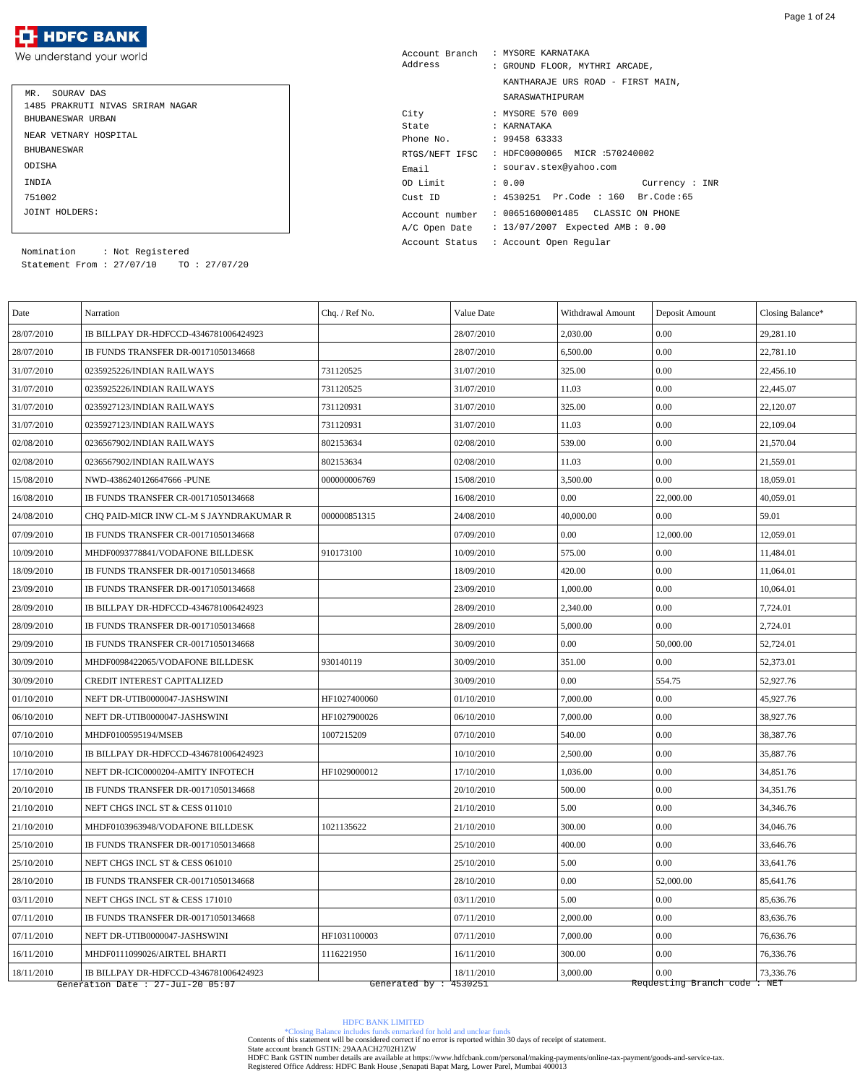#### **HDFC BANK** ŦŦ

We understand your world

| MR. SOURAV DAS                   |
|----------------------------------|
| 1485 PRAKRUTI NIVAS SRIRAM NAGAR |
| BHUBANESWAR URBAN                |
| NEAR VETNARY HOSPITAL            |
| <b>BHUBANE SWAR</b>              |
| ODISHA                           |
| <b>TNDTA</b>                     |
| 751002                           |
| JOINT HOLDERS:                   |

| Account Branch                                   |  | : MYSORE KARNATAKA                 |  |  |  |
|--------------------------------------------------|--|------------------------------------|--|--|--|
| Address                                          |  | : GROUND FLOOR, MYTHRI ARCADE,     |  |  |  |
|                                                  |  | KANTHARAJE URS ROAD - FIRST MAIN,  |  |  |  |
|                                                  |  | SARASWATHIPURAM                    |  |  |  |
| City                                             |  | : MYSORE 570 009                   |  |  |  |
| State                                            |  | : KARNATAKA                        |  |  |  |
| Phone No.                                        |  | : 9945863333                       |  |  |  |
| : HDFC0000065 MICR :570240002<br>RTGS/NEFT IFSC  |  |                                    |  |  |  |
| Email                                            |  | : sourav.stex@yahoo.com            |  |  |  |
| OD Limit                                         |  | : 0.00<br>Current : INR            |  |  |  |
| Cust ID                                          |  | : 4530251 Pr.Code : 160 Br.Code:65 |  |  |  |
| Account number                                   |  | : 00651600001485  CLASSIC ON PHONE |  |  |  |
| : 13/07/2007 Expected AMB: 0.00<br>A/C Open Date |  |                                    |  |  |  |
| : Account Open Reqular<br>Account Status         |  |                                    |  |  |  |

Statement From : 27/07/10 TO : 27/07/20 Nomination : Not Registered

| Date       | Narration                               | Chq. / Ref No.        | Value Date | Withdrawal Amount | Deposit Amount              | Closing Balance* |
|------------|-----------------------------------------|-----------------------|------------|-------------------|-----------------------------|------------------|
| 28/07/2010 | IB BILLPAY DR-HDFCCD-4346781006424923   |                       | 28/07/2010 | 2,030.00          | 0.00                        | 29,281.10        |
| 28/07/2010 | IB FUNDS TRANSFER DR-00171050134668     |                       | 28/07/2010 | 6,500.00          | 0.00                        | 22,781.10        |
| 31/07/2010 | 0235925226/INDIAN RAILWAYS              | 731120525             | 31/07/2010 | 325.00            | 0.00                        | 22,456.10        |
| 31/07/2010 | 0235925226/INDIAN RAILWAYS              | 731120525             | 31/07/2010 | 11.03             | 0.00                        | 22,445.07        |
| 31/07/2010 | 0235927123/INDIAN RAILWAYS              | 731120931             | 31/07/2010 | 325.00            | 0.00                        | 22,120.07        |
| 31/07/2010 | 0235927123/INDIAN RAILWAYS              | 731120931             | 31/07/2010 | 11.03             | 0.00                        | 22,109.04        |
| 02/08/2010 | 0236567902/INDIAN RAILWAYS              | 802153634             | 02/08/2010 | 539.00            | 0.00                        | 21,570.04        |
| 02/08/2010 | 0236567902/INDIAN RAILWAYS              | 802153634             | 02/08/2010 | 11.03             | 0.00                        | 21,559.01        |
| 15/08/2010 | NWD-4386240126647666 -PUNE              | 000000006769          | 15/08/2010 | 3,500.00          | 0.00                        | 18,059.01        |
| 16/08/2010 | IB FUNDS TRANSFER CR-00171050134668     |                       | 16/08/2010 | 0.00              | 22,000.00                   | 40,059.01        |
| 24/08/2010 | CHO PAID-MICR INW CL-M S JAYNDRAKUMAR R | 000000851315          | 24/08/2010 | 40,000.00         | 0.00                        | 59.01            |
| 07/09/2010 | IB FUNDS TRANSFER CR-00171050134668     |                       | 07/09/2010 | 0.00              | 12,000.00                   | 12,059.01        |
| 10/09/2010 | MHDF0093778841/VODAFONE BILLDESK        | 910173100             | 10/09/2010 | 575.00            | 0.00                        | 11,484.01        |
| 18/09/2010 | IB FUNDS TRANSFER DR-00171050134668     |                       | 18/09/2010 | 420.00            | 0.00                        | 11,064.01        |
| 23/09/2010 | IB FUNDS TRANSFER DR-00171050134668     |                       | 23/09/2010 | 1,000.00          | 0.00                        | 10,064.01        |
| 28/09/2010 | IB BILLPAY DR-HDFCCD-4346781006424923   |                       | 28/09/2010 | 2,340.00          | 0.00                        | 7,724.01         |
| 28/09/2010 | IB FUNDS TRANSFER DR-00171050134668     |                       | 28/09/2010 | 5,000.00          | 0.00                        | 2,724.01         |
| 29/09/2010 | IB FUNDS TRANSFER CR-00171050134668     |                       | 30/09/2010 | 0.00              | 50,000.00                   | 52,724.01        |
| 30/09/2010 | MHDF0098422065/VODAFONE BILLDESK        | 930140119             | 30/09/2010 | 351.00            | 0.00                        | 52,373.01        |
| 30/09/2010 | <b>CREDIT INTEREST CAPITALIZED</b>      |                       | 30/09/2010 | 0.00              | 554.75                      | 52,927.76        |
| 01/10/2010 | NEFT DR-UTIB0000047-JASHSWINI           | HF1027400060          | 01/10/2010 | 7,000.00          | $0.00\,$                    | 45,927.76        |
| 06/10/2010 | NEFT DR-UTIB0000047-JASHSWINI           | HF1027900026          | 06/10/2010 | 7,000.00          | 0.00                        | 38,927.76        |
| 07/10/2010 | MHDF0100595194/MSEB                     | 1007215209            | 07/10/2010 | 540.00            | $0.00\,$                    | 38,387.76        |
| 10/10/2010 | IB BILLPAY DR-HDFCCD-4346781006424923   |                       | 10/10/2010 | 2,500.00          | $0.00\,$                    | 35,887.76        |
| 17/10/2010 | NEFT DR-ICIC0000204-AMITY INFOTECH      | HF1029000012          | 17/10/2010 | 1,036.00          | $0.00\,$                    | 34,851.76        |
| 20/10/2010 | IB FUNDS TRANSFER DR-00171050134668     |                       | 20/10/2010 | 500.00            | 0.00                        | 34,351.76        |
| 21/10/2010 | NEFT CHGS INCL ST & CESS 011010         |                       | 21/10/2010 | 5.00              | $0.00\,$                    | 34,346.76        |
| 21/10/2010 | MHDF0103963948/VODAFONE BILLDESK        | 1021135622            | 21/10/2010 | 300.00            | $0.00\,$                    | 34,046.76        |
| 25/10/2010 | IB FUNDS TRANSFER DR-00171050134668     |                       | 25/10/2010 | 400.00            | $0.00\,$                    | 33,646.76        |
| 25/10/2010 | NEFT CHGS INCL ST & CESS 061010         |                       | 25/10/2010 | 5.00              | $0.00\,$                    | 33,641.76        |
| 28/10/2010 | IB FUNDS TRANSFER CR-00171050134668     |                       | 28/10/2010 | $0.00\,$          | 52,000.00                   | 85,641.76        |
| 03/11/2010 | NEFT CHGS INCL ST & CESS 171010         |                       | 03/11/2010 | 5.00              | $0.00\,$                    | 85,636.76        |
| 07/11/2010 | IB FUNDS TRANSFER DR-00171050134668     |                       | 07/11/2010 | 2,000.00          | $0.00\,$                    | 83,636.76        |
| 07/11/2010 | NEFT DR-UTIB0000047-JASHSWINI           | HF1031100003          | 07/11/2010 | 7,000.00          | $0.00\,$                    | 76,636.76        |
| 16/11/2010 | MHDF0111099026/AIRTEL BHARTI            | 1116221950            | 16/11/2010 | 300.00            | 0.00                        | 76,336.76        |
| 18/11/2010 | IB BILLPAY DR-HDFCCD-4346781006424923   |                       | 18/11/2010 | 3,000.00          | 0.00                        | 73,336.76        |
|            | Generation Date : 27-Jul-20 05:07       | Generated by: 4530251 |            |                   | Requesting Branch code: NET |                  |

HDFC BANK LIMITED

\*Closing Balance includes funds enmarked for hold and unclear funds Contents of this statement will be considered correct if no error is reported within 30 days of receipt of statement.

State account branch GSTIN: 29AAACH2702H1ZW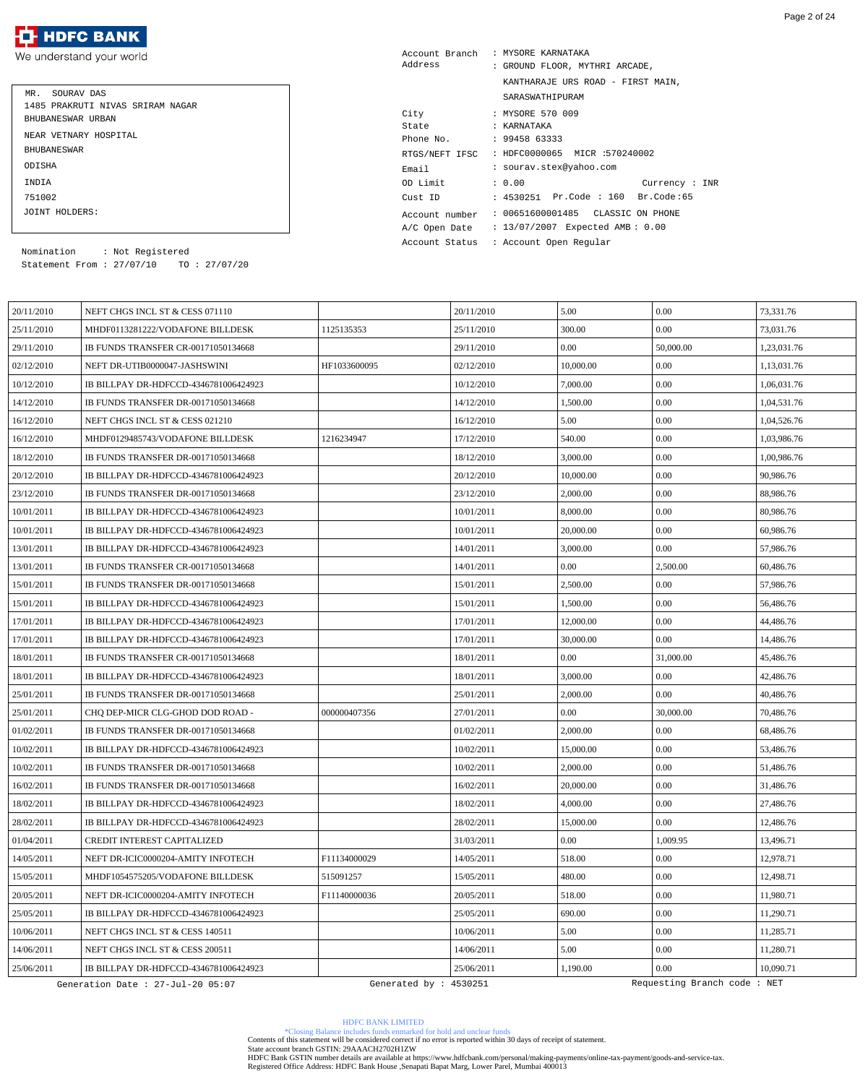We understand your world

| MR. SOURAV DAS<br>1485 PRAKRUTI NIVAS SRIRAM NAGAR<br>BHUBANESWAR URBAN |
|-------------------------------------------------------------------------|
| NEAR VETNARY HOSPITAL                                                   |
| <b>BHUBANE SWAR</b>                                                     |
| ODISHA                                                                  |
| INDIA                                                                   |
| 751002                                                                  |
| JOINT HOLDERS:                                                          |

| Account Branch | : MYSORE KARNATAKA                 |
|----------------|------------------------------------|
| Address        | : GROUND FLOOR, MYTHRI ARCADE,     |
|                | KANTHARAJE URS ROAD - FIRST MAIN,  |
|                | SARASWATHIPURAM                    |
| City           | : MYSORE 570 009                   |
| State          | : KARNATAKA                        |
| Phone No.      | : 9945863333                       |
| RTGS/NEFT IFSC | : HDFC0000065 MICR :570240002      |
| Email          | : sourav.stex@yahoo.com            |
| OD Limit       | : 0.00<br>Current: INR             |
| Cust ID        | : 4530251 Pr.Code : 160 Br.Code:65 |
| Account number | : 00651600001485 CLASSIC ON PHONE  |
| A/C Open Date  | : 13/07/2007 Expected AMB: 0.00    |
| Account Status | : Account Open Regular             |

Statement From : 27/07/10 TO : 27/07/20 Nomination : Not Registered

| 20/11/2010 | NEFT CHGS INCL ST & CESS 071110       |                        | 20/11/2010 | 5.00      | 0.00                        | 73,331.76   |
|------------|---------------------------------------|------------------------|------------|-----------|-----------------------------|-------------|
| 25/11/2010 | MHDF0113281222/VODAFONE BILLDESK      | 1125135353             | 25/11/2010 | 300.00    | 0.00                        | 73,031.76   |
| 29/11/2010 | IB FUNDS TRANSFER CR-00171050134668   |                        | 29/11/2010 | 0.00      | 50,000.00                   | 1,23,031.76 |
| 02/12/2010 | NEFT DR-UTIB0000047-JASHSWINI         | HF1033600095           | 02/12/2010 | 10,000.00 | 0.00                        | 1,13,031.76 |
| 10/12/2010 | IB BILLPAY DR-HDFCCD-4346781006424923 |                        | 10/12/2010 | 7,000.00  | 0.00                        | 1,06,031.76 |
| 14/12/2010 | IB FUNDS TRANSFER DR-00171050134668   |                        | 14/12/2010 | 1,500.00  | 0.00                        | 1,04,531.76 |
| 16/12/2010 | NEFT CHGS INCL ST & CESS 021210       |                        | 16/12/2010 | 5.00      | 0.00                        | 1,04,526.76 |
| 16/12/2010 | MHDF0129485743/VODAFONE BILLDESK      | 1216234947             | 17/12/2010 | 540.00    | 0.00                        | 1,03,986.76 |
| 18/12/2010 | IB FUNDS TRANSFER DR-00171050134668   |                        | 18/12/2010 | 3,000.00  | $0.00\,$                    | 1,00,986.76 |
| 20/12/2010 | IB BILLPAY DR-HDFCCD-4346781006424923 |                        | 20/12/2010 | 10,000.00 | 0.00                        | 90,986.76   |
| 23/12/2010 | IB FUNDS TRANSFER DR-00171050134668   |                        | 23/12/2010 | 2,000.00  | 0.00                        | 88,986.76   |
| 10/01/2011 | IB BILLPAY DR-HDFCCD-4346781006424923 |                        | 10/01/2011 | 8,000.00  | 0.00                        | 80,986.76   |
| 10/01/2011 | IB BILLPAY DR-HDFCCD-4346781006424923 |                        | 10/01/2011 | 20,000.00 | 0.00                        | 60,986.76   |
| 13/01/2011 | IB BILLPAY DR-HDFCCD-4346781006424923 |                        | 14/01/2011 | 3,000.00  | 0.00                        | 57,986.76   |
| 13/01/2011 | IB FUNDS TRANSFER CR-00171050134668   |                        | 14/01/2011 | 0.00      | 2,500.00                    | 60,486.76   |
| 15/01/2011 | IB FUNDS TRANSFER DR-00171050134668   |                        | 15/01/2011 | 2,500.00  | 0.00                        | 57,986.76   |
| 15/01/2011 | IB BILLPAY DR-HDFCCD-4346781006424923 |                        | 15/01/2011 | 1,500.00  | $0.00\,$                    | 56,486.76   |
| 17/01/2011 | IB BILLPAY DR-HDFCCD-4346781006424923 |                        | 17/01/2011 | 12,000.00 | 0.00                        | 44,486.76   |
| 17/01/2011 | IB BILLPAY DR-HDFCCD-4346781006424923 |                        | 17/01/2011 | 30,000.00 | 0.00                        | 14,486.76   |
| 18/01/2011 | IB FUNDS TRANSFER CR-00171050134668   |                        | 18/01/2011 | 0.00      | 31,000.00                   | 45,486.76   |
| 18/01/2011 | IB BILLPAY DR-HDFCCD-4346781006424923 |                        | 18/01/2011 | 3,000.00  | 0.00                        | 42,486.76   |
| 25/01/2011 | IB FUNDS TRANSFER DR-00171050134668   |                        | 25/01/2011 | 2,000.00  | 0.00                        | 40,486.76   |
| 25/01/2011 | CHQ DEP-MICR CLG-GHOD DOD ROAD -      | 000000407356           | 27/01/2011 | 0.00      | 30,000.00                   | 70,486.76   |
| 01/02/2011 | IB FUNDS TRANSFER DR-00171050134668   |                        | 01/02/2011 | 2,000.00  | 0.00                        | 68,486.76   |
| 10/02/2011 | IB BILLPAY DR-HDFCCD-4346781006424923 |                        | 10/02/2011 | 15,000.00 | 0.00                        | 53,486.76   |
| 10/02/2011 | IB FUNDS TRANSFER DR-00171050134668   |                        | 10/02/2011 | 2,000.00  | $0.00\,$                    | 51,486.76   |
| 16/02/2011 | IB FUNDS TRANSFER DR-00171050134668   |                        | 16/02/2011 | 20,000.00 | 0.00                        | 31,486.76   |
| 18/02/2011 | IB BILLPAY DR-HDFCCD-4346781006424923 |                        | 18/02/2011 | 4,000.00  | 0.00                        | 27,486.76   |
| 28/02/2011 | IB BILLPAY DR-HDFCCD-4346781006424923 |                        | 28/02/2011 | 15,000.00 | 0.00                        | 12,486.76   |
| 01/04/2011 | CREDIT INTEREST CAPITALIZED           |                        | 31/03/2011 | 0.00      | 1,009.95                    | 13,496.71   |
| 14/05/2011 | NEFT DR-ICIC0000204-AMITY INFOTECH    | F11134000029           | 14/05/2011 | 518.00    | 0.00                        | 12,978.71   |
| 15/05/2011 | MHDF1054575205/VODAFONE BILLDESK      | 515091257              | 15/05/2011 | 480.00    | $0.00\,$                    | 12,498.71   |
| 20/05/2011 | NEFT DR-ICIC0000204-AMITY INFOTECH    | F11140000036           | 20/05/2011 | 518.00    | $0.00\,$                    | 11,980.71   |
| 25/05/2011 | IB BILLPAY DR-HDFCCD-4346781006424923 |                        | 25/05/2011 | 690.00    | 0.00                        | 11,290.71   |
| 10/06/2011 | NEFT CHGS INCL ST & CESS 140511       |                        | 10/06/2011 | 5.00      | 0.00                        | 11,285.71   |
| 14/06/2011 | NEFT CHGS INCL ST & CESS 200511       |                        | 14/06/2011 | 5.00      | 0.00                        | 11,280.71   |
| 25/06/2011 | IB BILLPAY DR-HDFCCD-4346781006424923 |                        | 25/06/2011 | 1,190.00  | 0.00                        | 10,090.71   |
|            | Generation Date : 27-Jul-20 05:07     | Generated by : 4530251 |            |           | Requesting Branch code: NET |             |

HDFC BANK LIMITED

\*Closing Balance includes funds enmarked for hold and unclear funds Contents of this statement will be considered correct if no error is reported within 30 days of receipt of statement.

State account branch GSTIN: 29AAACH2702H1ZW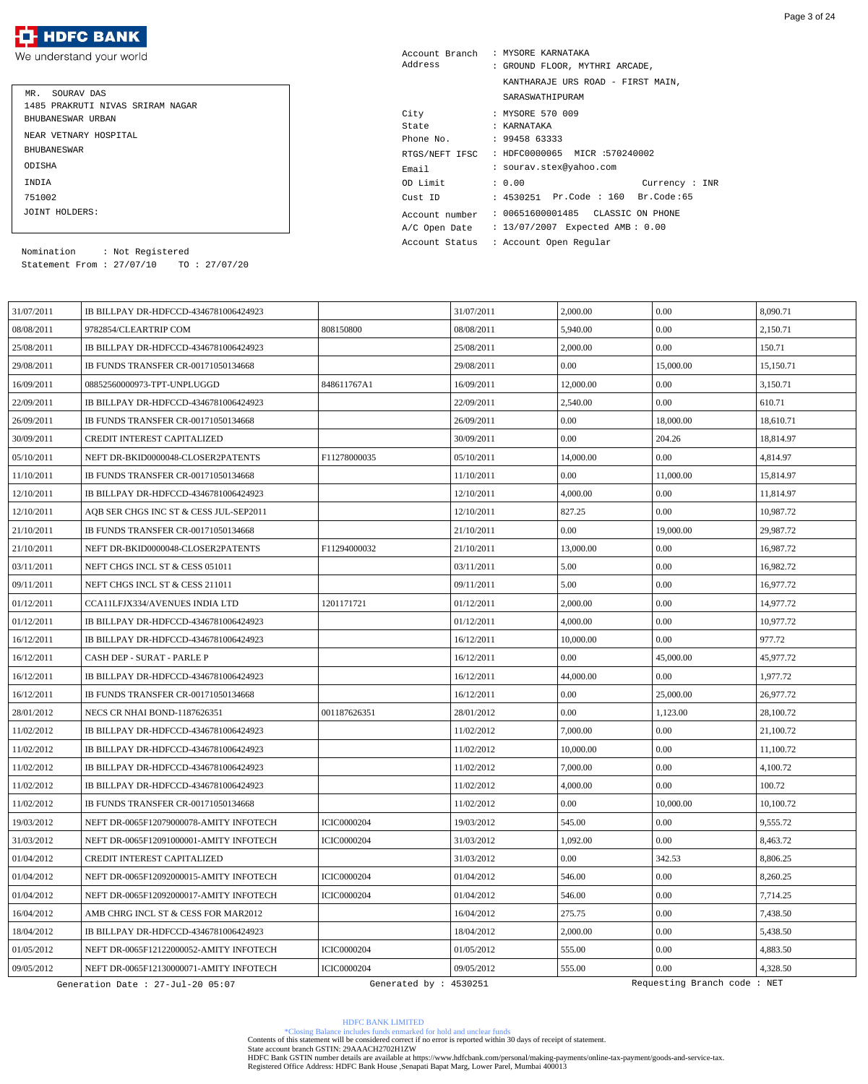We understand your world

| MR. SOURAV DAS<br>1485 PRAKRUTI NIVAS SRIRAM NAGAR<br>BHUBANESWAR URBAN |
|-------------------------------------------------------------------------|
| NEAR VETNARY HOSPITAL                                                   |
| <b>BHUBANE SWAR</b>                                                     |
| ODISHA                                                                  |
| INDIA                                                                   |
| 751002                                                                  |
| JOINT HOLDERS:                                                          |

| Account Branch<br>Address                       | : MYSORE KARNATAKA<br>: GROUND FLOOR, MYTHRI ARCADE,                 |  |  |  |  |
|-------------------------------------------------|----------------------------------------------------------------------|--|--|--|--|
|                                                 | KANTHARAJE URS ROAD - FIRST MAIN,                                    |  |  |  |  |
|                                                 | SARASWATHIPURAM                                                      |  |  |  |  |
| City                                            | : MYSORE 570 009                                                     |  |  |  |  |
| State                                           | : KARNATAKA                                                          |  |  |  |  |
| Phone No.                                       | : 9945863333                                                         |  |  |  |  |
| : HDFC0000065 MICR :570240002<br>RTGS/NEFT IFSC |                                                                      |  |  |  |  |
| Email                                           | : sourav.stex@yahoo.com                                              |  |  |  |  |
| OD Limit                                        | : 0.00<br>Current: INR                                               |  |  |  |  |
| Cust ID                                         | : 4530251 Pr.Code : 160 Br.Code:65                                   |  |  |  |  |
| Account number<br>A/C Open Date                 | : 00651600001485 CLASSIC ON PHONE<br>: 13/07/2007 Expected AMB: 0.00 |  |  |  |  |

Account Status : Account Open Regular

Statement From : 27/07/10 TO : 27/07/20 Nomination : Not Registered

| 31/07/2011 | IB BILLPAY DR-HDFCCD-4346781006424923   |                        | 31/07/2011 | 2,000.00  | 0.00                        | 8,090.71  |
|------------|-----------------------------------------|------------------------|------------|-----------|-----------------------------|-----------|
| 08/08/2011 | 9782854/CLEARTRIP COM                   | 808150800              | 08/08/2011 | 5,940.00  | 0.00                        | 2,150.71  |
| 25/08/2011 | IB BILLPAY DR-HDFCCD-4346781006424923   |                        | 25/08/2011 | 2,000.00  | $0.00\,$                    | 150.71    |
| 29/08/2011 | IB FUNDS TRANSFER CR-00171050134668     |                        | 29/08/2011 | 0.00      | 15,000.00                   | 15,150.71 |
| 16/09/2011 | 08852560000973-TPT-UNPLUGGD             | 848611767A1            | 16/09/2011 | 12,000.00 | 0.00                        | 3,150.71  |
| 22/09/2011 | IB BILLPAY DR-HDFCCD-4346781006424923   |                        | 22/09/2011 | 2,540.00  | 0.00                        | 610.71    |
| 26/09/2011 | IB FUNDS TRANSFER CR-00171050134668     |                        | 26/09/2011 | 0.00      | 18,000.00                   | 18,610.71 |
| 30/09/2011 | <b>CREDIT INTEREST CAPITALIZED</b>      |                        | 30/09/2011 | 0.00      | 204.26                      | 18,814.97 |
| 05/10/2011 | NEFT DR-BKID0000048-CLOSER2PATENTS      | F11278000035           | 05/10/2011 | 14,000.00 | $0.00\,$                    | 4,814.97  |
| 11/10/2011 | IB FUNDS TRANSFER CR-00171050134668     |                        | 11/10/2011 | 0.00      | 11,000.00                   | 15,814.97 |
| 12/10/2011 | IB BILLPAY DR-HDFCCD-4346781006424923   |                        | 12/10/2011 | 4,000.00  | 0.00                        | 11,814.97 |
| 12/10/2011 | AQB SER CHGS INC ST & CESS JUL-SEP2011  |                        | 12/10/2011 | 827.25    | 0.00                        | 10,987.72 |
| 21/10/2011 | IB FUNDS TRANSFER CR-00171050134668     |                        | 21/10/2011 | 0.00      | 19,000.00                   | 29.987.72 |
| 21/10/2011 | NEFT DR-BKID0000048-CLOSER2PATENTS      | F11294000032           | 21/10/2011 | 13,000.00 | $0.00\,$                    | 16,987.72 |
| 03/11/2011 | NEFT CHGS INCL ST & CESS 051011         |                        | 03/11/2011 | 5.00      | 0.00                        | 16,982.72 |
| 09/11/2011 | NEFT CHGS INCL ST & CESS 211011         |                        | 09/11/2011 | 5.00      | $0.00\,$                    | 16,977.72 |
| 01/12/2011 | CCA11LFJX334/AVENUES INDIA LTD          | 1201171721             | 01/12/2011 | 2,000.00  | 0.00                        | 14,977.72 |
| 01/12/2011 | IB BILLPAY DR-HDFCCD-4346781006424923   |                        | 01/12/2011 | 4,000.00  | $0.00\,$                    | 10,977.72 |
| 16/12/2011 | IB BILLPAY DR-HDFCCD-4346781006424923   |                        | 16/12/2011 | 10,000.00 | 0.00                        | 977.72    |
| 16/12/2011 | CASH DEP - SURAT - PARLE P              |                        | 16/12/2011 | 0.00      | 45,000.00                   | 45,977.72 |
| 16/12/2011 | IB BILLPAY DR-HDFCCD-4346781006424923   |                        | 16/12/2011 | 44,000.00 | $0.00\,$                    | 1,977.72  |
| 16/12/2011 | IB FUNDS TRANSFER CR-00171050134668     |                        | 16/12/2011 | 0.00      | 25,000.00                   | 26,977.72 |
| 28/01/2012 | NECS CR NHAI BOND-1187626351            | 001187626351           | 28/01/2012 | 0.00      | 1,123.00                    | 28,100.72 |
| 11/02/2012 | IB BILLPAY DR-HDFCCD-4346781006424923   |                        | 11/02/2012 | 7,000.00  | $0.00\,$                    | 21,100.72 |
| 11/02/2012 | IB BILLPAY DR-HDFCCD-4346781006424923   |                        | 11/02/2012 | 10,000.00 | $0.00\,$                    | 11,100.72 |
| 11/02/2012 | IB BILLPAY DR-HDFCCD-4346781006424923   |                        | 11/02/2012 | 7,000.00  | 0.00                        | 4,100.72  |
| 11/02/2012 | IB BILLPAY DR-HDFCCD-4346781006424923   |                        | 11/02/2012 | 4,000.00  | 0.00                        | 100.72    |
| 11/02/2012 | IB FUNDS TRANSFER CR-00171050134668     |                        | 11/02/2012 | 0.00      | 10,000.00                   | 10,100.72 |
| 19/03/2012 | NEFT DR-0065F12079000078-AMITY INFOTECH | <b>ICIC0000204</b>     | 19/03/2012 | 545.00    | $0.00\,$                    | 9,555.72  |
| 31/03/2012 | NEFT DR-0065F12091000001-AMITY INFOTECH | <b>ICIC0000204</b>     | 31/03/2012 | 1,092.00  | $0.00\,$                    | 8,463.72  |
| 01/04/2012 | <b>CREDIT INTEREST CAPITALIZED</b>      |                        | 31/03/2012 | 0.00      | 342.53                      | 8,806.25  |
| 01/04/2012 | NEFT DR-0065F12092000015-AMITY INFOTECH | <b>ICIC0000204</b>     | 01/04/2012 | 546.00    | $0.00\,$                    | 8,260.25  |
| 01/04/2012 | NEFT DR-0065F12092000017-AMITY INFOTECH | <b>ICIC0000204</b>     | 01/04/2012 | 546.00    | $0.00\,$                    | 7,714.25  |
| 16/04/2012 | AMB CHRG INCL ST & CESS FOR MAR2012     |                        | 16/04/2012 | 275.75    | 0.00                        | 7,438.50  |
| 18/04/2012 | IB BILLPAY DR-HDFCCD-4346781006424923   |                        | 18/04/2012 | 2,000.00  | 0.00                        | 5,438.50  |
| 01/05/2012 | NEFT DR-0065F12122000052-AMITY INFOTECH | <b>ICIC0000204</b>     | 01/05/2012 | 555.00    | 0.00                        | 4,883.50  |
| 09/05/2012 | NEFT DR-0065F12130000071-AMITY INFOTECH | <b>ICIC0000204</b>     | 09/05/2012 | 555.00    | 0.00                        | 4,328.50  |
|            | Generation Date : 27-Jul-20 05:07       | Generated by : 4530251 |            |           | Requesting Branch code: NET |           |

HDFC BANK LIMITED

\*Closing Balance includes funds enmarked for hold and unclear funds Contents of this statement will be considered correct if no error is reported within 30 days of receipt of statement.

State account branch GSTIN: 29AAACH2702H1ZW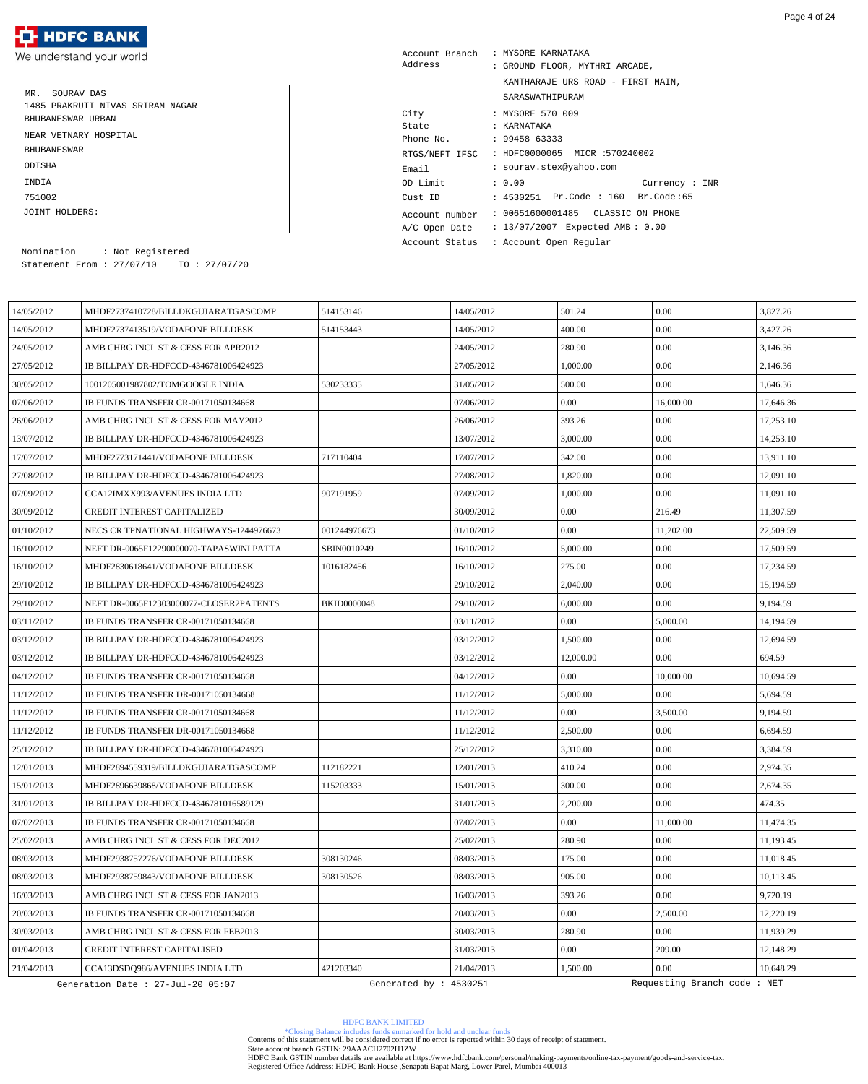We understand your world

| MR. SOURAV DAS<br>1485 PRAKRUTI NIVAS SRIRAM NAGAR<br>BHUBANESWAR URBAN |  |
|-------------------------------------------------------------------------|--|
| NEAR VETNARY HOSPITAL                                                   |  |
| <b>BHUBANE SWAR</b>                                                     |  |
| ODISHA                                                                  |  |
| INDIA                                                                   |  |
| 751002                                                                  |  |
| JOINT HOLDERS:                                                          |  |

| Account Branch<br>Address                        | : MYSORE KARNATAKA<br>: GROUND FLOOR, MYTHRI ARCADE, |  |  |  |  |
|--------------------------------------------------|------------------------------------------------------|--|--|--|--|
|                                                  | KANTHARAJE URS ROAD - FIRST MAIN,                    |  |  |  |  |
|                                                  | SARASWATHIPURAM                                      |  |  |  |  |
| City                                             | : MYSORE 570 009                                     |  |  |  |  |
| State                                            | : KARNATAKA                                          |  |  |  |  |
| Phone No.                                        | : 9945863333                                         |  |  |  |  |
| : HDFC0000065 MICR :570240002<br>RTGS/NEFT IFSC  |                                                      |  |  |  |  |
| Email                                            | : sourav.stex@yahoo.com                              |  |  |  |  |
| OD Limit                                         | : 0.00<br>Current: INR                               |  |  |  |  |
| Cust ID                                          | : 4530251 Pr.Code : 160 Br.Code:65                   |  |  |  |  |
| Account number                                   | : 00651600001485 CLASSIC ON PHONE                    |  |  |  |  |
| : 13/07/2007 Expected AMB: 0.00<br>A/C Open Date |                                                      |  |  |  |  |
| : Account Open Reqular<br>Account Status         |                                                      |  |  |  |  |

Statement From : 27/07/10 TO : 27/07/20 Nomination : Not Registered

| 14/05/2012 | MHDF2737410728/BILLDKGUJARATGASCOMP      | 514153146              | 14/05/2012 | 501.24    | 0.00                        | 3,827.26  |
|------------|------------------------------------------|------------------------|------------|-----------|-----------------------------|-----------|
| 14/05/2012 | MHDF2737413519/VODAFONE BILLDESK         | 514153443              | 14/05/2012 | 400.00    | 0.00                        | 3.427.26  |
| 24/05/2012 | AMB CHRG INCL ST & CESS FOR APR2012      |                        | 24/05/2012 | 280.90    | 0.00                        | 3,146.36  |
| 27/05/2012 | IB BILLPAY DR-HDFCCD-4346781006424923    |                        | 27/05/2012 | 1,000.00  | 0.00                        | 2,146.36  |
| 30/05/2012 | 1001205001987802/TOMGOOGLE INDIA         | 530233335              | 31/05/2012 | 500.00    | 0.00                        | 1,646.36  |
| 07/06/2012 | IB FUNDS TRANSFER CR-00171050134668      |                        | 07/06/2012 | 0.00      | 16,000.00                   | 17,646.36 |
| 26/06/2012 | AMB CHRG INCL ST & CESS FOR MAY2012      |                        | 26/06/2012 | 393.26    | 0.00                        | 17,253.10 |
| 13/07/2012 | IB BILLPAY DR-HDFCCD-4346781006424923    |                        | 13/07/2012 | 3,000.00  | 0.00                        | 14,253.10 |
| 17/07/2012 | MHDF2773171441/VODAFONE BILLDESK         | 717110404              | 17/07/2012 | 342.00    | 0.00                        | 13,911.10 |
| 27/08/2012 | IB BILLPAY DR-HDFCCD-4346781006424923    |                        | 27/08/2012 | 1,820.00  | 0.00                        | 12,091.10 |
| 07/09/2012 | CCA12IMXX993/AVENUES INDIA LTD           | 907191959              | 07/09/2012 | 1,000.00  | $0.00\,$                    | 11,091.10 |
| 30/09/2012 | <b>CREDIT INTEREST CAPITALIZED</b>       |                        | 30/09/2012 | 0.00      | 216.49                      | 11,307.59 |
| 01/10/2012 | NECS CR TPNATIONAL HIGHWAYS-1244976673   | 001244976673           | 01/10/2012 | 0.00      | 11,202.00                   | 22,509.59 |
| 16/10/2012 | NEFT DR-0065F12290000070-TAPASWINI PATTA | SBIN0010249            | 16/10/2012 | 5,000.00  | 0.00                        | 17,509.59 |
| 16/10/2012 | MHDF2830618641/VODAFONE BILLDESK         | 1016182456             | 16/10/2012 | 275.00    | $0.00\,$                    | 17,234.59 |
| 29/10/2012 | IB BILLPAY DR-HDFCCD-4346781006424923    |                        | 29/10/2012 | 2,040.00  | 0.00                        | 15,194.59 |
| 29/10/2012 | NEFT DR-0065F12303000077-CLOSER2PATENTS  | <b>BKID0000048</b>     | 29/10/2012 | 6,000.00  | 0.00                        | 9.194.59  |
| 03/11/2012 | IB FUNDS TRANSFER CR-00171050134668      |                        | 03/11/2012 | 0.00      | 5,000.00                    | 14,194.59 |
| 03/12/2012 | IB BILLPAY DR-HDFCCD-4346781006424923    |                        | 03/12/2012 | 1,500.00  | $0.00\,$                    | 12,694.59 |
| 03/12/2012 | IB BILLPAY DR-HDFCCD-4346781006424923    |                        | 03/12/2012 | 12,000.00 | 0.00                        | 694.59    |
| 04/12/2012 | IB FUNDS TRANSFER CR-00171050134668      |                        | 04/12/2012 | 0.00      | 10,000.00                   | 10,694.59 |
| 11/12/2012 | IB FUNDS TRANSFER DR-00171050134668      |                        | 11/12/2012 | 5,000.00  | 0.00                        | 5,694.59  |
| 11/12/2012 | IB FUNDS TRANSFER CR-00171050134668      |                        | 11/12/2012 | 0.00      | 3,500.00                    | 9,194.59  |
| 11/12/2012 | IB FUNDS TRANSFER DR-00171050134668      |                        | 11/12/2012 | 2,500.00  | 0.00                        | 6,694.59  |
| 25/12/2012 | IB BILLPAY DR-HDFCCD-4346781006424923    |                        | 25/12/2012 | 3,310.00  | 0.00                        | 3,384.59  |
| 12/01/2013 | MHDF2894559319/BILLDKGUJARATGASCOMP      | 112182221              | 12/01/2013 | 410.24    | 0.00                        | 2,974.35  |
| 15/01/2013 | MHDF2896639868/VODAFONE BILLDESK         | 115203333              | 15/01/2013 | 300.00    | 0.00                        | 2,674.35  |
| 31/01/2013 | IB BILLPAY DR-HDFCCD-4346781016589129    |                        | 31/01/2013 | 2,200.00  | 0.00                        | 474.35    |
| 07/02/2013 | IB FUNDS TRANSFER CR-00171050134668      |                        | 07/02/2013 | 0.00      | 11,000.00                   | 11,474.35 |
| 25/02/2013 | AMB CHRG INCL ST & CESS FOR DEC2012      |                        | 25/02/2013 | 280.90    | $0.00\,$                    | 11,193.45 |
| 08/03/2013 | MHDF2938757276/VODAFONE BILLDESK         | 308130246              | 08/03/2013 | 175.00    | $0.00\,$                    | 11,018.45 |
| 08/03/2013 | MHDF2938759843/VODAFONE BILLDESK         | 308130526              | 08/03/2013 | 905.00    | 0.00                        | 10,113.45 |
| 16/03/2013 | AMB CHRG INCL ST & CESS FOR JAN2013      |                        | 16/03/2013 | 393.26    | $0.00\,$                    | 9,720.19  |
| 20/03/2013 | IB FUNDS TRANSFER CR-00171050134668      |                        | 20/03/2013 | 0.00      | 2,500.00                    | 12,220.19 |
| 30/03/2013 | AMB CHRG INCL ST & CESS FOR FEB2013      |                        | 30/03/2013 | 280.90    | 0.00                        | 11,939.29 |
| 01/04/2013 | CREDIT INTEREST CAPITALISED              |                        | 31/03/2013 | 0.00      | 209.00                      | 12,148.29 |
| 21/04/2013 | CCA13DSDQ986/AVENUES INDIA LTD           | 421203340              | 21/04/2013 | 1,500.00  | 0.00                        | 10,648.29 |
|            | Generation Date : 27-Jul-20 05:07        | Generated by : 4530251 |            |           | Requesting Branch code: NET |           |

HDFC BANK LIMITED

\*Closing Balance includes funds enmarked for hold and unclear funds Contents of this statement will be considered correct if no error is reported within 30 days of receipt of statement.

State account branch GSTIN: 29AAACH2702H1ZW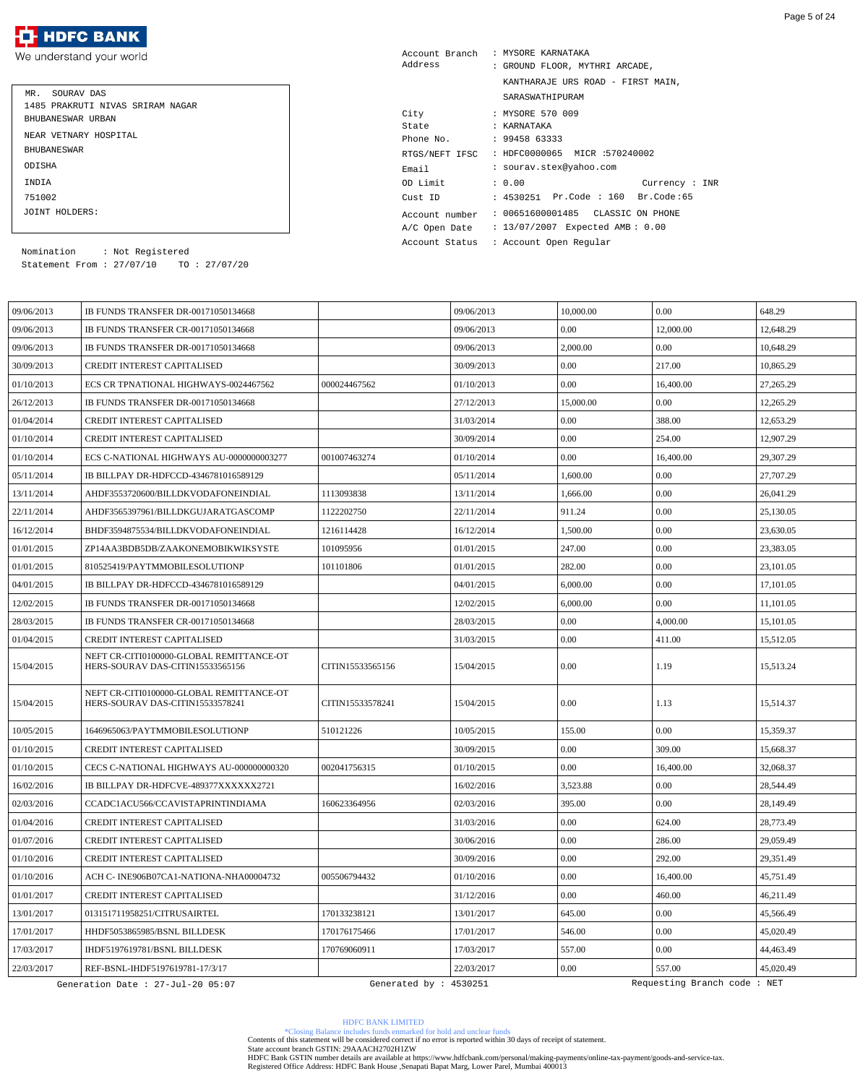We understand your world

| MR. SOURAV DAS                   |  |
|----------------------------------|--|
| 1485 PRAKRUTI NIVAS SRIRAM NAGAR |  |
| BHUBANESWAR URBAN                |  |
| NEAR VETNARY HOSPITAL            |  |
| <b>BHUBANE SWAR</b>              |  |
| ODISHA                           |  |
| INDIA                            |  |
| 751002                           |  |
| JOINT HOLDERS:                   |  |

| Account Branch | : MYSORE KARNATAKA                 |  |  |
|----------------|------------------------------------|--|--|
| Address        | : GROUND FLOOR, MYTHRI ARCADE,     |  |  |
|                | KANTHARAJE URS ROAD - FIRST MAIN,  |  |  |
|                | SARASWATHIPURAM                    |  |  |
| City           | : MYSORE 570 009                   |  |  |
| State          | : KARNATAKA                        |  |  |
| Phone No.      | : 9945863333                       |  |  |
| RTGS/NEFT IFSC | : HDFC0000065 MICR :570240002      |  |  |
| Email          | : sourav.stex@yahoo.com            |  |  |
| OD Limit       | : 0.00<br>Current : INR            |  |  |
| Cust ID        | : 4530251 Pr.Code : 160 Br.Code:65 |  |  |
| Account number | : 00651600001485 CLASSIC ON PHONE  |  |  |
| A/C Open Date  | : 13/07/2007 Expected AMB: 0.00    |  |  |
| Account Status | : Account Open Reqular             |  |  |

Statement From : 27/07/10 TO : 27/07/20 Nomination : Not Registered

| 09/06/2013 | <b>IB FUNDS TRANSFER DR-00171050134668</b>                                   |                        | 09/06/2013 | 10,000.00 | 0.00                        | 648.29    |
|------------|------------------------------------------------------------------------------|------------------------|------------|-----------|-----------------------------|-----------|
| 09/06/2013 | IB FUNDS TRANSFER CR-00171050134668                                          |                        | 09/06/2013 | 0.00      | 12,000.00                   | 12,648.29 |
| 09/06/2013 | IB FUNDS TRANSFER DR-00171050134668                                          |                        | 09/06/2013 | 2,000.00  | 0.00                        | 10,648.29 |
| 30/09/2013 | <b>CREDIT INTEREST CAPITALISED</b>                                           |                        | 30/09/2013 | 0.00      | 217.00                      | 10,865.29 |
| 01/10/2013 | ECS CR TPNATIONAL HIGHWAYS-0024467562                                        | 000024467562           | 01/10/2013 | 0.00      | 16,400.00                   | 27,265.29 |
| 26/12/2013 | IB FUNDS TRANSFER DR-00171050134668                                          |                        | 27/12/2013 | 15,000.00 | 0.00                        | 12,265.29 |
| 01/04/2014 | <b>CREDIT INTEREST CAPITALISED</b>                                           |                        | 31/03/2014 | 0.00      | 388.00                      | 12,653.29 |
| 01/10/2014 | <b>CREDIT INTEREST CAPITALISED</b>                                           |                        | 30/09/2014 | 0.00      | 254.00                      | 12,907.29 |
| 01/10/2014 | ECS C-NATIONAL HIGHWAYS AU-0000000003277                                     | 001007463274           | 01/10/2014 | 0.00      | 16,400.00                   | 29,307.29 |
| 05/11/2014 | IB BILLPAY DR-HDFCCD-4346781016589129                                        |                        | 05/11/2014 | 1,600.00  | 0.00                        | 27,707.29 |
| 13/11/2014 | AHDF3553720600/BILLDKVODAFONEINDIAL                                          | 1113093838             | 13/11/2014 | 1,666.00  | 0.00                        | 26,041.29 |
| 22/11/2014 | AHDF3565397961/BILLDKGUJARATGASCOMP                                          | 1122202750             | 22/11/2014 | 911.24    | 0.00                        | 25,130.05 |
| 16/12/2014 | BHDF3594875534/BILLDKVODAFONEINDIAL                                          | 1216114428             | 16/12/2014 | 1,500.00  | 0.00                        | 23,630.05 |
| 01/01/2015 | ZP14AA3BDB5DB/ZAAKONEMOBIKWIKSYSTE                                           | 101095956              | 01/01/2015 | 247.00    | 0.00                        | 23,383.05 |
| 01/01/2015 | 810525419/PAYTMMOBILESOLUTIONP                                               | 101101806              | 01/01/2015 | 282.00    | 0.00                        | 23,101.05 |
| 04/01/2015 | IB BILLPAY DR-HDFCCD-4346781016589129                                        |                        | 04/01/2015 | 6,000.00  | 0.00                        | 17,101.05 |
| 12/02/2015 | IB FUNDS TRANSFER DR-00171050134668                                          |                        | 12/02/2015 | 6,000.00  | 0.00                        | 11,101.05 |
| 28/03/2015 | IB FUNDS TRANSFER CR-00171050134668                                          |                        | 28/03/2015 | 0.00      | 4,000.00                    | 15,101.05 |
| 01/04/2015 | <b>CREDIT INTEREST CAPITALISED</b>                                           |                        | 31/03/2015 | 0.00      | 411.00                      | 15,512.05 |
| 15/04/2015 | NEFT CR-CITI0100000-GLOBAL REMITTANCE-OT<br>HERS-SOURAV DAS-CITIN15533565156 | CITIN15533565156       | 15/04/2015 | 0.00      | 1.19                        | 15,513.24 |
| 15/04/2015 | NEFT CR-CITI0100000-GLOBAL REMITTANCE-OT<br>HERS-SOURAV DAS-CITIN15533578241 | CITIN15533578241       | 15/04/2015 | 0.00      | 1.13                        | 15,514.37 |
| 10/05/2015 | 1646965063/PAYTMMOBILESOLUTIONP                                              | 510121226              | 10/05/2015 | 155.00    | 0.00                        | 15,359.37 |
| 01/10/2015 | <b>CREDIT INTEREST CAPITALISED</b>                                           |                        | 30/09/2015 | 0.00      | 309.00                      | 15,668.37 |
| 01/10/2015 | CECS C-NATIONAL HIGHWAYS AU-000000000320                                     | 002041756315           | 01/10/2015 | 0.00      | 16,400.00                   | 32,068.37 |
| 16/02/2016 | IB BILLPAY DR-HDFCVE-489377XXXXXX2721                                        |                        | 16/02/2016 | 3,523.88  | $0.00\,$                    | 28,544.49 |
| 02/03/2016 | CCADC1ACU566/CCAVISTAPRINTINDIAMA                                            | 160623364956           | 02/03/2016 | 395.00    | 0.00                        | 28,149.49 |
| 01/04/2016 | <b>CREDIT INTEREST CAPITALISED</b>                                           |                        | 31/03/2016 | 0.00      | 624.00                      | 28,773.49 |
| 01/07/2016 | CREDIT INTEREST CAPITALISED                                                  |                        | 30/06/2016 | 0.00      | 286.00                      | 29,059.49 |
| 01/10/2016 | <b>CREDIT INTEREST CAPITALISED</b>                                           |                        | 30/09/2016 | 0.00      | 292.00                      | 29,351.49 |
| 01/10/2016 | ACH C-INE906B07CA1-NATIONA-NHA00004732                                       | 005506794432           | 01/10/2016 | 0.00      | 16,400.00                   | 45,751.49 |
| 01/01/2017 | <b>CREDIT INTEREST CAPITALISED</b>                                           |                        | 31/12/2016 | 0.00      | 460.00                      | 46,211.49 |
| 13/01/2017 | 013151711958251/CITRUSAIRTEL                                                 | 170133238121           | 13/01/2017 | 645.00    | $0.00\,$                    | 45,566.49 |
| 17/01/2017 | HHDF5053865985/BSNL BILLDESK                                                 | 170176175466           | 17/01/2017 | 546.00    | $0.00\,$                    | 45,020.49 |
| 17/03/2017 | IHDF5197619781/BSNL BILLDESK                                                 | 170769060911           | 17/03/2017 | 557.00    | $0.00\,$                    | 44,463.49 |
| 22/03/2017 | REF-BSNL-IHDF5197619781-17/3/17                                              |                        | 22/03/2017 | 0.00      | 557.00                      | 45,020.49 |
|            | Generation Date : 27-Jul-20 05:07                                            | Generated by : 4530251 |            |           | Requesting Branch code: NET |           |

HDFC BANK LIMITED

\*Closing Balance includes funds enmarked for hold and unclear funds Contents of this statement will be considered correct if no error is reported within 30 days of receipt of statement.

State account branch GSTIN: 29AAACH2702H1ZW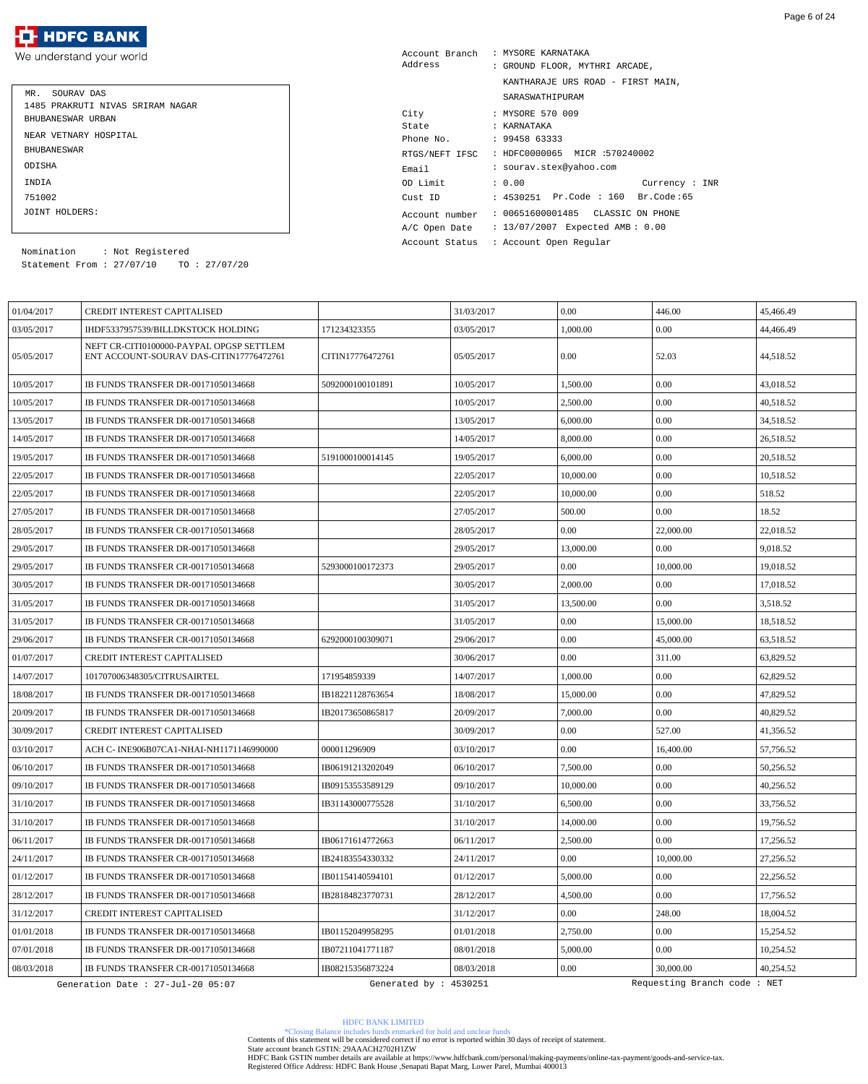We understand your world

| MR. SOURAV DAS                   |
|----------------------------------|
| 1485 PRAKRUTI NIVAS SRIRAM NAGAR |
| BHUBANESWAR URBAN                |
| NEAR VETNARY HOSPITAL            |
| <b>BHUBANE SWAR</b>              |
| ODISHA                           |
| <b>TNDTA</b>                     |
| 751002                           |
| JOINT HOLDERS:                   |

| Account Branch | : MYSORE KARNATAKA                  |
|----------------|-------------------------------------|
| Address        | : GROUND FLOOR, MYTHRI ARCADE,      |
|                | KANTHARAJE URS ROAD - FIRST MAIN,   |
|                | SARASWATHIPURAM                     |
| City           | : MYSORE 570 009                    |
| State          | : KARNATAKA                         |
| Phone No.      | : 9945863333                        |
| RTGS/NEFT IFSC | : HDFC0000065 MICR :570240002       |
| Email          | : sourav.stex@yahoo.com             |
| OD Limit       | : 0.00<br>Current: INR              |
| Cust ID        | : 4530251 Pr.Code : 160 Br.Code:65  |
| Account number | : 00651600001485  CLASSIC ON PHONE  |
| A/C Open Date  | : $13/07/2007$ Expected AMB: $0.00$ |

Account Status : Account Open Regular

Statement From : 27/07/10 TO : 27/07/20 Nomination : Not Registered

| 01/04/2017 | <b>CREDIT INTEREST CAPITALISED</b>                                                  |                  | 31/03/2017 | 0.00      | 446.00    | 45,466.49 |
|------------|-------------------------------------------------------------------------------------|------------------|------------|-----------|-----------|-----------|
| 03/05/2017 | IHDF5337957539/BILLDKSTOCK HOLDING                                                  | 171234323355     | 03/05/2017 | 1,000.00  | 0.00      | 44.466.49 |
| 05/05/2017 | NEFT CR-CITI0100000-PAYPAL OPGSP SETTLEM<br>ENT ACCOUNT-SOURAV DAS-CITIN17776472761 | CITIN17776472761 | 05/05/2017 | 0.00      | 52.03     | 44,518.52 |
| 10/05/2017 | IB FUNDS TRANSFER DR-00171050134668                                                 | 5092000100101891 | 10/05/2017 | 1,500.00  | 0.00      | 43,018.52 |
| 10/05/2017 | IB FUNDS TRANSFER DR-00171050134668                                                 |                  | 10/05/2017 | 2,500.00  | 0.00      | 40,518.52 |
| 13/05/2017 | <b>IB FUNDS TRANSFER DR-00171050134668</b>                                          |                  | 13/05/2017 | 6,000.00  | 0.00      | 34,518.52 |
| 14/05/2017 | IB FUNDS TRANSFER DR-00171050134668                                                 |                  | 14/05/2017 | 8,000.00  | 0.00      | 26,518.52 |
| 19/05/2017 | IB FUNDS TRANSFER DR-00171050134668                                                 | 5191000100014145 | 19/05/2017 | 6,000.00  | 0.00      | 20,518.52 |
| 22/05/2017 | IB FUNDS TRANSFER DR-00171050134668                                                 |                  | 22/05/2017 | 10,000.00 | 0.00      | 10,518.52 |
| 22/05/2017 | IB FUNDS TRANSFER DR-00171050134668                                                 |                  | 22/05/2017 | 10,000.00 | 0.00      | 518.52    |
| 27/05/2017 | IB FUNDS TRANSFER DR-00171050134668                                                 |                  | 27/05/2017 | 500.00    | 0.00      | 18.52     |
| 28/05/2017 | IB FUNDS TRANSFER CR-00171050134668                                                 |                  | 28/05/2017 | 0.00      | 22,000.00 | 22,018.52 |
| 29/05/2017 | IB FUNDS TRANSFER DR-00171050134668                                                 |                  | 29/05/2017 | 13,000.00 | 0.00      | 9,018.52  |
| 29/05/2017 | IB FUNDS TRANSFER CR-00171050134668                                                 | 5293000100172373 | 29/05/2017 | 0.00      | 10,000.00 | 19,018.52 |
| 30/05/2017 | IB FUNDS TRANSFER DR-00171050134668                                                 |                  | 30/05/2017 | 2,000.00  | 0.00      | 17,018.52 |
| 31/05/2017 | IB FUNDS TRANSFER DR-00171050134668                                                 |                  | 31/05/2017 | 13,500.00 | 0.00      | 3,518.52  |
| 31/05/2017 | IB FUNDS TRANSFER CR-00171050134668                                                 |                  | 31/05/2017 | 0.00      | 15,000.00 | 18,518.52 |
| 29/06/2017 | IB FUNDS TRANSFER CR-00171050134668                                                 | 6292000100309071 | 29/06/2017 | 0.00      | 45,000.00 | 63,518.52 |
| 01/07/2017 | <b>CREDIT INTEREST CAPITALISED</b>                                                  |                  | 30/06/2017 | $0.00\,$  | 311.00    | 63,829.52 |
| 14/07/2017 | 101707006348305/CITRUSAIRTEL                                                        | 171954859339     | 14/07/2017 | 1,000.00  | 0.00      | 62,829.52 |
| 18/08/2017 | IB FUNDS TRANSFER DR-00171050134668                                                 | IB18221128763654 | 18/08/2017 | 15,000.00 | 0.00      | 47,829.52 |
| 20/09/2017 | <b>IB FUNDS TRANSFER DR-00171050134668</b>                                          | IB20173650865817 | 20/09/2017 | 7,000.00  | 0.00      | 40,829.52 |
| 30/09/2017 | <b>CREDIT INTEREST CAPITALISED</b>                                                  |                  | 30/09/2017 | 0.00      | 527.00    | 41,356.52 |
| 03/10/2017 | ACH C- INE906B07CA1-NHAI-NH1171146990000                                            | 000011296909     | 03/10/2017 | 0.00      | 16,400.00 | 57.756.52 |
| 06/10/2017 | IB FUNDS TRANSFER DR-00171050134668                                                 | IB06191213202049 | 06/10/2017 | 7,500.00  | $0.00\,$  | 50,256.52 |
| 09/10/2017 | IB FUNDS TRANSFER DR-00171050134668                                                 | IB09153553589129 | 09/10/2017 | 10,000.00 | 0.00      | 40,256.52 |
| 31/10/2017 | IB FUNDS TRANSFER DR-00171050134668                                                 | IB31143000775528 | 31/10/2017 | 6,500.00  | 0.00      | 33,756.52 |
| 31/10/2017 | IB FUNDS TRANSFER DR-00171050134668                                                 |                  | 31/10/2017 | 14,000.00 | 0.00      | 19,756.52 |
| 06/11/2017 | IB FUNDS TRANSFER DR-00171050134668                                                 | IB06171614772663 | 06/11/2017 | 2,500.00  | 0.00      | 17,256.52 |
| 24/11/2017 | IB FUNDS TRANSFER CR-00171050134668                                                 | IB24183554330332 | 24/11/2017 | 0.00      | 10,000.00 | 27,256.52 |
| 01/12/2017 | IB FUNDS TRANSFER DR-00171050134668                                                 | IB01154140594101 | 01/12/2017 | 5,000.00  | 0.00      | 22,256.52 |
| 28/12/2017 | IB FUNDS TRANSFER DR-00171050134668                                                 | IB28184823770731 | 28/12/2017 | 4,500.00  | $0.00\,$  | 17,756.52 |
| 31/12/2017 | <b>CREDIT INTEREST CAPITALISED</b>                                                  |                  | 31/12/2017 | 0.00      | 248.00    | 18,004.52 |
| 01/01/2018 | IB FUNDS TRANSFER DR-00171050134668                                                 | IB01152049958295 | 01/01/2018 | 2,750.00  | 0.00      | 15,254.52 |
| 07/01/2018 | IB FUNDS TRANSFER DR-00171050134668                                                 | IB07211041771187 | 08/01/2018 | 5,000.00  | 0.00      | 10,254.52 |
| 08/03/2018 | IB FUNDS TRANSFER CR-00171050134668                                                 | IB08215356873224 | 08/03/2018 | 0.00      | 30,000.00 | 40,254.52 |
|            |                                                                                     |                  |            |           |           |           |

\*Closing Balance includes funds enmarked for hold and unclear funds Contents of this statement will be considered correct if no error is reported within 30 days of receipt of statement.

State account branch GSTIN: 29AAACH2702H1ZW

HDFC BANK LIMITED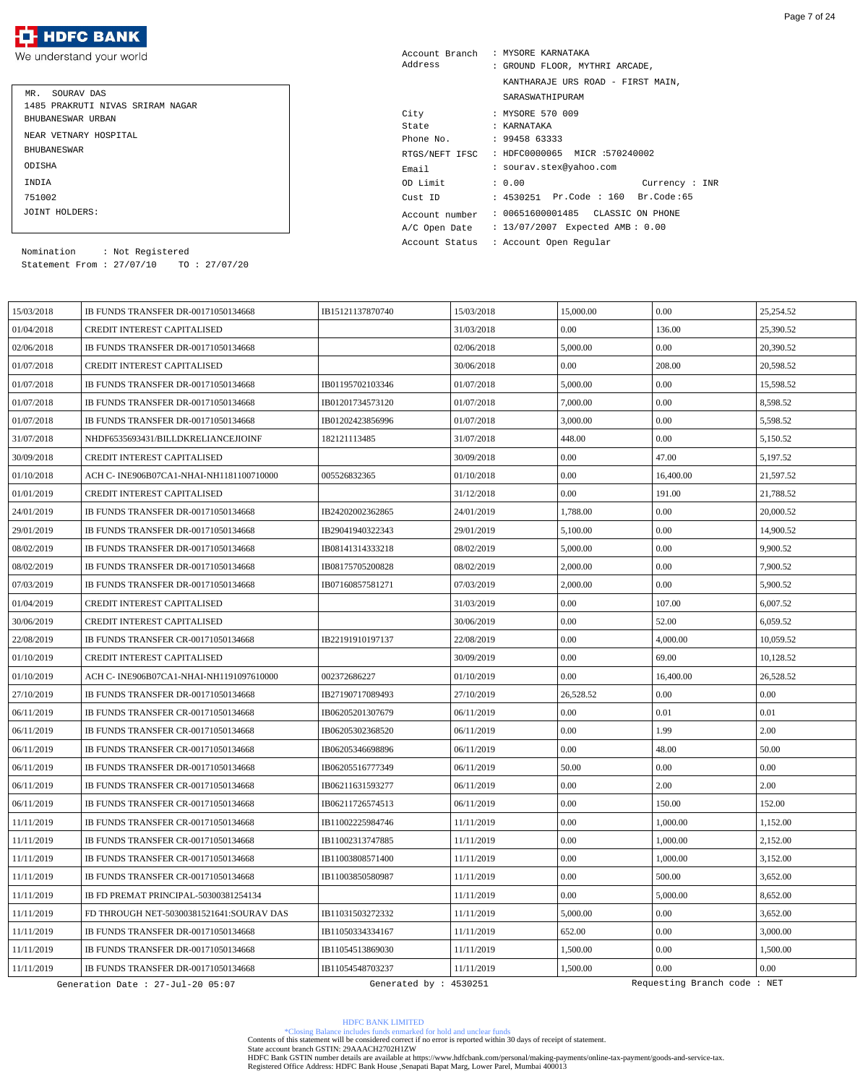We understand your world

| MR. SOURAV DAS<br>1485 PRAKRUTI NIVAS SRIRAM NAGAR<br>BHUBANESWAR URBAN |
|-------------------------------------------------------------------------|
| NEAR VETNARY HOSPITAL                                                   |
| <b>BHUBANE SWAR</b>                                                     |
| ODISHA                                                                  |
| INDIA                                                                   |
| 751002                                                                  |
| JOINT HOLDERS:                                                          |

| Account Branch | : MYSORE KARNATAKA                 |
|----------------|------------------------------------|
| Address        | : GROUND FLOOR, MYTHRI ARCADE,     |
|                | KANTHARAJE URS ROAD - FIRST MAIN,  |
|                | SARASWATHIPURAM                    |
| City           | : MYSORE 570 009                   |
| State          | : KARNATAKA                        |
| Phone No.      | : 9945863333                       |
| RTGS/NEFT IFSC | : HDFC0000065 MICR :570240002      |
| Email          | : sourav.stex@yahoo.com            |
| OD Limit       | : 0.00<br>Current : INR            |
| Cust ID        | : 4530251 Pr.Code : 160 Br.Code:65 |
| Account number | : 00651600001485 CLASSIC ON PHONE  |
| A/C Open Date  | : 13/07/2007 Expected AMB: 0.00    |
| Account Status | : Account Open Regular             |

Statement From : 27/07/10 TO : 27/07/20 Nomination : Not Registered

| 15/03/2018 | IB FUNDS TRANSFER DR-00171050134668        | IB15121137870740       | 15/03/2018 | 15,000.00 | 0.00                        | 25,254.52 |
|------------|--------------------------------------------|------------------------|------------|-----------|-----------------------------|-----------|
| 01/04/2018 | CREDIT INTEREST CAPITALISED                |                        | 31/03/2018 | 0.00      | 136.00                      | 25,390.52 |
| 02/06/2018 | IB FUNDS TRANSFER DR-00171050134668        |                        | 02/06/2018 | 5,000.00  | 0.00                        | 20,390.52 |
| 01/07/2018 | CREDIT INTEREST CAPITALISED                |                        | 30/06/2018 | 0.00      | 208.00                      | 20,598.52 |
| 01/07/2018 | IB FUNDS TRANSFER DR-00171050134668        | IB01195702103346       | 01/07/2018 | 5,000.00  | 0.00                        | 15,598.52 |
| 01/07/2018 | IB FUNDS TRANSFER DR-00171050134668        | IB01201734573120       | 01/07/2018 | 7,000.00  | 0.00                        | 8,598.52  |
| 01/07/2018 | IB FUNDS TRANSFER DR-00171050134668        | IB01202423856996       | 01/07/2018 | 3,000.00  | 0.00                        | 5.598.52  |
| 31/07/2018 | NHDF6535693431/BILLDKRELIANCEJIOINF        | 182121113485           | 31/07/2018 | 448.00    | 0.00                        | 5,150.52  |
| 30/09/2018 | CREDIT INTEREST CAPITALISED                |                        | 30/09/2018 | 0.00      | 47.00                       | 5.197.52  |
| 01/10/2018 | ACH C- INE906B07CA1-NHAI-NH1181100710000   | 005526832365           | 01/10/2018 | 0.00      | 16,400.00                   | 21,597.52 |
| 01/01/2019 | CREDIT INTEREST CAPITALISED                |                        | 31/12/2018 | 0.00      | 191.00                      | 21,788.52 |
| 24/01/2019 | IB FUNDS TRANSFER DR-00171050134668        | IB24202002362865       | 24/01/2019 | 1,788.00  | 0.00                        | 20,000.52 |
| 29/01/2019 | IB FUNDS TRANSFER DR-00171050134668        | IB29041940322343       | 29/01/2019 | 5,100.00  | 0.00                        | 14,900.52 |
| 08/02/2019 | IB FUNDS TRANSFER DR-00171050134668        | IB08141314333218       | 08/02/2019 | 5,000.00  | 0.00                        | 9,900.52  |
| 08/02/2019 | IB FUNDS TRANSFER DR-00171050134668        | IB08175705200828       | 08/02/2019 | 2,000.00  | 0.00                        | 7,900.52  |
| 07/03/2019 | IB FUNDS TRANSFER DR-00171050134668        | IB07160857581271       | 07/03/2019 | 2,000.00  | 0.00                        | 5,900.52  |
| 01/04/2019 | CREDIT INTEREST CAPITALISED                |                        | 31/03/2019 | 0.00      | 107.00                      | 6,007.52  |
| 30/06/2019 | CREDIT INTEREST CAPITALISED                |                        | 30/06/2019 | 0.00      | 52.00                       | 6,059.52  |
| 22/08/2019 | <b>IB FUNDS TRANSFER CR-00171050134668</b> | IB22191910197137       | 22/08/2019 | 0.00      | 4,000.00                    | 10,059.52 |
| 01/10/2019 | CREDIT INTEREST CAPITALISED                |                        | 30/09/2019 | 0.00      | 69.00                       | 10,128.52 |
| 01/10/2019 | ACH C- INE906B07CA1-NHAI-NH1191097610000   | 002372686227           | 01/10/2019 | 0.00      | 16,400.00                   | 26,528.52 |
| 27/10/2019 | IB FUNDS TRANSFER DR-00171050134668        | IB27190717089493       | 27/10/2019 | 26,528.52 | 0.00                        | 0.00      |
| 06/11/2019 | <b>IB FUNDS TRANSFER CR-00171050134668</b> | IB06205201307679       | 06/11/2019 | 0.00      | 0.01                        | $0.01\,$  |
| 06/11/2019 | <b>IB FUNDS TRANSFER CR-00171050134668</b> | IB06205302368520       | 06/11/2019 | 0.00      | 1.99                        | 2.00      |
| 06/11/2019 | IB FUNDS TRANSFER CR-00171050134668        | IB06205346698896       | 06/11/2019 | 0.00      | 48.00                       | 50.00     |
| 06/11/2019 | IB FUNDS TRANSFER DR-00171050134668        | IB06205516777349       | 06/11/2019 | 50.00     | 0.00                        | 0.00      |
| 06/11/2019 | <b>IB FUNDS TRANSFER CR-00171050134668</b> | IB06211631593277       | 06/11/2019 | 0.00      | 2.00                        | 2.00      |
| 06/11/2019 | IB FUNDS TRANSFER CR-00171050134668        | IB06211726574513       | 06/11/2019 | 0.00      | 150.00                      | 152.00    |
| 11/11/2019 | IB FUNDS TRANSFER CR-00171050134668        | IB11002225984746       | 11/11/2019 | 0.00      | 1,000.00                    | 1,152.00  |
| 11/11/2019 | IB FUNDS TRANSFER CR-00171050134668        | IB11002313747885       | 11/11/2019 | 0.00      | 1,000.00                    | 2,152.00  |
| 11/11/2019 | IB FUNDS TRANSFER CR-00171050134668        | IB11003808571400       | 11/11/2019 | 0.00      | 1,000.00                    | 3,152.00  |
| 11/11/2019 | IB FUNDS TRANSFER CR-00171050134668        | IB11003850580987       | 11/11/2019 | 0.00      | 500.00                      | 3,652.00  |
| 11/11/2019 | IB FD PREMAT PRINCIPAL-50300381254134      |                        | 11/11/2019 | 0.00      | 5,000.00                    | 8,652.00  |
| 11/11/2019 | FD THROUGH NET-50300381521641:SOURAV DAS   | IB11031503272332       | 11/11/2019 | 5,000.00  | 0.00                        | 3,652.00  |
| 11/11/2019 | IB FUNDS TRANSFER DR-00171050134668        | IB11050334334167       | 11/11/2019 | 652.00    | 0.00                        | 3,000.00  |
| 11/11/2019 | IB FUNDS TRANSFER DR-00171050134668        | IB11054513869030       | 11/11/2019 | 1,500.00  | 0.00                        | 1,500.00  |
| 11/11/2019 | IB FUNDS TRANSFER DR-00171050134668        | IB11054548703237       | 11/11/2019 | 1,500.00  | 0.00                        | 0.00      |
|            | Generation Date : 27-Jul-20 05:07          | Generated by : 4530251 |            |           | Requesting Branch code: NET |           |

HDFC BANK LIMITED

\*Closing Balance includes funds enmarked for hold and unclear funds Contents of this statement will be considered correct if no error is reported within 30 days of receipt of statement.

State account branch GSTIN: 29AAACH2702H1ZW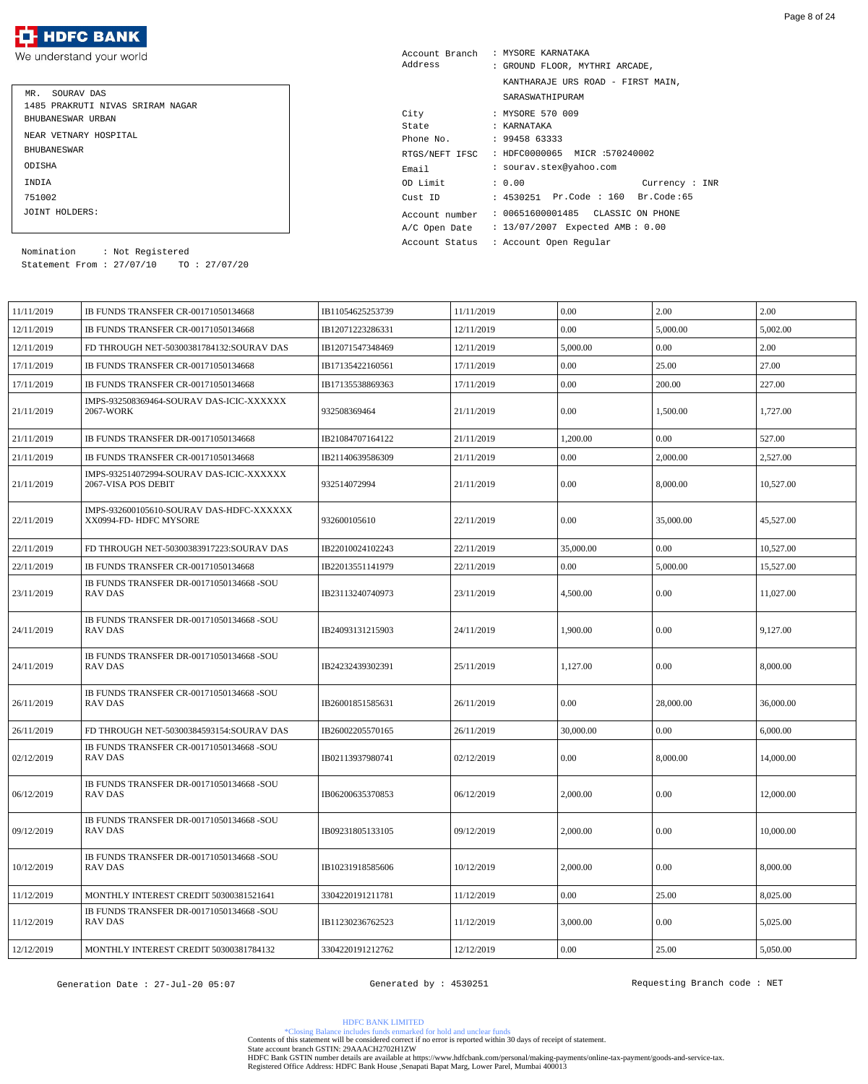We understand your world

| MR. SOURAV DAS                   |
|----------------------------------|
| 1485 PRAKRUTI NIVAS SRIRAM NAGAR |
| BHUBANESWAR URBAN                |
| NEAR VETNARY HOSPITAL            |
| <b>BHUBANE SWAR</b>              |
| ODISHA                           |
| INDIA                            |
| 751002                           |
| JOINT HOLDERS:                   |

| Account Branch | : MYSORE KARNATAKA                 |  |  |  |
|----------------|------------------------------------|--|--|--|
| Address        | : GROUND FLOOR, MYTHRI ARCADE,     |  |  |  |
|                | KANTHARAJE URS ROAD - FIRST MAIN,  |  |  |  |
|                | SARASWATHIPURAM                    |  |  |  |
| City           | : MYSORE 570 009                   |  |  |  |
| State          | : KARNATAKA                        |  |  |  |
| Phone No.      | : 9945863333                       |  |  |  |
| RTGS/NEFT IFSC | : HDFC0000065 MICR :570240002      |  |  |  |
| Email          | : sourav.stex@yahoo.com            |  |  |  |
| OD Limit       | : 0.00<br>Currency : INR           |  |  |  |
| Cust ID        | : 4530251 Pr.Code : 160 Br.Code:65 |  |  |  |
| Account number | : 00651600001485 CLASSIC ON PHONE  |  |  |  |
| A/C Open Date  | : 13/07/2007 Expected AMB: 0.00    |  |  |  |
| Account Status | : Account Open Reqular             |  |  |  |

Statement From : 27/07/10 TO : 27/07/20 Nomination : Not Registered

| 11/11/2019 | IB FUNDS TRANSFER CR-00171050134668                                | IB11054625253739 | 11/11/2019 | 0.00      | 2.00      | 2.00      |
|------------|--------------------------------------------------------------------|------------------|------------|-----------|-----------|-----------|
| 12/11/2019 | IB FUNDS TRANSFER CR-00171050134668                                | IB12071223286331 | 12/11/2019 | 0.00      | 5,000.00  | 5,002.00  |
| 12/11/2019 | FD THROUGH NET-50300381784132:SOURAV DAS                           | IB12071547348469 | 12/11/2019 | 5,000.00  | 0.00      | 2.00      |
| 17/11/2019 | IB FUNDS TRANSFER CR-00171050134668                                | IB17135422160561 | 17/11/2019 | 0.00      | 25.00     | 27.00     |
| 17/11/2019 | IB FUNDS TRANSFER CR-00171050134668                                | IB17135538869363 | 17/11/2019 | $0.00\,$  | 200.00    | 227.00    |
| 21/11/2019 | IMPS-932508369464-SOURAV DAS-ICIC-XXXXXX<br>2067-WORK              | 932508369464     | 21/11/2019 | 0.00      | 1,500.00  | 1,727.00  |
| 21/11/2019 | IB FUNDS TRANSFER DR-00171050134668                                | IB21084707164122 | 21/11/2019 | 1,200.00  | 0.00      | 527.00    |
| 21/11/2019 | IB FUNDS TRANSFER CR-00171050134668                                | IB21140639586309 | 21/11/2019 | 0.00      | 2,000.00  | 2,527.00  |
| 21/11/2019 | IMPS-932514072994-SOURAV DAS-ICIC-XXXXXX<br>2067-VISA POS DEBIT    | 932514072994     | 21/11/2019 | 0.00      | 8,000.00  | 10,527.00 |
| 22/11/2019 | IMPS-932600105610-SOURAV DAS-HDFC-XXXXXX<br>XX0994-FD- HDFC MYSORE | 932600105610     | 22/11/2019 | 0.00      | 35,000.00 | 45,527.00 |
| 22/11/2019 | FD THROUGH NET-50300383917223:SOURAV DAS                           | IB22010024102243 | 22/11/2019 | 35,000.00 | 0.00      | 10,527.00 |
| 22/11/2019 | IB FUNDS TRANSFER CR-00171050134668                                | IB22013551141979 | 22/11/2019 | 0.00      | 5,000.00  | 15,527.00 |
| 23/11/2019 | IB FUNDS TRANSFER DR-00171050134668 -SOU<br>RAV DAS                | IB23113240740973 | 23/11/2019 | 4,500.00  | 0.00      | 11,027.00 |
| 24/11/2019 | IB FUNDS TRANSFER DR-00171050134668 -SOU<br><b>RAV DAS</b>         | IB24093131215903 | 24/11/2019 | 1,900.00  | 0.00      | 9,127.00  |
| 24/11/2019 | IB FUNDS TRANSFER DR-00171050134668 -SOU<br>RAV DAS                | IB24232439302391 | 25/11/2019 | 1,127.00  | 0.00      | 8,000.00  |
| 26/11/2019 | IB FUNDS TRANSFER CR-00171050134668 -SOU<br><b>RAV DAS</b>         | IB26001851585631 | 26/11/2019 | 0.00      | 28,000.00 | 36,000.00 |
| 26/11/2019 | FD THROUGH NET-50300384593154:SOURAV DAS                           | IB26002205570165 | 26/11/2019 | 30,000.00 | 0.00      | 6,000.00  |
| 02/12/2019 | IB FUNDS TRANSFER CR-00171050134668 -SOU<br><b>RAV DAS</b>         | IB02113937980741 | 02/12/2019 | 0.00      | 8,000.00  | 14,000.00 |
| 06/12/2019 | IB FUNDS TRANSFER DR-00171050134668 -SOU<br>RAV DAS                | IB06200635370853 | 06/12/2019 | 2,000.00  | $0.00\,$  | 12,000.00 |
| 09/12/2019 | IB FUNDS TRANSFER DR-00171050134668 -SOU<br>RAV DAS                | IB09231805133105 | 09/12/2019 | 2,000.00  | 0.00      | 10,000.00 |
| 10/12/2019 | IB FUNDS TRANSFER DR-00171050134668 -SOU<br>RAV DAS                | IB10231918585606 | 10/12/2019 | 2,000.00  | 0.00      | 8,000.00  |
| 11/12/2019 | MONTHLY INTEREST CREDIT 50300381521641                             | 3304220191211781 | 11/12/2019 | 0.00      | 25.00     | 8,025.00  |
| 11/12/2019 | IB FUNDS TRANSFER DR-00171050134668 -SOU<br><b>RAV DAS</b>         | IB11230236762523 | 11/12/2019 | 3,000.00  | 0.00      | 5,025.00  |
| 12/12/2019 | MONTHLY INTEREST CREDIT 50300381784132                             | 3304220191212762 | 12/12/2019 | $0.00\,$  | 25.00     | 5,050.00  |
|            |                                                                    |                  |            |           |           |           |

Page 8 of 24

Generation Date : 27-Jul-20 05:07 (Generated by : 4530251 ) Requesting Branch code : NET

HDFC BANK LIMITED

\*Closing Balance includes funds enmarked for hold and unclear funds Contents of this statement will be considered correct if no error is reported within 30 days of receipt of statement.

State account branch GSTIN: 29AAACH2702H1ZW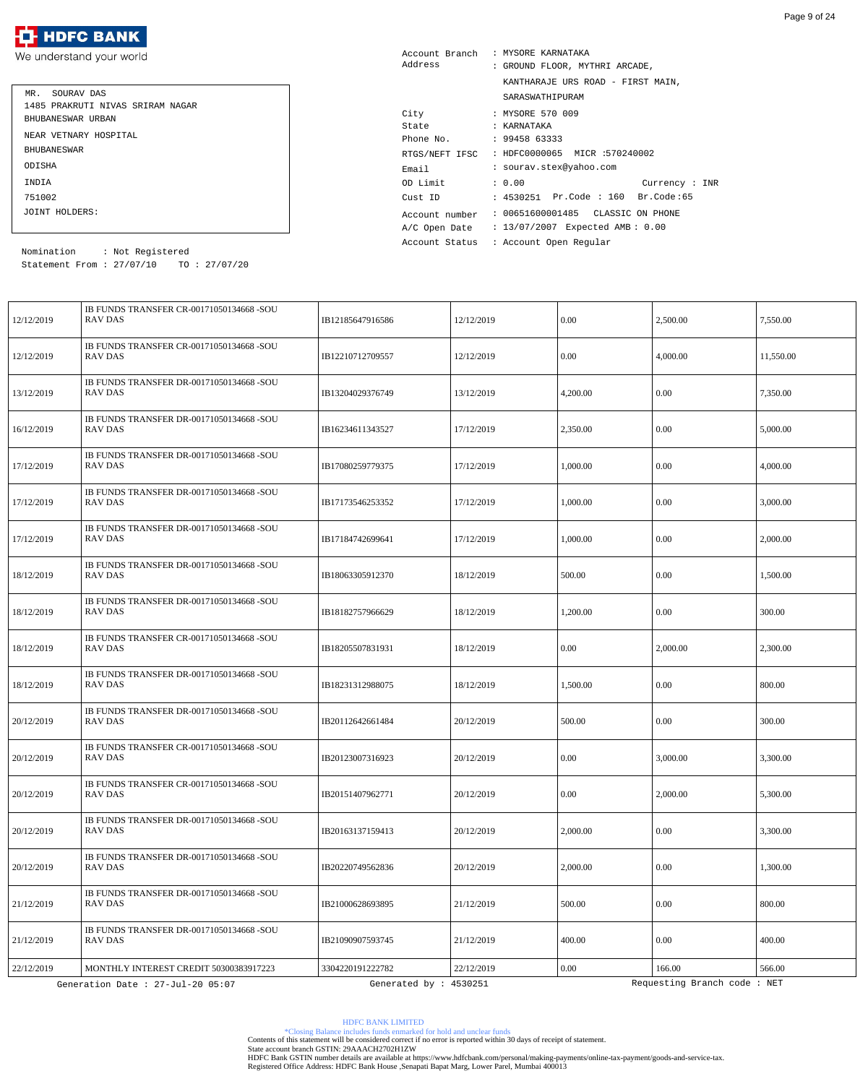| MR. SOURAV DAS                   |
|----------------------------------|
| 1485 PRAKRUTI NIVAS SRIRAM NAGAR |
| BHUBANESWAR URBAN                |
| NEAR VETNARY HOSPITAL            |
| <b>BHUBANE SWAR</b>              |
| ODISHA                           |
| INDIA                            |
| 751002                           |
| JOINT HOLDERS:                   |

| Account Branch | : MYSORE KARNATAKA                 |
|----------------|------------------------------------|
| Address        | : GROUND FLOOR, MYTHRI ARCADE,     |
|                | KANTHARAJE URS ROAD - FIRST MAIN,  |
|                | SARASWATHIPURAM                    |
| City           | : MYSORE 570 009                   |
| State          | : KARNATAKA                        |
| Phone No.      | : 9945863333                       |
| RTGS/NEFT IFSC | : HDFC0000065 MICR :570240002      |
| Email          | : sourav.stex@yahoo.com            |
| OD Limit       | : 0.00<br>Current : INR            |
| Cust ID        | : 4530251 Pr.Code : 160 Br.Code:65 |
| Account number | : 00651600001485  CLASSIC ON PHONE |
| A/C Open Date  | : 13/07/2007 Expected AMB: 0.00    |
| Account Status | : Account Open Regular             |

Statement From : 27/07/10 TO : 27/07/20 Nomination : Not Registered

| 12/12/2019 | IB FUNDS TRANSFER CR-00171050134668 -SOU<br>RAV DAS        | IB12185647916586       | 12/12/2019 | 0.00     | 2,500.00                    | 7,550.00  |
|------------|------------------------------------------------------------|------------------------|------------|----------|-----------------------------|-----------|
| 12/12/2019 | IB FUNDS TRANSFER CR-00171050134668 -SOU<br>RAV DAS        | IB12210712709557       | 12/12/2019 | 0.00     | 4,000.00                    | 11,550.00 |
| 13/12/2019 | IB FUNDS TRANSFER DR-00171050134668 -SOU<br>RAV DAS        | IB13204029376749       | 13/12/2019 | 4,200.00 | 0.00                        | 7,350.00  |
| 16/12/2019 | IB FUNDS TRANSFER DR-00171050134668 -SOU<br>RAV DAS        | IB16234611343527       | 17/12/2019 | 2,350.00 | 0.00                        | 5,000.00  |
| 17/12/2019 | IB FUNDS TRANSFER DR-00171050134668 -SOU<br>RAV DAS        | IB17080259779375       | 17/12/2019 | 1,000.00 | 0.00                        | 4,000.00  |
| 17/12/2019 | IB FUNDS TRANSFER DR-00171050134668 -SOU<br>RAV DAS        | IB17173546253352       | 17/12/2019 | 1,000.00 | 0.00                        | 3,000.00  |
| 17/12/2019 | IB FUNDS TRANSFER DR-00171050134668 -SOU<br><b>RAV DAS</b> | IB17184742699641       | 17/12/2019 | 1,000.00 | 0.00                        | 2,000.00  |
| 18/12/2019 | IB FUNDS TRANSFER DR-00171050134668 -SOU<br>RAV DAS        | IB18063305912370       | 18/12/2019 | 500.00   | 0.00                        | 1,500.00  |
| 18/12/2019 | IB FUNDS TRANSFER DR-00171050134668 -SOU<br>RAV DAS        | IB18182757966629       | 18/12/2019 | 1,200.00 | 0.00                        | 300.00    |
| 18/12/2019 | IB FUNDS TRANSFER CR-00171050134668 -SOU<br><b>RAV DAS</b> | IB18205507831931       | 18/12/2019 | 0.00     | 2,000.00                    | 2,300.00  |
| 18/12/2019 | IB FUNDS TRANSFER DR-00171050134668 -SOU<br><b>RAV DAS</b> | IB18231312988075       | 18/12/2019 | 1,500.00 | 0.00                        | 800.00    |
| 20/12/2019 | IB FUNDS TRANSFER DR-00171050134668 -SOU<br><b>RAV DAS</b> | IB20112642661484       | 20/12/2019 | 500.00   | 0.00                        | 300.00    |
| 20/12/2019 | IB FUNDS TRANSFER CR-00171050134668 -SOU<br><b>RAV DAS</b> | IB20123007316923       | 20/12/2019 | 0.00     | 3,000.00                    | 3,300.00  |
| 20/12/2019 | IB FUNDS TRANSFER CR-00171050134668 -SOU<br><b>RAV DAS</b> | IB20151407962771       | 20/12/2019 | $0.00\,$ | 2,000.00                    | 5,300.00  |
| 20/12/2019 | IB FUNDS TRANSFER DR-00171050134668 -SOU<br><b>RAV DAS</b> | IB20163137159413       | 20/12/2019 | 2,000.00 | 0.00                        | 3,300.00  |
| 20/12/2019 | IB FUNDS TRANSFER DR-00171050134668 -SOU<br><b>RAV DAS</b> | IB20220749562836       | 20/12/2019 | 2,000.00 | 0.00                        | 1,300.00  |
| 21/12/2019 | IB FUNDS TRANSFER DR-00171050134668 -SOU<br><b>RAV DAS</b> | IB21000628693895       | 21/12/2019 | 500.00   | 0.00                        | 800.00    |
| 21/12/2019 | IB FUNDS TRANSFER DR-00171050134668 -SOU<br>RAV DAS        | IB21090907593745       | 21/12/2019 | 400.00   | 0.00                        | 400.00    |
| 22/12/2019 | MONTHLY INTEREST CREDIT 50300383917223                     | 3304220191222782       | 22/12/2019 | $0.00\,$ | 166.00                      | 566.00    |
|            | Generation Date : 27-Jul-20 05:07                          | Generated by : 4530251 |            |          | Requesting Branch code: NET |           |

HDFC BANK LIMITED

\*Closing Balance includes funds enmarked for hold and unclear funds Contents of this statement will be considered correct if no error is reported within 30 days of receipt of statement.

State account branch GSTIN: 29AAACH2702H1ZW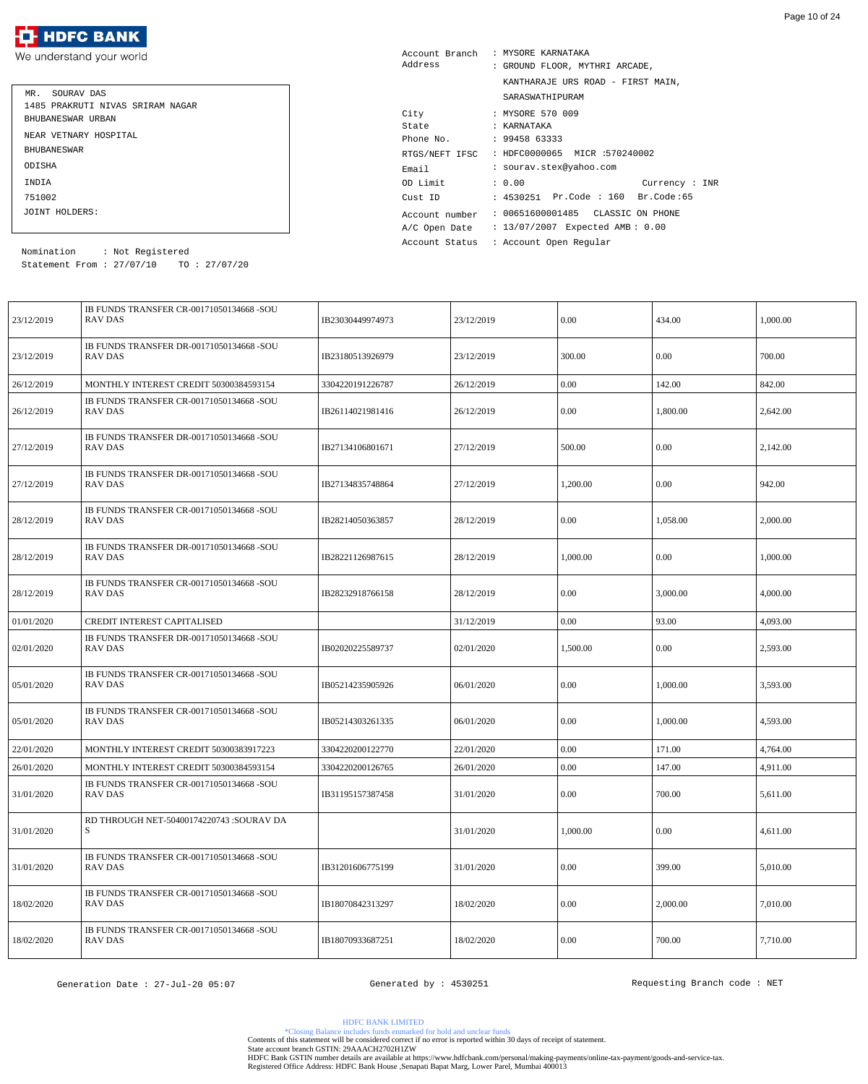| MR. SOURAV DAS                   |
|----------------------------------|
| 1485 PRAKRUTI NIVAS SRIRAM NAGAR |
| BHUBANESWAR URBAN                |
| NEAR VETNARY HOSPITAL            |
| <b>BHUBANE SWAR</b>              |
| ODISHA                           |
| INDIA                            |
| 751002                           |
| JOINT HOLDERS:                   |

| Account Branch | : MYSORE KARNATAKA                 |
|----------------|------------------------------------|
| Address        | : GROUND FLOOR, MYTHRI ARCADE,     |
|                | KANTHARAJE URS ROAD - FIRST MAIN,  |
|                | SARASWATHIPURAM                    |
| City           | : MYSORE 570 009                   |
| State          | : KARNATAKA                        |
| Phone No.      | : 9945863333                       |
| RTGS/NEFT IFSC | : HDFC0000065 MICR :570240002      |
| Email          | : sourav.stex@yahoo.com            |
| OD Limit       | : 0.00<br>Current: INR             |
| Cust ID        | : 4530251 Pr.Code : 160 Br.Code:65 |
| Account number | : 00651600001485 CLASSIC ON PHONE  |
| A/C Open Date  | : 13/07/2007 Expected AMB: 0.00    |
| Account Status | : Account Open Reqular             |

Statement From : 27/07/10 TO : 27/07/20 Nomination : Not Registered

| 23/12/2019 | IB FUNDS TRANSFER CR-00171050134668 -SOU<br>RAV DAS        | IB23030449974973 | 23/12/2019 | 0.00     | 434.00   | 1,000.00 |
|------------|------------------------------------------------------------|------------------|------------|----------|----------|----------|
| 23/12/2019 | IB FUNDS TRANSFER DR-00171050134668 -SOU<br>RAV DAS        | IB23180513926979 | 23/12/2019 | 300.00   | 0.00     | 700.00   |
| 26/12/2019 | MONTHLY INTEREST CREDIT 50300384593154                     | 3304220191226787 | 26/12/2019 | $0.00\,$ | 142.00   | 842.00   |
| 26/12/2019 | IB FUNDS TRANSFER CR-00171050134668 -SOU<br>RAV DAS        | IB26114021981416 | 26/12/2019 | 0.00     | 1,800.00 | 2,642.00 |
| 27/12/2019 | IB FUNDS TRANSFER DR-00171050134668 -SOU<br>RAV DAS        | IB27134106801671 | 27/12/2019 | 500.00   | 0.00     | 2,142.00 |
| 27/12/2019 | IB FUNDS TRANSFER DR-00171050134668 -SOU<br>RAV DAS        | IB27134835748864 | 27/12/2019 | 1,200.00 | 0.00     | 942.00   |
| 28/12/2019 | IB FUNDS TRANSFER CR-00171050134668 -SOU<br>RAV DAS        | IB28214050363857 | 28/12/2019 | $0.00\,$ | 1,058.00 | 2,000.00 |
| 28/12/2019 | IB FUNDS TRANSFER DR-00171050134668 -SOU<br>RAV DAS        | IB28221126987615 | 28/12/2019 | 1,000.00 | 0.00     | 1,000.00 |
| 28/12/2019 | IB FUNDS TRANSFER CR-00171050134668 -SOU<br>RAV DAS        | IB28232918766158 | 28/12/2019 | 0.00     | 3,000.00 | 4,000.00 |
| 01/01/2020 | CREDIT INTEREST CAPITALISED                                |                  | 31/12/2019 | $0.00\,$ | 93.00    | 4,093.00 |
| 02/01/2020 | IB FUNDS TRANSFER DR-00171050134668 -SOU<br>RAV DAS        | IB02020225589737 | 02/01/2020 | 1,500.00 | 0.00     | 2,593.00 |
| 05/01/2020 | IB FUNDS TRANSFER CR-00171050134668 -SOU<br><b>RAV DAS</b> | IB05214235905926 | 06/01/2020 | 0.00     | 1,000.00 | 3,593.00 |
| 05/01/2020 | IB FUNDS TRANSFER CR-00171050134668 -SOU<br>RAV DAS        | IB05214303261335 | 06/01/2020 | 0.00     | 1,000.00 | 4,593.00 |
| 22/01/2020 | MONTHLY INTEREST CREDIT 50300383917223                     | 3304220200122770 | 22/01/2020 | 0.00     | 171.00   | 4,764.00 |
| 26/01/2020 | MONTHLY INTEREST CREDIT 50300384593154                     | 3304220200126765 | 26/01/2020 | 0.00     | 147.00   | 4,911.00 |
| 31/01/2020 | IB FUNDS TRANSFER CR-00171050134668 -SOU<br>RAV DAS        | IB31195157387458 | 31/01/2020 | $0.00\,$ | 700.00   | 5,611.00 |
| 31/01/2020 | RD THROUGH NET-50400174220743 :SOURAV DA<br>S              |                  | 31/01/2020 | 1,000.00 | 0.00     | 4,611.00 |
| 31/01/2020 | IB FUNDS TRANSFER CR-00171050134668 -SOU<br><b>RAV DAS</b> | IB31201606775199 | 31/01/2020 | $0.00\,$ | 399.00   | 5,010.00 |
| 18/02/2020 | IB FUNDS TRANSFER CR-00171050134668 -SOU<br><b>RAV DAS</b> | IB18070842313297 | 18/02/2020 | $0.00\,$ | 2,000.00 | 7,010.00 |
| 18/02/2020 | IB FUNDS TRANSFER CR-00171050134668 -SOU<br>RAV DAS        | IB18070933687251 | 18/02/2020 | $0.00\,$ | 700.00   | 7,710.00 |

Page 10 of 24

HDFC BANK LIMITED

\*Closing Balance includes funds enmarked for hold and unclear funds Contents of this statement will be considered correct if no error is reported within 30 days of receipt of statement.

State account branch GSTIN: 29AAACH2702H1ZW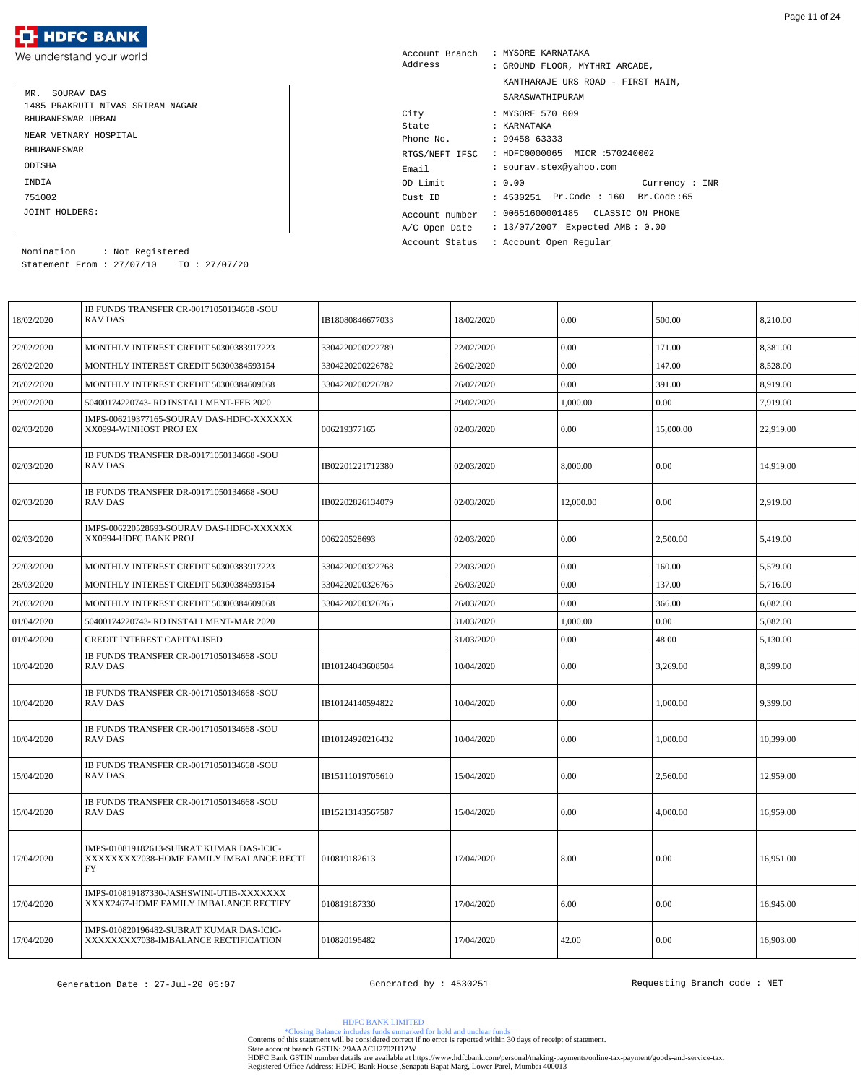| MR. SOURAV DAS                   |
|----------------------------------|
| 1485 PRAKRUTI NIVAS SRIRAM NAGAR |
| BHUBANESWAR URBAN                |
| NEAR VETNARY HOSPITAL            |
| <b>BHUBANE SWAR</b>              |
| ODISHA                           |
| INDIA                            |
| 751002                           |
| JOINT HOLDERS:                   |

| Address                 |  | Account Branch : MYSORE KARNATAKA            |
|-------------------------|--|----------------------------------------------|
|                         |  | : GROUND FLOOR, MYTHRI ARCADE,               |
|                         |  | KANTHARAJE URS ROAD - FIRST MAIN,            |
|                         |  | SARASWATHIPURAM                              |
| City                    |  | : MYSORE 570 009                             |
| State                   |  | : KARNATAKA                                  |
| Phone No. : 99458 63333 |  |                                              |
|                         |  | RTGS/NEFT IFSC : HDFC0000065 MICR :570240002 |
| Email                   |  | : sourav.stex@yahoo.com                      |
| OD Limit                |  | : 0.00<br>Current : INR                      |
|                         |  | Cust ID : 4530251 Pr.Code : 160 Br.Code:65   |
| Account number          |  | : 00651600001485 CLASSIC ON PHONE            |
| A/C Open Date           |  | : 13/07/2007 Expected AMB: 0.00              |
| Account Status          |  | : Account Open Regular                       |

Statement From : 27/07/10 TO : 27/07/20 Nomination : Not Registered

| 18/02/2020 | IB FUNDS TRANSFER CR-00171050134668 -SOU<br>RAV DAS                                        | IB18080846677033 | 18/02/2020 | 0.00      | 500.00    | 8,210.00  |
|------------|--------------------------------------------------------------------------------------------|------------------|------------|-----------|-----------|-----------|
| 22/02/2020 | MONTHLY INTEREST CREDIT 50300383917223                                                     | 3304220200222789 | 22/02/2020 | 0.00      | 171.00    | 8,381.00  |
| 26/02/2020 | MONTHLY INTEREST CREDIT 50300384593154                                                     | 3304220200226782 | 26/02/2020 | 0.00      | 147.00    | 8,528.00  |
| 26/02/2020 | MONTHLY INTEREST CREDIT 50300384609068                                                     | 3304220200226782 | 26/02/2020 | 0.00      | 391.00    | 8,919.00  |
| 29/02/2020 | 50400174220743- RD INSTALLMENT-FEB 2020                                                    |                  | 29/02/2020 | 1,000.00  | 0.00      | 7,919.00  |
| 02/03/2020 | IMPS-006219377165-SOURAV DAS-HDFC-XXXXXX<br>XX0994-WINHOST PROJ EX                         | 006219377165     | 02/03/2020 | 0.00      | 15,000.00 | 22,919.00 |
| 02/03/2020 | IB FUNDS TRANSFER DR-00171050134668 -SOU<br>RAV DAS                                        | IB02201221712380 | 02/03/2020 | 8,000.00  | $0.00\,$  | 14,919.00 |
| 02/03/2020 | IB FUNDS TRANSFER DR-00171050134668 -SOU<br>RAV DAS                                        | IB02202826134079 | 02/03/2020 | 12,000.00 | 0.00      | 2,919.00  |
| 02/03/2020 | IMPS-006220528693-SOURAV DAS-HDFC-XXXXXX<br>XX0994-HDFC BANK PROJ                          | 006220528693     | 02/03/2020 | 0.00      | 2,500.00  | 5,419.00  |
| 22/03/2020 | MONTHLY INTEREST CREDIT 50300383917223                                                     | 3304220200322768 | 22/03/2020 | 0.00      | 160.00    | 5,579.00  |
| 26/03/2020 | MONTHLY INTEREST CREDIT 50300384593154                                                     | 3304220200326765 | 26/03/2020 | 0.00      | 137.00    | 5,716.00  |
| 26/03/2020 | MONTHLY INTEREST CREDIT 50300384609068                                                     | 3304220200326765 | 26/03/2020 | 0.00      | 366.00    | 6,082.00  |
| 01/04/2020 | 50400174220743- RD INSTALLMENT-MAR 2020                                                    |                  | 31/03/2020 | 1,000.00  | 0.00      | 5,082.00  |
| 01/04/2020 | <b>CREDIT INTEREST CAPITALISED</b>                                                         |                  | 31/03/2020 | 0.00      | 48.00     | 5,130.00  |
| 10/04/2020 | IB FUNDS TRANSFER CR-00171050134668 -SOU<br>RAV DAS                                        | IB10124043608504 | 10/04/2020 | 0.00      | 3,269.00  | 8,399.00  |
| 10/04/2020 | IB FUNDS TRANSFER CR-00171050134668 -SOU<br><b>RAV DAS</b>                                 | IB10124140594822 | 10/04/2020 | 0.00      | 1,000.00  | 9,399.00  |
| 10/04/2020 | IB FUNDS TRANSFER CR-00171050134668 -SOU<br>RAV DAS                                        | IB10124920216432 | 10/04/2020 | 0.00      | 1,000.00  | 10,399.00 |
| 15/04/2020 | IB FUNDS TRANSFER CR-00171050134668 -SOU<br><b>RAV DAS</b>                                 | IB15111019705610 | 15/04/2020 | 0.00      | 2,560.00  | 12,959.00 |
| 15/04/2020 | IB FUNDS TRANSFER CR-00171050134668 -SOU<br>RAV DAS                                        | IB15213143567587 | 15/04/2020 | 0.00      | 4,000.00  | 16,959.00 |
| 17/04/2020 | IMPS-010819182613-SUBRAT KUMAR DAS-ICIC-<br>XXXXXXXX7038-HOME FAMILY IMBALANCE RECTI<br>FY | 010819182613     | 17/04/2020 | 8.00      | 0.00      | 16,951.00 |
| 17/04/2020 | IMPS-010819187330-JASHSWINI-UTIB-XXXXXXX<br>XXXX2467-HOME FAMILY IMBALANCE RECTIFY         | 010819187330     | 17/04/2020 | 6.00      | 0.00      | 16,945.00 |
| 17/04/2020 | IMPS-010820196482-SUBRAT KUMAR DAS-ICIC-<br>XXXXXXXX7038-IMBALANCE RECTIFICATION           | 010820196482     | 17/04/2020 | 42.00     | 0.00      | 16,903.00 |

HDFC BANK LIMITED

\*Closing Balance includes funds enmarked for hold and unclear funds Contents of this statement will be considered correct if no error is reported within 30 days of receipt of statement.

State account branch GSTIN: 29AAACH2702H1ZW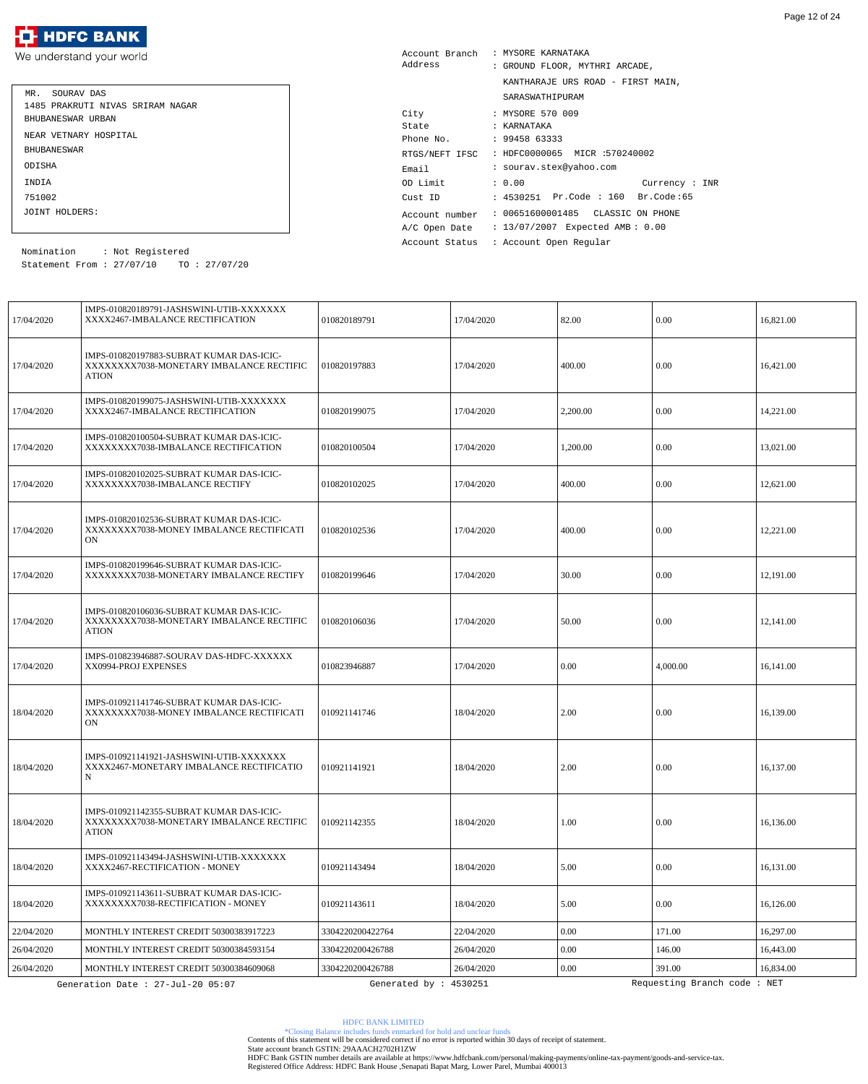

| MR. SOURAV DAS                   |
|----------------------------------|
| 1485 PRAKRUTI NIVAS SRIRAM NAGAR |
| BHUBANESWAR URBAN                |
| NEAR VETNARY HOSPITAL            |
| <b>BHUBANE SWAR</b>              |
| ODISHA                           |
| INDIA                            |
| 751002                           |
| JOINT HOLDERS:                   |

| Account Branch | : MYSORE KARNATAKA                 |
|----------------|------------------------------------|
| Address        | : GROUND FLOOR, MYTHRI ARCADE,     |
|                | KANTHARAJE URS ROAD - FIRST MAIN,  |
|                | SARASWATHIPURAM                    |
| City           | : MYSORE 570 009                   |
| State          | : KARNATAKA                        |
| Phone No.      | : 9945863333                       |
| RTGS/NEFT IFSC | : HDFC0000065 MICR :570240002      |
| Email          | : sourav.stex@yahoo.com            |
| OD Limit       | : 0.00<br>Current : INR            |
| Cust ID        | : 4530251 Pr.Code : 160 Br.Code:65 |
| Account number | : 00651600001485 CLASSIC ON PHONE  |
| A/C Open Date  | : 13/07/2007 Expected AMB: 0.00    |
| Account Status | : Account Open Regular             |

Statement From : 27/07/10 TO : 27/07/20 Nomination : Not Registered

| 17/04/2020 | IMPS-010820189791-JASHSWINI-UTIB-XXXXXXX<br>XXXX2467-IMBALANCE RECTIFICATION                         | 010820189791           | 17/04/2020 | 82.00    | 0.00                        | 16,821.00 |
|------------|------------------------------------------------------------------------------------------------------|------------------------|------------|----------|-----------------------------|-----------|
| 17/04/2020 | IMPS-010820197883-SUBRAT KUMAR DAS-ICIC-<br>XXXXXXXX7038-MONETARY IMBALANCE RECTIFIC<br><b>ATION</b> | 010820197883           | 17/04/2020 | 400.00   | 0.00                        | 16,421.00 |
| 17/04/2020 | IMPS-010820199075-JASHSWINI-UTIB-XXXXXXX<br>XXXX2467-IMBALANCE RECTIFICATION                         | 010820199075           | 17/04/2020 | 2,200.00 | $\vert 0.00 \vert$          | 14,221.00 |
| 17/04/2020 | IMPS-010820100504-SUBRAT KUMAR DAS-ICIC-<br>XXXXXXXX7038-IMBALANCE RECTIFICATION                     | 010820100504           | 17/04/2020 | 1,200.00 | 0.00                        | 13,021.00 |
| 17/04/2020 | IMPS-010820102025-SUBRAT KUMAR DAS-ICIC-<br>XXXXXXXX7038-IMBALANCE RECTIFY                           | 010820102025           | 17/04/2020 | 400.00   | 0.00                        | 12,621.00 |
| 17/04/2020 | IMPS-010820102536-SUBRAT KUMAR DAS-ICIC-<br>XXXXXXXX7038-MONEY IMBALANCE RECTIFICATI<br>ON           | 010820102536           | 17/04/2020 | 400.00   | $\vert 0.00 \vert$          | 12,221.00 |
| 17/04/2020 | IMPS-010820199646-SUBRAT KUMAR DAS-ICIC-<br>XXXXXXXX7038-MONETARY IMBALANCE RECTIFY                  | 010820199646           | 17/04/2020 | 30.00    | 0.00                        | 12.191.00 |
| 17/04/2020 | IMPS-010820106036-SUBRAT KUMAR DAS-ICIC-<br>XXXXXXXX7038-MONETARY IMBALANCE RECTIFIC<br><b>ATION</b> | 010820106036           | 17/04/2020 | 50.00    | 0.00                        | 12,141.00 |
| 17/04/2020 | IMPS-010823946887-SOURAV DAS-HDFC-XXXXXX<br>XX0994-PROJ EXPENSES                                     | 010823946887           | 17/04/2020 | 0.00     | 4,000.00                    | 16,141.00 |
| 18/04/2020 | IMPS-010921141746-SUBRAT KUMAR DAS-ICIC-<br>XXXXXXX7038-MONEY IMBALANCE RECTIFICATI<br>ON            | 010921141746           | 18/04/2020 | 2.00     | $\vert 0.00 \vert$          | 16,139.00 |
| 18/04/2020 | IMPS-010921141921-JASHSWINI-UTIB-XXXXXXX<br>XXXX2467-MONETARY IMBALANCE RECTIFICATIO<br>N            | 010921141921           | 18/04/2020 | 2.00     | 0.00                        | 16.137.00 |
| 18/04/2020 | IMPS-010921142355-SUBRAT KUMAR DAS-ICIC-<br>XXXXXXXX7038-MONETARY IMBALANCE RECTIFIC<br><b>ATION</b> | 010921142355           | 18/04/2020 | 1.00     | $0.00\,$                    | 16,136.00 |
| 18/04/2020 | IMPS-010921143494-JASHSWINI-UTIB-XXXXXXX<br>XXXX2467-RECTIFICATION - MONEY                           | 010921143494           | 18/04/2020 | 5.00     | 0.00                        | 16,131.00 |
| 18/04/2020 | IMPS-010921143611-SUBRAT KUMAR DAS-ICIC-<br>XXXXXXXX7038-RECTIFICATION - MONEY                       | 010921143611           | 18/04/2020 | 5.00     | 0.00                        | 16,126.00 |
| 22/04/2020 | MONTHLY INTEREST CREDIT 50300383917223                                                               | 3304220200422764       | 22/04/2020 | $0.00\,$ | 171.00                      | 16.297.00 |
| 26/04/2020 | MONTHLY INTEREST CREDIT 50300384593154                                                               | 3304220200426788       | 26/04/2020 | 0.00     | 146.00                      | 16,443.00 |
| 26/04/2020 | MONTHLY INTEREST CREDIT 50300384609068                                                               | 3304220200426788       | 26/04/2020 | 0.00     | 391.00                      | 16,834.00 |
|            | Generation Date : 27-Jul-20 05:07                                                                    | Generated by : 4530251 |            |          | Requesting Branch code: NET |           |

\*Closing Balance includes funds enmarked for hold and unclear funds Contents of this statement will be considered correct if no error is reported within 30 days of receipt of statement.

State account branch GSTIN: 29AAACH2702H1ZW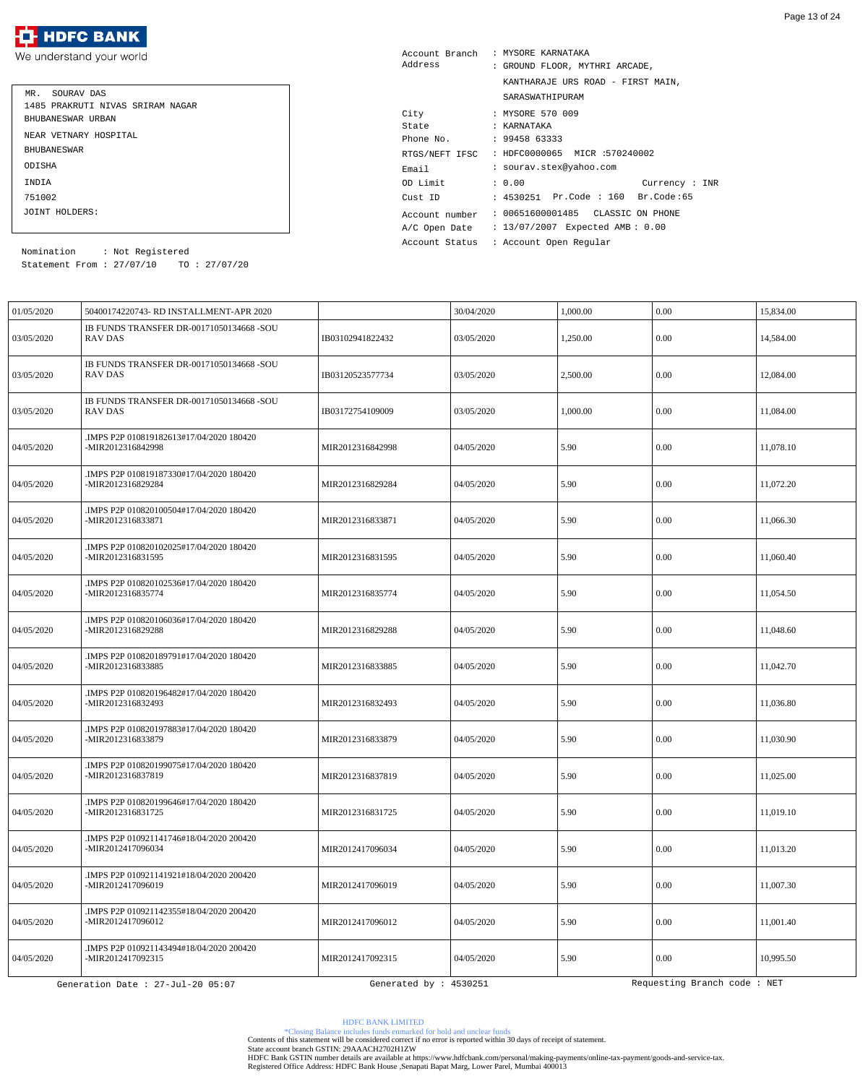| MR. SOURAV DAS                   |
|----------------------------------|
| 1485 PRAKRUTI NIVAS SRIRAM NAGAR |
| BHUBANESWAR URBAN                |
| NEAR VETNARY HOSPITAL            |
| <b>BHUBANE SWAR</b>              |
| ODISHA                           |
| <b>TNDTA</b>                     |
| 751002                           |
| JOINT HOLDERS:                   |
|                                  |

| Account Branch | : MYSORE KARNATAKA                 |
|----------------|------------------------------------|
| Address        | : GROUND FLOOR, MYTHRI ARCADE,     |
|                | KANTHARAJE URS ROAD - FIRST MAIN,  |
|                | SARASWATHIPURAM                    |
| City           | : MYSORE 570 009                   |
| State          | : KARNATAKA                        |
| Phone No.      | : 9945863333                       |
| RTGS/NEFT IFSC | : HDFC0000065 MICR :570240002      |
| Email          | : sourav.stex@yahoo.com            |
| OD Limit       | : 0.00<br>Currency : INR           |
| Cust ID        | : 4530251 Pr.Code : 160 Br.Code:65 |
| Account number | : 00651600001485 CLASSIC ON PHONE  |
| A/C Open Date  | : 13/07/2007 Expected AMB: 0.00    |
| Account Status | : Account Open Reqular             |

Statement From : 27/07/10 TO : 27/07/20 Nomination : Not Registered

| 01/05/2020 | 50400174220743- RD INSTALLMENT-APR 2020                       |                        | 30/04/2020 | 1,000.00 | 0.00                        | 15,834.00 |
|------------|---------------------------------------------------------------|------------------------|------------|----------|-----------------------------|-----------|
| 03/05/2020 | IB FUNDS TRANSFER DR-00171050134668 -SOU<br>RAV DAS           | IB03102941822432       | 03/05/2020 | 1,250.00 | 0.00                        | 14,584.00 |
| 03/05/2020 | IB FUNDS TRANSFER DR-00171050134668 -SOU<br><b>RAV DAS</b>    | IB03120523577734       | 03/05/2020 | 2,500.00 | 0.00                        | 12,084.00 |
| 03/05/2020 | IB FUNDS TRANSFER DR-00171050134668 -SOU<br><b>RAV DAS</b>    | IB03172754109009       | 03/05/2020 | 1,000.00 | 0.00                        | 11,084.00 |
| 04/05/2020 | .IMPS P2P 010819182613#17/04/2020 180420<br>-MIR2012316842998 | MIR2012316842998       | 04/05/2020 | 5.90     | 0.00                        | 11,078.10 |
| 04/05/2020 | .IMPS P2P 010819187330#17/04/2020 180420<br>-MIR2012316829284 | MIR2012316829284       | 04/05/2020 | 5.90     | 0.00                        | 11,072.20 |
| 04/05/2020 | IMPS P2P 010820100504#17/04/2020 180420<br>-MIR2012316833871  | MIR2012316833871       | 04/05/2020 | 5.90     | 0.00                        | 11,066.30 |
| 04/05/2020 | .IMPS P2P 010820102025#17/04/2020 180420<br>-MIR2012316831595 | MIR2012316831595       | 04/05/2020 | 5.90     | 0.00                        | 11,060.40 |
| 04/05/2020 | .IMPS P2P 010820102536#17/04/2020 180420<br>-MIR2012316835774 | MIR2012316835774       | 04/05/2020 | 5.90     | 0.00                        | 11,054.50 |
| 04/05/2020 | .IMPS P2P 010820106036#17/04/2020 180420<br>-MIR2012316829288 | MIR2012316829288       | 04/05/2020 | 5.90     | 0.00                        | 11,048.60 |
| 04/05/2020 | .IMPS P2P 010820189791#17/04/2020 180420<br>-MIR2012316833885 | MIR2012316833885       | 04/05/2020 | 5.90     | 0.00                        | 11,042.70 |
| 04/05/2020 | .IMPS P2P 010820196482#17/04/2020 180420<br>-MIR2012316832493 | MIR2012316832493       | 04/05/2020 | 5.90     | 0.00                        | 11,036.80 |
| 04/05/2020 | .IMPS P2P 010820197883#17/04/2020 180420<br>-MIR2012316833879 | MIR2012316833879       | 04/05/2020 | 5.90     | 0.00                        | 11.030.90 |
| 04/05/2020 | .IMPS P2P 010820199075#17/04/2020 180420<br>-MIR2012316837819 | MIR2012316837819       | 04/05/2020 | 5.90     | 0.00                        | 11,025.00 |
| 04/05/2020 | .IMPS P2P 010820199646#17/04/2020 180420<br>-MIR2012316831725 | MIR2012316831725       | 04/05/2020 | 5.90     | $0.00\,$                    | 11,019.10 |
| 04/05/2020 | IMPS P2P 010921141746#18/04/2020 200420.<br>-MIR2012417096034 | MIR2012417096034       | 04/05/2020 | 5.90     | 0.00                        | 11,013.20 |
| 04/05/2020 | IMPS P2P 010921141921#18/04/2020 200420.<br>-MIR2012417096019 | MIR2012417096019       | 04/05/2020 | 5.90     | $0.00\,$                    | 11,007.30 |
| 04/05/2020 | .IMPS P2P 010921142355#18/04/2020 200420<br>-MIR2012417096012 | MIR2012417096012       | 04/05/2020 | 5.90     | 0.00                        | 11.001.40 |
| 04/05/2020 | .IMPS P2P 010921143494#18/04/2020 200420<br>-MIR2012417092315 | MIR2012417092315       | 04/05/2020 | 5.90     | $0.00\,$                    | 10,995.50 |
|            | Generation Date : 27-Jul-20 05:07                             | Generated by : 4530251 |            |          | Requesting Branch code: NET |           |

HDFC BANK LIMITED

\*Closing Balance includes funds enmarked for hold and unclear funds Contents of this statement will be considered correct if no error is reported within 30 days of receipt of statement.

State account branch GSTIN: 29AAACH2702H1ZW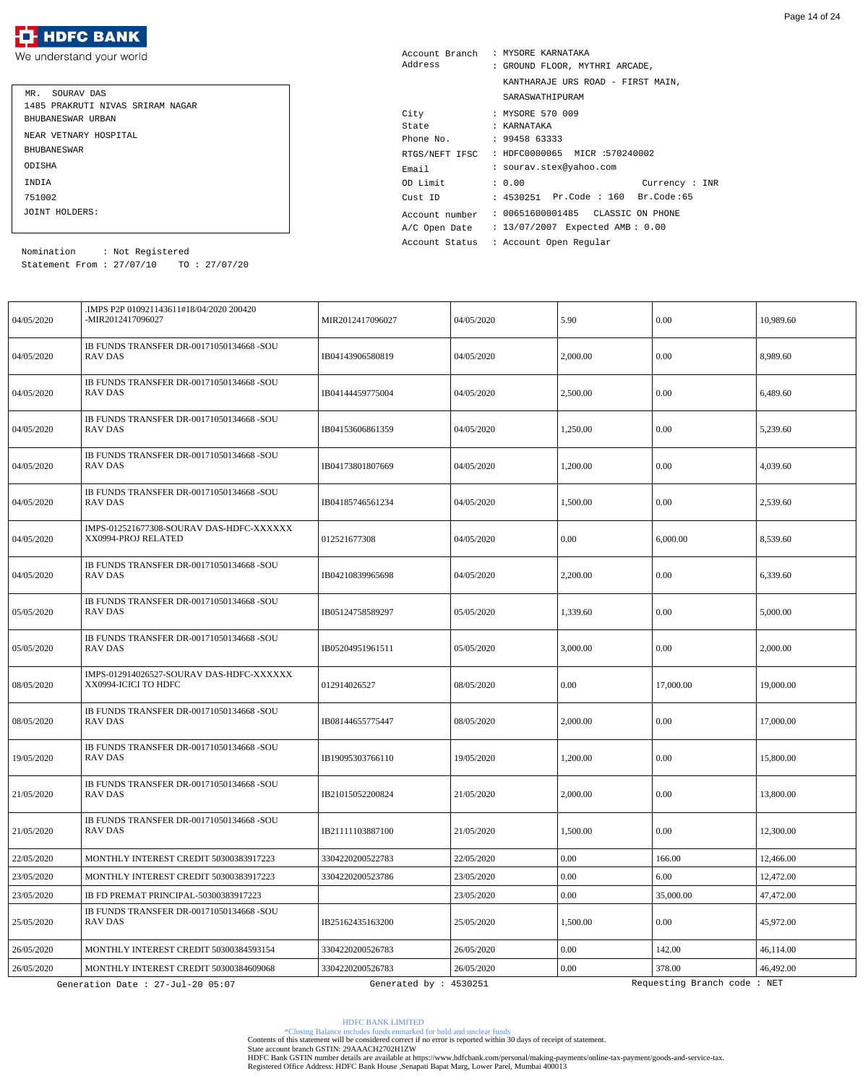| MR. SOURAV DAS                   |
|----------------------------------|
| 1485 PRAKRUTI NIVAS SRIRAM NAGAR |
| BHUBANESWAR URBAN                |
| NEAR VETNARY HOSPITAL            |
| <b>BHUBANE SWAR</b>              |
| ODISHA                           |
| INDIA                            |
| 751002                           |
| JOINT HOLDERS:                   |

| Account Branch | : MYSORE KARNATAKA                 |
|----------------|------------------------------------|
| Address        | : GROUND FLOOR, MYTHRI ARCADE,     |
|                | KANTHARAJE URS ROAD - FIRST MAIN,  |
|                | SARASWATHIPURAM                    |
| City           | : MYSORE 570 009                   |
| State          | : KARNATAKA                        |
| Phone No.      | : 9945863333                       |
| RTGS/NEFT IFSC | : HDFC0000065 MICR :570240002      |
| Email          | : sourav.stex@yahoo.com            |
| OD Limit       | : 0.00<br>Current: INR             |
| Cust ID        | : 4530251 Pr.Code : 160 Br.Code:65 |
| Account number | : 00651600001485  CLASSIC ON PHONE |
| A/C Open Date  | : 13/07/2007 Expected AMB: 0.00    |
| Account Status | : Account Open Regular             |

Statement From : 27/07/10 TO : 27/07/20 Nomination : Not Registered

| 04/05/2020 | IMPS P2P 010921143611#18/04/2020 200420.<br>-MIR2012417096027    | MIR2012417096027       | 04/05/2020 | 5.90     | 0.00                        | 10,989.60 |
|------------|------------------------------------------------------------------|------------------------|------------|----------|-----------------------------|-----------|
| 04/05/2020 | IB FUNDS TRANSFER DR-00171050134668 -SOU<br><b>RAV DAS</b>       | IB04143906580819       | 04/05/2020 | 2,000.00 | 0.00                        | 8,989.60  |
| 04/05/2020 | IB FUNDS TRANSFER DR-00171050134668 -SOU<br>RAV DAS              | IB04144459775004       | 04/05/2020 | 2,500.00 | 0.00                        | 6,489.60  |
| 04/05/2020 | IB FUNDS TRANSFER DR-00171050134668 -SOU<br><b>RAV DAS</b>       | IB04153606861359       | 04/05/2020 | 1,250.00 | 0.00                        | 5,239.60  |
| 04/05/2020 | IB FUNDS TRANSFER DR-00171050134668 -SOU<br>RAV DAS              | IB04173801807669       | 04/05/2020 | 1,200.00 | 0.00                        | 4,039.60  |
| 04/05/2020 | IB FUNDS TRANSFER DR-00171050134668 -SOU<br><b>RAV DAS</b>       | IB04185746561234       | 04/05/2020 | 1,500.00 | 0.00                        | 2,539.60  |
| 04/05/2020 | IMPS-012521677308-SOURAV DAS-HDFC-XXXXXX<br>XX0994-PROJ RELATED  | 012521677308           | 04/05/2020 | 0.00     | 6,000.00                    | 8,539.60  |
| 04/05/2020 | IB FUNDS TRANSFER DR-00171050134668 -SOU<br>RAV DAS              | IB04210839965698       | 04/05/2020 | 2,200.00 | 0.00                        | 6,339.60  |
| 05/05/2020 | IB FUNDS TRANSFER DR-00171050134668 -SOU<br>RAV DAS              | IB05124758589297       | 05/05/2020 | 1,339.60 | 0.00                        | 5,000.00  |
| 05/05/2020 | IB FUNDS TRANSFER DR-00171050134668 -SOU<br><b>RAV DAS</b>       | IB05204951961511       | 05/05/2020 | 3,000.00 | 0.00                        | 2,000.00  |
| 08/05/2020 | IMPS-012914026527-SOURAV DAS-HDFC-XXXXXX<br>XX0994-ICICI TO HDFC | 012914026527           | 08/05/2020 | 0.00     | 17,000.00                   | 19,000.00 |
| 08/05/2020 | IB FUNDS TRANSFER DR-00171050134668 -SOU<br><b>RAV DAS</b>       | IB08144655775447       | 08/05/2020 | 2,000.00 | 0.00                        | 17,000.00 |
| 19/05/2020 | IB FUNDS TRANSFER DR-00171050134668 -SOU<br>RAV DAS              | IB19095303766110       | 19/05/2020 | 1,200.00 | 0.00                        | 15,800.00 |
| 21/05/2020 | IB FUNDS TRANSFER DR-00171050134668 -SOU<br>RAV DAS              | IB21015052200824       | 21/05/2020 | 2,000.00 | $0.00\,$                    | 13,800.00 |
| 21/05/2020 | IB FUNDS TRANSFER DR-00171050134668 -SOU<br>RAV DAS              | IB21111103887100       | 21/05/2020 | 1,500.00 | 0.00                        | 12,300.00 |
| 22/05/2020 | MONTHLY INTEREST CREDIT 50300383917223                           | 3304220200522783       | 22/05/2020 | $0.00\,$ | 166.00                      | 12,466.00 |
| 23/05/2020 | MONTHLY INTEREST CREDIT 50300383917223                           | 3304220200523786       | 23/05/2020 | 0.00     | 6.00                        | 12,472.00 |
| 23/05/2020 | IB FD PREMAT PRINCIPAL-50300383917223                            |                        | 23/05/2020 | $0.00\,$ | 35,000.00                   | 47,472.00 |
| 25/05/2020 | IB FUNDS TRANSFER DR-00171050134668 -SOU<br>RAV DAS              | IB25162435163200       | 25/05/2020 | 1,500.00 | 0.00                        | 45,972.00 |
| 26/05/2020 | MONTHLY INTEREST CREDIT 50300384593154                           | 3304220200526783       | 26/05/2020 | $0.00\,$ | 142.00                      | 46,114.00 |
| 26/05/2020 | MONTHLY INTEREST CREDIT 50300384609068                           | 3304220200526783       | 26/05/2020 | $0.00\,$ | 378.00                      | 46,492.00 |
|            | Generation Date : 27-Jul-20 05:07                                | Generated by : 4530251 |            |          | Requesting Branch code: NET |           |

HDFC BANK LIMITED

\*Closing Balance includes funds enmarked for hold and unclear funds Contents of this statement will be considered correct if no error is reported within 30 days of receipt of statement.

State account branch GSTIN: 29AAACH2702H1ZW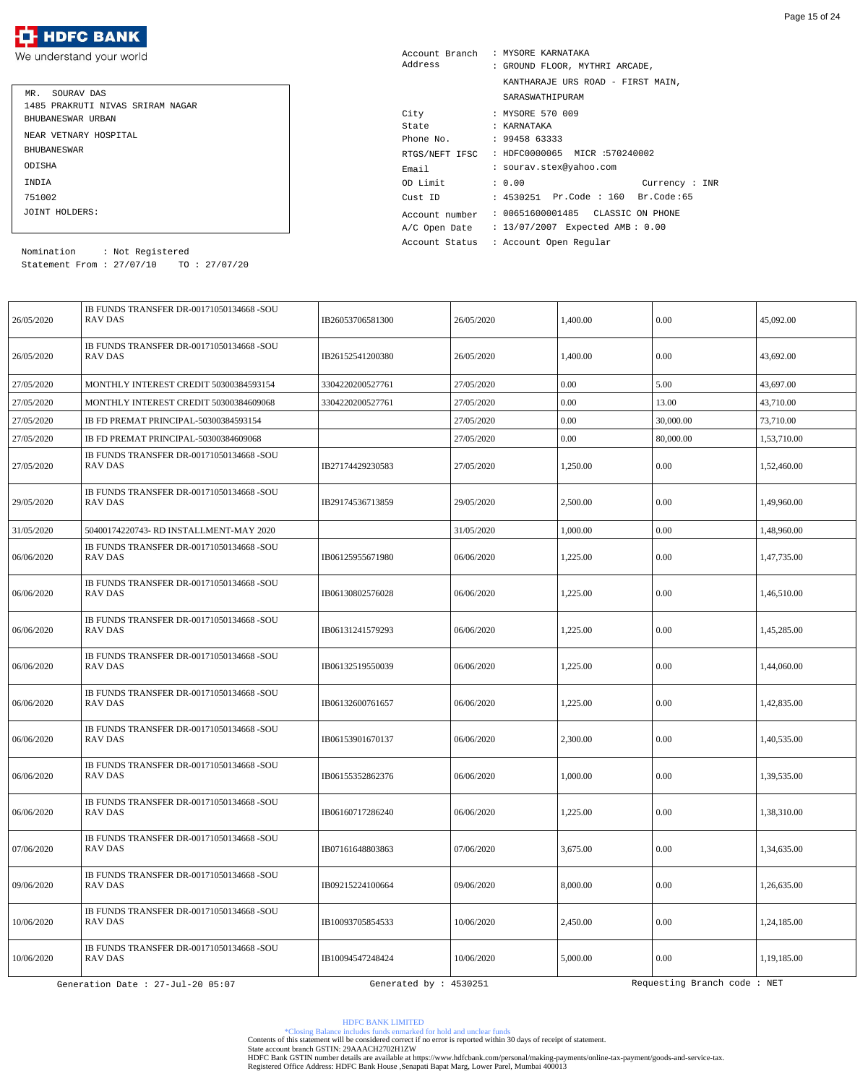| MR. SOURAV DAS                   |
|----------------------------------|
| 1485 PRAKRUTI NIVAS SRIRAM NAGAR |
| BHUBANESWAR URBAN                |
| NEAR VETNARY HOSPITAL            |
| <b>BHUBANE SWAR</b>              |
| ODISHA                           |
| INDIA                            |
| 751002                           |
| JOINT HOLDERS:                   |

| Account Branch | : MYSORE KARNATAKA                 |
|----------------|------------------------------------|
| Address        | : GROUND FLOOR, MYTHRI ARCADE,     |
|                | KANTHARAJE URS ROAD - FIRST MAIN,  |
|                | SARASWATHIPURAM                    |
| City           | : MYSORE 570 009                   |
| State          | : KARNATAKA                        |
| Phone No.      | : 9945863333                       |
| RTGS/NEFT IFSC | : HDFC0000065 MICR :570240002      |
| Email          | : sourav.stex@yahoo.com            |
| OD Limit       | : 0.00<br>Current: INR             |
| Cust ID        | : 4530251 Pr.Code : 160 Br.Code:65 |
| Account number | : 00651600001485  CLASSIC ON PHONE |
| A/C Open Date  | : 13/07/2007 Expected AMB: 0.00    |
| Account Status | : Account Open Regular             |

Statement From : 27/07/10 TO : 27/07/20 Nomination : Not Registered

| 26/05/2020 | IB FUNDS TRANSFER DR-00171050134668 -SOU<br><b>RAV DAS</b> | IB26053706581300       | 26/05/2020 | 1,400.00 | 0.00                        | 45,092.00   |
|------------|------------------------------------------------------------|------------------------|------------|----------|-----------------------------|-------------|
| 26/05/2020 | IB FUNDS TRANSFER DR-00171050134668 -SOU<br>RAV DAS        | IB26152541200380       | 26/05/2020 | 1,400.00 | 0.00                        | 43,692.00   |
| 27/05/2020 | MONTHLY INTEREST CREDIT 50300384593154                     | 3304220200527761       | 27/05/2020 | 0.00     | 5.00                        | 43,697.00   |
| 27/05/2020 | MONTHLY INTEREST CREDIT 50300384609068                     | 3304220200527761       | 27/05/2020 | 0.00     | 13.00                       | 43,710.00   |
| 27/05/2020 | IB FD PREMAT PRINCIPAL-50300384593154                      |                        | 27/05/2020 | 0.00     | 30,000.00                   | 73,710.00   |
| 27/05/2020 | IB FD PREMAT PRINCIPAL-50300384609068                      |                        | 27/05/2020 | $0.00\,$ | 80,000.00                   | 1,53,710.00 |
| 27/05/2020 | IB FUNDS TRANSFER DR-00171050134668 -SOU<br><b>RAV DAS</b> | IB27174429230583       | 27/05/2020 | 1,250.00 | 0.00                        | 1,52,460.00 |
| 29/05/2020 | IB FUNDS TRANSFER DR-00171050134668 -SOU<br><b>RAV DAS</b> | IB29174536713859       | 29/05/2020 | 2,500.00 | 0.00                        | 1,49,960.00 |
| 31/05/2020 | 50400174220743- RD INSTALLMENT-MAY 2020                    |                        | 31/05/2020 | 1,000.00 | 0.00                        | 1,48,960.00 |
| 06/06/2020 | IB FUNDS TRANSFER DR-00171050134668 -SOU<br><b>RAV DAS</b> | IB06125955671980       | 06/06/2020 | 1,225.00 | 0.00                        | 1,47,735.00 |
| 06/06/2020 | IB FUNDS TRANSFER DR-00171050134668 -SOU<br><b>RAV DAS</b> | IB06130802576028       | 06/06/2020 | 1,225.00 | 0.00                        | 1,46,510.00 |
| 06/06/2020 | IB FUNDS TRANSFER DR-00171050134668 -SOU<br><b>RAV DAS</b> | IB06131241579293       | 06/06/2020 | 1,225.00 | 0.00                        | 1,45,285.00 |
| 06/06/2020 | IB FUNDS TRANSFER DR-00171050134668 -SOU<br>RAV DAS        | IB06132519550039       | 06/06/2020 | 1,225.00 | 0.00                        | 1,44,060.00 |
| 06/06/2020 | IB FUNDS TRANSFER DR-00171050134668 -SOU<br>RAV DAS        | IB06132600761657       | 06/06/2020 | 1,225.00 | 0.00                        | 1,42,835.00 |
| 06/06/2020 | IB FUNDS TRANSFER DR-00171050134668 -SOU<br><b>RAV DAS</b> | IB06153901670137       | 06/06/2020 | 2,300.00 | 0.00                        | 1,40,535.00 |
| 06/06/2020 | IB FUNDS TRANSFER DR-00171050134668 -SOU<br><b>RAV DAS</b> | IB06155352862376       | 06/06/2020 | 1,000.00 | 0.00                        | 1,39,535.00 |
| 06/06/2020 | IB FUNDS TRANSFER DR-00171050134668 -SOU<br>RAV DAS        | IB06160717286240       | 06/06/2020 | 1,225.00 | 0.00                        | 1,38,310.00 |
| 07/06/2020 | IB FUNDS TRANSFER DR-00171050134668 -SOU<br>RAV DAS        | IB07161648803863       | 07/06/2020 | 3,675.00 | 0.00                        | 1,34,635.00 |
| 09/06/2020 | IB FUNDS TRANSFER DR-00171050134668 -SOU<br>RAV DAS        | IB09215224100664       | 09/06/2020 | 8,000.00 | 0.00                        | 1,26,635.00 |
| 10/06/2020 | IB FUNDS TRANSFER DR-00171050134668 -SOU<br><b>RAV DAS</b> | IB10093705854533       | 10/06/2020 | 2,450.00 | 0.00                        | 1,24,185.00 |
| 10/06/2020 | IB FUNDS TRANSFER DR-00171050134668 -SOU<br>RAV DAS        | IB10094547248424       | 10/06/2020 | 5,000.00 | 0.00                        | 1,19,185.00 |
|            | Generation Date : 27-Jul-20 05:07                          | Generated by : 4530251 |            |          | Requesting Branch code: NET |             |

HDFC BANK LIMITED

\*Closing Balance includes funds enmarked for hold and unclear funds Contents of this statement will be considered correct if no error is reported within 30 days of receipt of statement.

State account branch GSTIN: 29AAACH2702H1ZW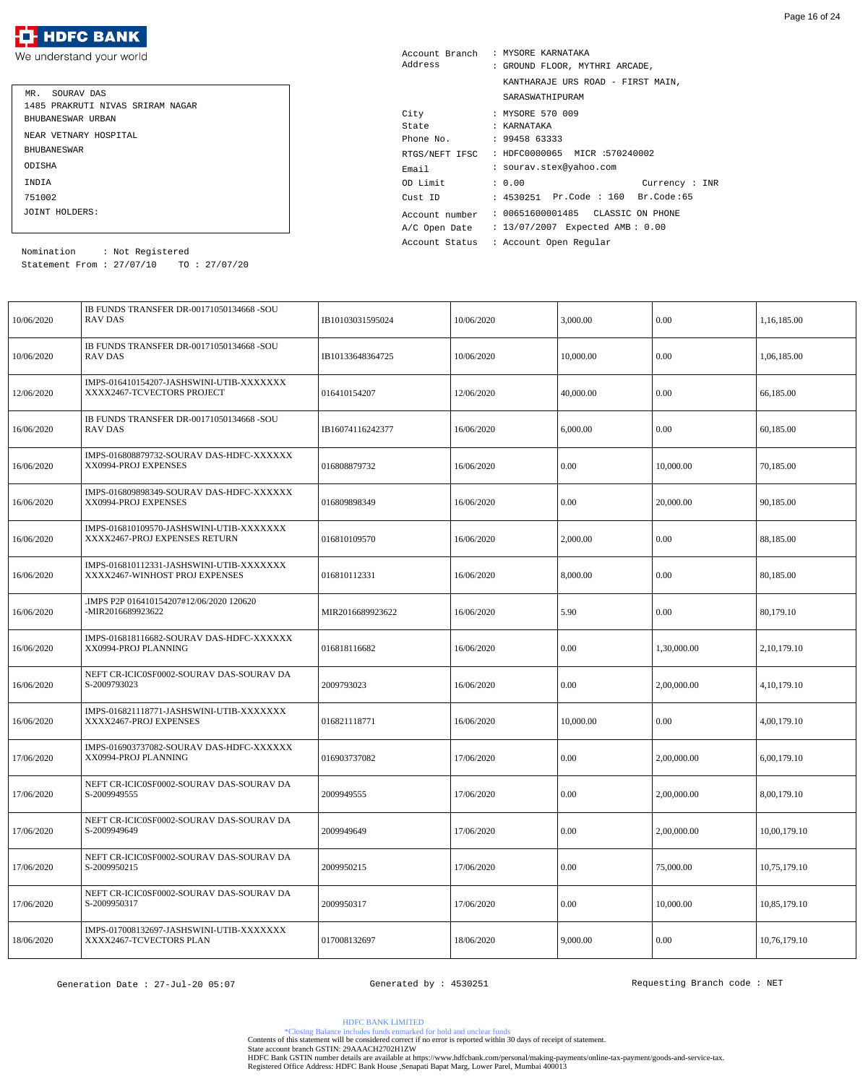| MR. SOURAV DAS                   |
|----------------------------------|
| 1485 PRAKRUTI NIVAS SRIRAM NAGAR |
| BHUBANESWAR URBAN                |
| NEAR VETNARY HOSPITAL            |
| <b>BHUBANE SWAR</b>              |
| ODISHA                           |
| <b>TNDTA</b>                     |
| 751002                           |
| JOINT HOLDERS:                   |

| Account Branch | : MYSORE KARNATAKA                 |
|----------------|------------------------------------|
| Address        | : GROUND FLOOR, MYTHRI ARCADE,     |
|                | KANTHARAJE URS ROAD - FIRST MAIN,  |
|                | SARASWATHIPURAM                    |
| City           | : MYSORE 570 009                   |
| State          | : KARNATAKA                        |
| Phone No.      | : 9945863333                       |
| RTGS/NEFT IFSC | : HDFC0000065 MICR :570240002      |
| Email          | : sourav.stex@yahoo.com            |
| OD Limit       | : 0.00<br>Current: INR             |
| Cust ID        | : 4530251 Pr.Code : 160 Br.Code:65 |
| Account number | : 00651600001485  CLASSIC ON PHONE |
| A/C Open Date  | : 13/07/2007 Expected AMB: 0.00    |
| Account Status | : Account Open Reqular             |

Statement From : 27/07/10 TO : 27/07/20 Nomination : Not Registered

| 10/06/2020 | IB FUNDS TRANSFER DR-00171050134668 -SOU<br>RAV DAS                        | IB10103031595024 | 10/06/2020 | 3,000.00  | 0.00        | 1,16,185.00    |
|------------|----------------------------------------------------------------------------|------------------|------------|-----------|-------------|----------------|
| 10/06/2020 | IB FUNDS TRANSFER DR-00171050134668 -SOU<br><b>RAV DAS</b>                 | IB10133648364725 | 10/06/2020 | 10,000.00 | 0.00        | 1,06,185.00    |
| 12/06/2020 | IMPS-016410154207-JASHSWINI-UTIB-XXXXXXX<br>XXXX2467-TCVECTORS PROJECT     | 016410154207     | 12/06/2020 | 40,000.00 | 0.00        | 66,185.00      |
| 16/06/2020 | IB FUNDS TRANSFER DR-00171050134668 -SOU<br><b>RAV DAS</b>                 | IB16074116242377 | 16/06/2020 | 6,000.00  | 0.00        | 60,185.00      |
| 16/06/2020 | IMPS-016808879732-SOURAV DAS-HDFC-XXXXXX<br>XX0994-PROJ EXPENSES           | 016808879732     | 16/06/2020 | 0.00      | 10,000.00   | 70,185.00      |
| 16/06/2020 | IMPS-016809898349-SOURAV DAS-HDFC-XXXXXX<br>XX0994-PROJ EXPENSES           | 016809898349     | 16/06/2020 | 0.00      | 20,000.00   | 90,185.00      |
| 16/06/2020 | IMPS-016810109570-JASHSWINI-UTIB-XXXXXXX<br>XXXX2467-PROJ EXPENSES RETURN  | 016810109570     | 16/06/2020 | 2,000.00  | 0.00        | 88,185.00      |
| 16/06/2020 | IMPS-016810112331-JASHSWINI-UTIB-XXXXXXX<br>XXXX2467-WINHOST PROJ EXPENSES | 016810112331     | 16/06/2020 | 8,000.00  | 0.00        | 80,185.00      |
| 16/06/2020 | IMPS P2P 016410154207#12/06/2020 120620<br>-MIR2016689923622               | MIR2016689923622 | 16/06/2020 | 5.90      | 0.00        | 80,179.10      |
| 16/06/2020 | IMPS-016818116682-SOURAV DAS-HDFC-XXXXXX<br>XX0994-PROJ PLANNING           | 016818116682     | 16/06/2020 | 0.00      | 1,30,000.00 | 2, 10, 179. 10 |
| 16/06/2020 | NEFT CR-ICIC0SF0002-SOURAV DAS-SOURAV DA<br>S-2009793023                   | 2009793023       | 16/06/2020 | 0.00      | 2,00,000.00 | 4, 10, 179. 10 |
| 16/06/2020 | IMPS-016821118771-JASHSWINI-UTIB-XXXXXXX<br>XXXX2467-PROJ EXPENSES         | 016821118771     | 16/06/2020 | 10,000.00 | 0.00        | 4,00,179.10    |
| 17/06/2020 | IMPS-016903737082-SOURAV DAS-HDFC-XXXXXX<br>XX0994-PROJ PLANNING           | 016903737082     | 17/06/2020 | 0.00      | 2,00,000.00 | 6,00,179.10    |
| 17/06/2020 | NEFT CR-ICIC0SF0002-SOURAV DAS-SOURAV DA<br>S-2009949555                   | 2009949555       | 17/06/2020 | $0.00\,$  | 2,00,000.00 | 8,00,179.10    |
| 17/06/2020 | NEFT CR-ICIC0SF0002-SOURAV DAS-SOURAV DA<br>S-2009949649                   | 2009949649       | 17/06/2020 | $0.00\,$  | 2,00,000.00 | 10,00,179.10   |
| 17/06/2020 | NEFT CR-ICIC0SF0002-SOURAV DAS-SOURAV DA<br>S-2009950215                   | 2009950215       | 17/06/2020 | 0.00      | 75,000.00   | 10,75,179.10   |
| 17/06/2020 | NEFT CR-ICIC0SF0002-SOURAV DAS-SOURAV DA<br>S-2009950317                   | 2009950317       | 17/06/2020 | $0.00\,$  | 10,000.00   | 10,85,179.10   |
| 18/06/2020 | IMPS-017008132697-JASHSWINI-UTIB-XXXXXXX<br>XXXX2467-TCVECTORS PLAN        | 017008132697     | 18/06/2020 | 9,000.00  | 0.00        | 10,76,179.10   |

HDFC BANK LIMITED

\*Closing Balance includes funds enmarked for hold and unclear funds Contents of this statement will be considered correct if no error is reported within 30 days of receipt of statement.

State account branch GSTIN: 29AAACH2702H1ZW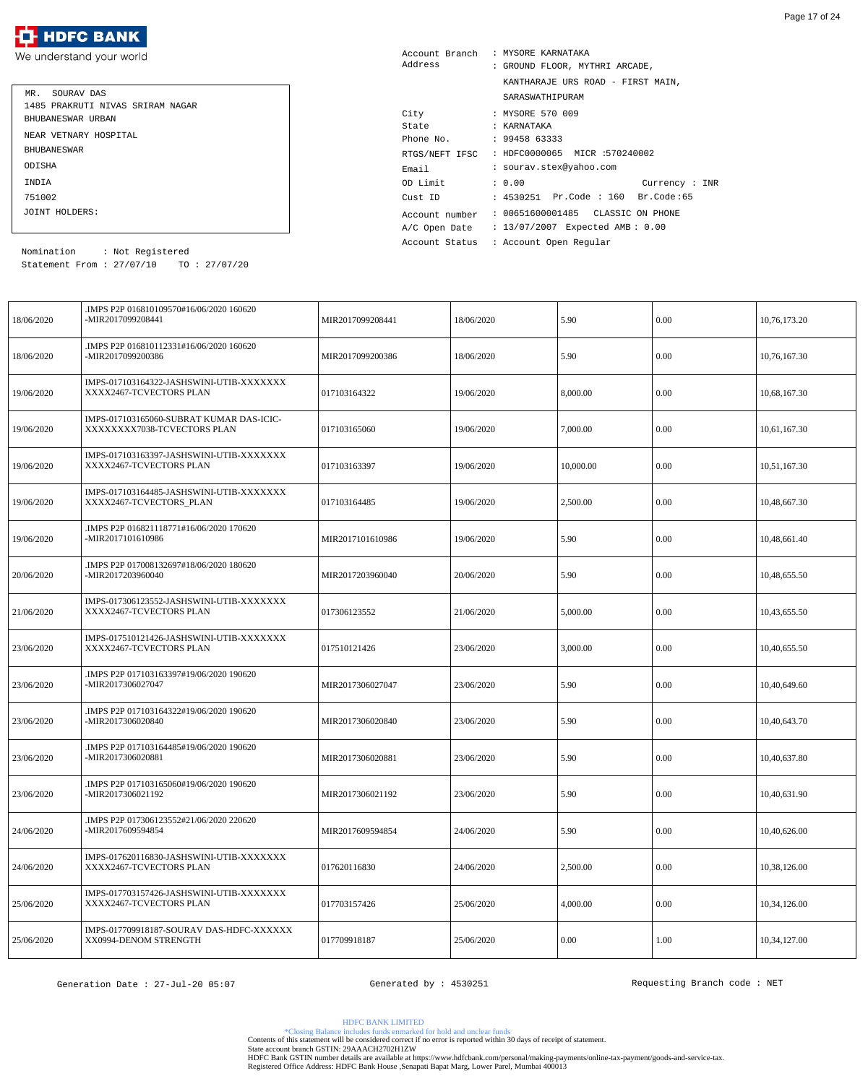| MR. SOURAV DAS                   |
|----------------------------------|
| 1485 PRAKRUTI NIVAS SRIRAM NAGAR |
| BHUBANESWAR URBAN                |
| NEAR VETNARY HOSPITAL            |
| <b>BHUBANE SWAR</b>              |
| ODISHA                           |
| <b>TNDTA</b>                     |
| 751002                           |
| JOINT HOLDERS:                   |

| Account Branch | : MYSORE KARNATAKA                 |
|----------------|------------------------------------|
| Address        | : GROUND FLOOR, MYTHRI ARCADE,     |
|                | KANTHARAJE URS ROAD - FIRST MAIN,  |
|                | SARASWATHIPURAM                    |
| City           | : MYSORE 570 009                   |
| State          | : KARNATAKA                        |
| Phone No.      | : 9945863333                       |
| RTGS/NEFT IFSC | : HDFC0000065 MICR :570240002      |
| Email          | : sourav.stex@yahoo.com            |
| OD Limit       | : 0.00<br>Current : INR            |
| Cust ID        | : 4530251 Pr.Code : 160 Br.Code:65 |
| Account number | : 00651600001485  CLASSIC ON PHONE |
| A/C Open Date  | : 13/07/2007 Expected AMB: 0.00    |
| Account Status | : Account Open Regular             |

Statement From : 27/07/10 TO : 27/07/20 Nomination : Not Registered

| 18/06/2020 | .IMPS P2P 016810109570#16/06/2020 160620<br>-MIR2017099208441          | MIR2017099208441 | 18/06/2020 | 5.90      | 0.00 | 10,76,173.20 |
|------------|------------------------------------------------------------------------|------------------|------------|-----------|------|--------------|
| 18/06/2020 | .IMPS P2P 016810112331#16/06/2020 160620<br>-MIR2017099200386          | MIR2017099200386 | 18/06/2020 | 5.90      | 0.00 | 10,76,167.30 |
| 19/06/2020 | IMPS-017103164322-JASHSWINI-UTIB-XXXXXXX<br>XXXX2467-TCVECTORS PLAN    | 017103164322     | 19/06/2020 | 8,000.00  | 0.00 | 10,68,167.30 |
| 19/06/2020 | IMPS-017103165060-SUBRAT KUMAR DAS-ICIC-<br>XXXXXXX7038-TCVECTORS PLAN | 017103165060     | 19/06/2020 | 7,000.00  | 0.00 | 10,61,167.30 |
| 19/06/2020 | IMPS-017103163397-JASHSWINI-UTIB-XXXXXXX<br>XXXX2467-TCVECTORS PLAN    | 017103163397     | 19/06/2020 | 10,000.00 | 0.00 | 10,51,167.30 |
| 19/06/2020 | IMPS-017103164485-JASHSWINI-UTIB-XXXXXXX<br>XXXX2467-TCVECTORS_PLAN    | 017103164485     | 19/06/2020 | 2,500.00  | 0.00 | 10,48,667.30 |
| 19/06/2020 | .IMPS P2P 016821118771#16/06/2020 170620<br>-MIR2017101610986          | MIR2017101610986 | 19/06/2020 | 5.90      | 0.00 | 10,48,661.40 |
| 20/06/2020 | .IMPS P2P 017008132697#18/06/2020 180620<br>-MIR2017203960040          | MIR2017203960040 | 20/06/2020 | 5.90      | 0.00 | 10,48,655.50 |
| 21/06/2020 | IMPS-017306123552-JASHSWINI-UTIB-XXXXXXX<br>XXXX2467-TCVECTORS PLAN    | 017306123552     | 21/06/2020 | 5,000.00  | 0.00 | 10,43,655.50 |
| 23/06/2020 | IMPS-017510121426-JASHSWINI-UTIB-XXXXXXX<br>XXXX2467-TCVECTORS PLAN    | 017510121426     | 23/06/2020 | 3,000.00  | 0.00 | 10,40,655.50 |
| 23/06/2020 | .IMPS P2P 017103163397#19/06/2020 190620<br>-MIR2017306027047          | MIR2017306027047 | 23/06/2020 | 5.90      | 0.00 | 10,40,649.60 |
| 23/06/2020 | .IMPS P2P 017103164322#19/06/2020 190620<br>-MIR2017306020840          | MIR2017306020840 | 23/06/2020 | 5.90      | 0.00 | 10,40,643.70 |
| 23/06/2020 | .IMPS P2P 017103164485#19/06/2020 190620<br>-MIR2017306020881          | MIR2017306020881 | 23/06/2020 | 5.90      | 0.00 | 10,40,637.80 |
| 23/06/2020 | .IMPS P2P 017103165060#19/06/2020 190620<br>-MIR2017306021192          | MIR2017306021192 | 23/06/2020 | 5.90      | 0.00 | 10,40,631.90 |
| 24/06/2020 | .IMPS P2P 017306123552#21/06/2020 220620<br>-MIR2017609594854          | MIR2017609594854 | 24/06/2020 | 5.90      | 0.00 | 10,40,626.00 |
| 24/06/2020 | IMPS-017620116830-JASHSWINI-UTIB-XXXXXXX<br>XXXX2467-TCVECTORS PLAN    | 017620116830     | 24/06/2020 | 2,500.00  | 0.00 | 10,38,126.00 |
| 25/06/2020 | IMPS-017703157426-JASHSWINI-UTIB-XXXXXXX<br>XXXX2467-TCVECTORS PLAN    | 017703157426     | 25/06/2020 | 4,000.00  | 0.00 | 10,34,126.00 |
| 25/06/2020 | IMPS-017709918187-SOURAV DAS-HDFC-XXXXXX<br>XX0994-DENOM STRENGTH      | 017709918187     | 25/06/2020 | 0.00      | 1.00 | 10,34,127.00 |

HDFC BANK LIMITED

\*Closing Balance includes funds enmarked for hold and unclear funds Contents of this statement will be considered correct if no error is reported within 30 days of receipt of statement.

State account branch GSTIN: 29AAACH2702H1ZW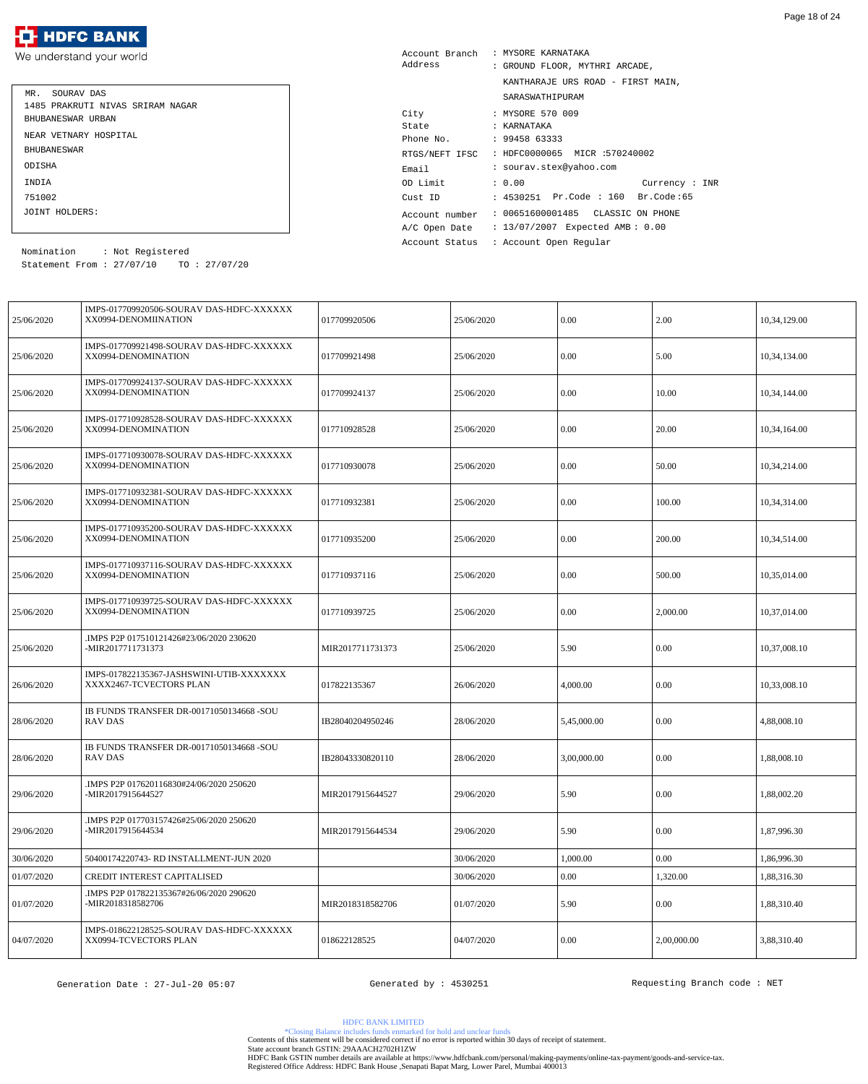

| MR. SOURAV DAS                   |
|----------------------------------|
| 1485 PRAKRUTI NIVAS SRIRAM NAGAR |
| BHUBANESWAR URBAN                |
| NEAR VETNARY HOSPITAL            |
| <b>BHUBANE SWAR</b>              |
| ODISHA                           |
| <b>TNDTA</b>                     |
| 751002                           |
| JOINT HOLDERS:                   |

| Account Branch | : MYSORE KARNATAKA                 |
|----------------|------------------------------------|
| Address        | : GROUND FLOOR, MYTHRI ARCADE,     |
|                | KANTHARAJE URS ROAD - FIRST MAIN,  |
|                | SARASWATHIPURAM                    |
| City           | : MYSORE 570 009                   |
| State          | : KARNATAKA                        |
| Phone No.      | : 9945863333                       |
| RTGS/NEFT IFSC | : HDFC0000065 MICR :570240002      |
| Email          | : sourav.stex@yahoo.com            |
| OD Limit       | : 0.00<br>Current : INR            |
| Cust ID        | : 4530251 Pr.Code : 160 Br.Code:65 |
| Account number | : 00651600001485  CLASSIC ON PHONE |
| A/C Open Date  | : 13/07/2007 Expected AMB: 0.00    |
| Account Status | : Account Open Regular             |

Statement From : 27/07/10 TO : 27/07/20 Nomination : Not Registered

| 25/06/2020 | IMPS-017709920506-SOURAV DAS-HDFC-XXXXXX<br>XX0994-DENOMIINATION    | 017709920506     | 25/06/2020 | 0.00        | 2.00        | 10,34,129.00 |
|------------|---------------------------------------------------------------------|------------------|------------|-------------|-------------|--------------|
| 25/06/2020 | IMPS-017709921498-SOURAV DAS-HDFC-XXXXXX<br>XX0994-DENOMINATION     | 017709921498     | 25/06/2020 | 0.00        | 5.00        | 10,34,134.00 |
| 25/06/2020 | IMPS-017709924137-SOURAV DAS-HDFC-XXXXXX<br>XX0994-DENOMINATION     | 017709924137     | 25/06/2020 | 0.00        | 10.00       | 10,34,144.00 |
| 25/06/2020 | IMPS-017710928528-SOURAV DAS-HDFC-XXXXXX<br>XX0994-DENOMINATION     | 017710928528     | 25/06/2020 | 0.00        | 20.00       | 10,34,164.00 |
| 25/06/2020 | IMPS-017710930078-SOURAV DAS-HDFC-XXXXXX<br>XX0994-DENOMINATION     | 017710930078     | 25/06/2020 | 0.00        | 50.00       | 10,34,214.00 |
| 25/06/2020 | IMPS-017710932381-SOURAV DAS-HDFC-XXXXXX<br>XX0994-DENOMINATION     | 017710932381     | 25/06/2020 | 0.00        | 100.00      | 10,34,314.00 |
| 25/06/2020 | IMPS-017710935200-SOURAV DAS-HDFC-XXXXXX<br>XX0994-DENOMINATION     | 017710935200     | 25/06/2020 | 0.00        | 200.00      | 10,34,514.00 |
| 25/06/2020 | IMPS-017710937116-SOURAV DAS-HDFC-XXXXXX<br>XX0994-DENOMINATION     | 017710937116     | 25/06/2020 | 0.00        | 500.00      | 10,35,014.00 |
| 25/06/2020 | IMPS-017710939725-SOURAV DAS-HDFC-XXXXXX<br>XX0994-DENOMINATION     | 017710939725     | 25/06/2020 | 0.00        | 2,000.00    | 10,37,014.00 |
| 25/06/2020 | IMPS P2P 017510121426#23/06/2020 230620.<br>-MIR2017711731373       | MIR2017711731373 | 25/06/2020 | 5.90        | 0.00        | 10,37,008.10 |
| 26/06/2020 | IMPS-017822135367-JASHSWINI-UTIB-XXXXXXX<br>XXXX2467-TCVECTORS PLAN | 017822135367     | 26/06/2020 | 4,000.00    | 0.00        | 10,33,008.10 |
| 28/06/2020 | IB FUNDS TRANSFER DR-00171050134668 -SOU<br><b>RAV DAS</b>          | IB28040204950246 | 28/06/2020 | 5,45,000.00 | 0.00        | 4,88,008.10  |
| 28/06/2020 | IB FUNDS TRANSFER DR-00171050134668 -SOU<br><b>RAV DAS</b>          | IB28043330820110 | 28/06/2020 | 3,00,000.00 | 0.00        | 1,88,008.10  |
| 29/06/2020 | IMPS P2P 017620116830#24/06/2020 250620.<br>-MIR2017915644527       | MIR2017915644527 | 29/06/2020 | 5.90        | $0.00\,$    | 1,88,002.20  |
| 29/06/2020 | .IMPS P2P 017703157426#25/06/2020 250620<br>-MIR2017915644534       | MIR2017915644534 | 29/06/2020 | 5.90        | $0.00\,$    | 1,87,996.30  |
| 30/06/2020 | 50400174220743- RD INSTALLMENT-JUN 2020                             |                  | 30/06/2020 | 1,000.00    | 0.00        | 1,86,996.30  |
| 01/07/2020 | CREDIT INTEREST CAPITALISED                                         |                  | 30/06/2020 | 0.00        | 1,320.00    | 1,88,316.30  |
| 01/07/2020 | IMPS P2P 017822135367#26/06/2020 290620<br>-MIR2018318582706        | MIR2018318582706 | 01/07/2020 | 5.90        | $0.00\,$    | 1,88,310.40  |
| 04/07/2020 | IMPS-018622128525-SOURAV DAS-HDFC-XXXXXX<br>XX0994-TCVECTORS PLAN   | 018622128525     | 04/07/2020 | 0.00        | 2,00,000.00 | 3,88,310.40  |

HDFC BANK LIMITED

\*Closing Balance includes funds enmarked for hold and unclear funds Contents of this statement will be considered correct if no error is reported within 30 days of receipt of statement.

State account branch GSTIN: 29AAACH2702H1ZW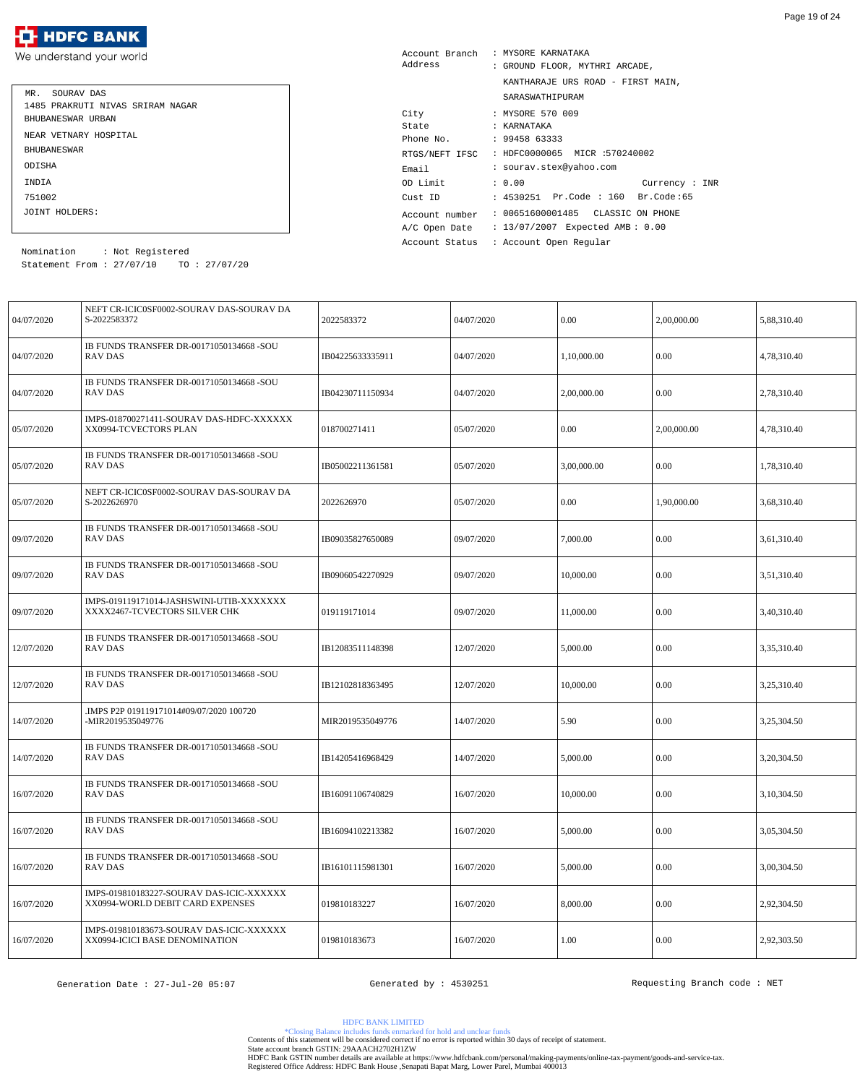

| MR. SOURAV DAS                   |
|----------------------------------|
| 1485 PRAKRUTI NIVAS SRIRAM NAGAR |
| BHUBANESWAR URBAN                |
| NEAR VETNARY HOSPITAL            |
| <b>BHUBANE SWAR</b>              |
| ODISHA                           |
| INDIA                            |
| 751002                           |
| JOINT HOLDERS:                   |

| Account Branch | : MYSORE KARNATAKA                 |
|----------------|------------------------------------|
| Address        | : GROUND FLOOR, MYTHRI ARCADE,     |
|                | KANTHARAJE URS ROAD - FIRST MAIN,  |
|                | SARASWATHIPURAM                    |
| City           | : MYSORE 570 009                   |
| State          | : KARNATAKA                        |
| Phone No.      | : 9945863333                       |
| RTGS/NEFT IFSC | : HDFC0000065 MICR :570240002      |
| Email          | : sourav.stex@yahoo.com            |
| OD Limit       | : 0.00<br>Current : INR            |
| Cust ID        | : 4530251 Pr.Code : 160 Br.Code:65 |
| Account number | : 00651600001485 CLASSIC ON PHONE  |
| A/C Open Date  | : 13/07/2007 Expected AMB: 0.00    |
| Account Status | : Account Open Regular             |

Statement From : 27/07/10 TO : 27/07/20 Nomination : Not Registered

| 04/07/2020 | NEFT CR-ICIC0SF0002-SOURAV DAS-SOURAV DA<br>S-2022583372                     | 2022583372       | 04/07/2020 | 0.00        | 2,00,000.00 | 5,88,310.40 |
|------------|------------------------------------------------------------------------------|------------------|------------|-------------|-------------|-------------|
| 04/07/2020 | IB FUNDS TRANSFER DR-00171050134668 -SOU<br><b>RAV DAS</b>                   | IB04225633335911 | 04/07/2020 | 1,10,000.00 | 0.00        | 4,78,310.40 |
| 04/07/2020 | IB FUNDS TRANSFER DR-00171050134668 -SOU<br>RAV DAS                          | IB04230711150934 | 04/07/2020 | 2,00,000.00 | 0.00        | 2,78,310.40 |
| 05/07/2020 | IMPS-018700271411-SOURAV DAS-HDFC-XXXXXX<br>XX0994-TCVECTORS PLAN            | 018700271411     | 05/07/2020 | 0.00        | 2,00,000.00 | 4,78,310.40 |
| 05/07/2020 | IB FUNDS TRANSFER DR-00171050134668 -SOU<br>RAV DAS                          | IB05002211361581 | 05/07/2020 | 3,00,000.00 | 0.00        | 1,78,310.40 |
| 05/07/2020 | NEFT CR-ICIC0SF0002-SOURAV DAS-SOURAV DA<br>S-2022626970                     | 2022626970       | 05/07/2020 | 0.00        | 1,90,000.00 | 3,68,310.40 |
| 09/07/2020 | IB FUNDS TRANSFER DR-00171050134668 -SOU<br>RAV DAS                          | IB09035827650089 | 09/07/2020 | 7,000.00    | 0.00        | 3,61,310.40 |
| 09/07/2020 | IB FUNDS TRANSFER DR-00171050134668 -SOU<br><b>RAV DAS</b>                   | IB09060542270929 | 09/07/2020 | 10,000.00   | 0.00        | 3,51,310.40 |
| 09/07/2020 | IMPS-019119171014-JASHSWINI-UTIB-XXXXXXX<br>XXXX2467-TCVECTORS SILVER CHK    | 019119171014     | 09/07/2020 | 11,000.00   | 0.00        | 3,40,310.40 |
| 12/07/2020 | IB FUNDS TRANSFER DR-00171050134668 -SOU<br><b>RAV DAS</b>                   | IB12083511148398 | 12/07/2020 | 5,000.00    | 0.00        | 3,35,310.40 |
| 12/07/2020 | IB FUNDS TRANSFER DR-00171050134668 -SOU<br><b>RAV DAS</b>                   | IB12102818363495 | 12/07/2020 | 10,000.00   | 0.00        | 3,25,310.40 |
| 14/07/2020 | IMPS P2P 019119171014#09/07/2020 100720<br>-MIR2019535049776                 | MIR2019535049776 | 14/07/2020 | 5.90        | 0.00        | 3,25,304.50 |
| 14/07/2020 | IB FUNDS TRANSFER DR-00171050134668 -SOU<br>RAV DAS                          | IB14205416968429 | 14/07/2020 | 5,000.00    | 0.00        | 3,20,304.50 |
| 16/07/2020 | IB FUNDS TRANSFER DR-00171050134668 -SOU<br><b>RAV DAS</b>                   | IB16091106740829 | 16/07/2020 | 10,000.00   | 0.00        | 3,10,304.50 |
| 16/07/2020 | IB FUNDS TRANSFER DR-00171050134668 -SOU<br>RAV DAS                          | IB16094102213382 | 16/07/2020 | 5,000.00    | 0.00        | 3,05,304.50 |
| 16/07/2020 | IB FUNDS TRANSFER DR-00171050134668 -SOU<br><b>RAV DAS</b>                   | IB16101115981301 | 16/07/2020 | 5,000.00    | 0.00        | 3,00,304.50 |
| 16/07/2020 | IMPS-019810183227-SOURAV DAS-ICIC-XXXXXX<br>XX0994-WORLD DEBIT CARD EXPENSES | 019810183227     | 16/07/2020 | 8,000.00    | 0.00        | 2,92,304.50 |
| 16/07/2020 | IMPS-019810183673-SOURAV DAS-ICIC-XXXXXX<br>XX0994-ICICI BASE DENOMINATION   | 019810183673     | 16/07/2020 | 1.00        | 0.00        | 2,92,303.50 |

Generation Date : 27-Jul-20 05:07 (Generated by : 4530251) The Requesting Branch code : NET

HDFC BANK LIMITED

\*Closing Balance includes funds enmarked for hold and unclear funds Contents of this statement will be considered correct if no error is reported within 30 days of receipt of statement.

State account branch GSTIN: 29AAACH2702H1ZW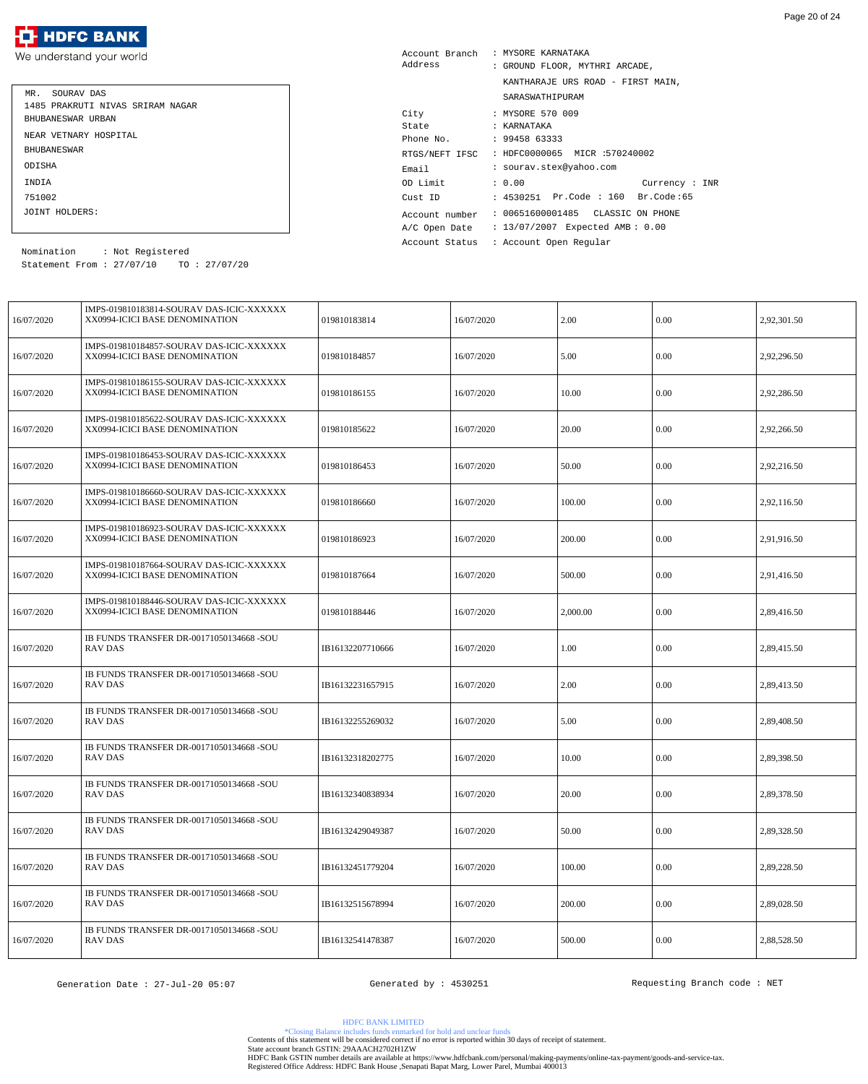We understand your world

| SOURAV DAS<br>MR.                |
|----------------------------------|
| 1485 PRAKRUTI NIVAS SRIRAM NAGAR |
| BHUBANESWAR URBAN                |
| NEAR VETNARY HOSPITAL            |
| <b>BHUBANE SWAR</b>              |
| ODISHA                           |
| <b>TNDTA</b>                     |
| 751002                           |
| JOINT HOLDERS:                   |

| Account Branch | : MYSORE KARNATAKA                           |
|----------------|----------------------------------------------|
| Address        | : GROUND FLOOR, MYTHRI ARCADE,               |
|                | KANTHARAJE URS ROAD - FIRST MAIN,            |
|                | SARASWATHIPURAM                              |
| City           | : MYSORE 570 009                             |
| State          | : KARNATAKA                                  |
| Phone No.      | : 9945863333                                 |
|                | RTGS/NEFT IFSC : HDFC0000065 MICR :570240002 |
| Email          | : sourav.stex@yahoo.com                      |
| OD Limit       | : 0.00<br>Current: INR                       |
| Cust ID        | : 4530251 Pr.Code : 160 Br.Code:65           |
| Account number | : 00651600001485  CLASSIC ON PHONE           |
| A/C Open Date  | : 13/07/2007 Expected AMB: 0.00              |
| Account Status | : Account Open Regular                       |

Statement From : 27/07/10 TO : 27/07/20 Nomination : Not Registered

| 16/07/2020 | IMPS-019810183814-SOURAV DAS-ICIC-XXXXXX<br>XX0994-ICICI BASE DENOMINATION | 019810183814     | 16/07/2020 | 2.00     | 0.00     | 2,92,301.50 |
|------------|----------------------------------------------------------------------------|------------------|------------|----------|----------|-------------|
| 16/07/2020 | IMPS-019810184857-SOURAV DAS-ICIC-XXXXXX<br>XX0994-ICICI BASE DENOMINATION | 019810184857     | 16/07/2020 | 5.00     | 0.00     | 2,92,296.50 |
| 16/07/2020 | IMPS-019810186155-SOURAV DAS-ICIC-XXXXXX<br>XX0994-ICICI BASE DENOMINATION | 019810186155     | 16/07/2020 | 10.00    | 0.00     | 2,92,286.50 |
| 16/07/2020 | IMPS-019810185622-SOURAV DAS-ICIC-XXXXXX<br>XX0994-ICICI BASE DENOMINATION | 019810185622     | 16/07/2020 | 20.00    | 0.00     | 2,92,266.50 |
| 16/07/2020 | IMPS-019810186453-SOURAV DAS-ICIC-XXXXXX<br>XX0994-ICICI BASE DENOMINATION | 019810186453     | 16/07/2020 | 50.00    | 0.00     | 2,92,216.50 |
| 16/07/2020 | IMPS-019810186660-SOURAV DAS-ICIC-XXXXXX<br>XX0994-ICICI BASE DENOMINATION | 019810186660     | 16/07/2020 | 100.00   | 0.00     | 2,92,116.50 |
| 16/07/2020 | IMPS-019810186923-SOURAV DAS-ICIC-XXXXXX<br>XX0994-ICICI BASE DENOMINATION | 019810186923     | 16/07/2020 | 200.00   | 0.00     | 2,91,916.50 |
| 16/07/2020 | IMPS-019810187664-SOURAV DAS-ICIC-XXXXXX<br>XX0994-ICICI BASE DENOMINATION | 019810187664     | 16/07/2020 | 500.00   | 0.00     | 2,91,416.50 |
| 16/07/2020 | IMPS-019810188446-SOURAV DAS-ICIC-XXXXXX<br>XX0994-ICICI BASE DENOMINATION | 019810188446     | 16/07/2020 | 2,000.00 | 0.00     | 2,89,416.50 |
| 16/07/2020 | IB FUNDS TRANSFER DR-00171050134668 -SOU<br><b>RAV DAS</b>                 | IB16132207710666 | 16/07/2020 | 1.00     | 0.00     | 2,89,415.50 |
| 16/07/2020 | IB FUNDS TRANSFER DR-00171050134668 -SOU<br><b>RAV DAS</b>                 | IB16132231657915 | 16/07/2020 | 2.00     | 0.00     | 2,89,413.50 |
| 16/07/2020 | IB FUNDS TRANSFER DR-00171050134668 -SOU<br><b>RAV DAS</b>                 | IB16132255269032 | 16/07/2020 | 5.00     | 0.00     | 2,89,408.50 |
| 16/07/2020 | IB FUNDS TRANSFER DR-00171050134668 -SOU<br><b>RAV DAS</b>                 | IB16132318202775 | 16/07/2020 | 10.00    | 0.00     | 2,89,398.50 |
| 16/07/2020 | IB FUNDS TRANSFER DR-00171050134668 -SOU<br>RAV DAS                        | IB16132340838934 | 16/07/2020 | 20.00    | 0.00     | 2,89,378.50 |
| 16/07/2020 | IB FUNDS TRANSFER DR-00171050134668 -SOU<br><b>RAV DAS</b>                 | IB16132429049387 | 16/07/2020 | 50.00    | $0.00\,$ | 2,89,328.50 |
| 16/07/2020 | IB FUNDS TRANSFER DR-00171050134668 -SOU<br><b>RAV DAS</b>                 | IB16132451779204 | 16/07/2020 | 100.00   | 0.00     | 2,89,228.50 |
| 16/07/2020 | IB FUNDS TRANSFER DR-00171050134668 -SOU<br><b>RAV DAS</b>                 | IB16132515678994 | 16/07/2020 | 200.00   | 0.00     | 2,89,028.50 |
| 16/07/2020 | IB FUNDS TRANSFER DR-00171050134668 -SOU<br>RAV DAS                        | IB16132541478387 | 16/07/2020 | 500.00   | 0.00     | 2,88,528.50 |

HDFC BANK LIMITED

\*Closing Balance includes funds enmarked for hold and unclear funds Contents of this statement will be considered correct if no error is reported within 30 days of receipt of statement.

State account branch GSTIN: 29AAACH2702H1ZW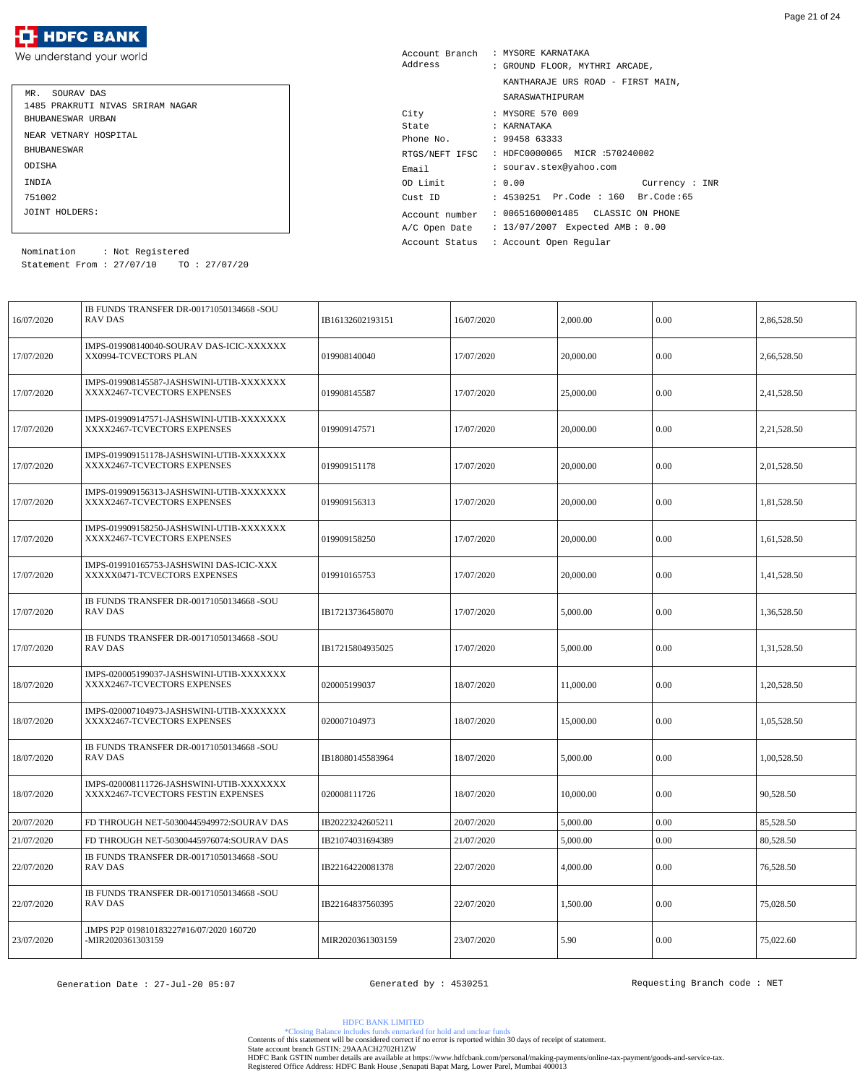| MR. SOURAV DAS                   |
|----------------------------------|
| 1485 PRAKRUTI NIVAS SRIRAM NAGAR |
| BHUBANESWAR URBAN                |
| NEAR VETNARY HOSPITAL            |
| <b>BHUBANE SWAR</b>              |
| ODISHA                           |
| <b>TNDTA</b>                     |
| 751002                           |
| JOINT HOLDERS:                   |

| Account Branch<br>Address | : MYSORE KARNATAKA<br>: GROUND FLOOR, MYTHRI ARCADE, |                                              |  |  |
|---------------------------|------------------------------------------------------|----------------------------------------------|--|--|
|                           |                                                      | KANTHARAJE URS ROAD - FIRST MAIN,            |  |  |
|                           |                                                      | SARASWATHIPURAM                              |  |  |
| City                      |                                                      | : MYSORE 570 009                             |  |  |
| State                     |                                                      | : KARNATAKA                                  |  |  |
| Phone No. : 99458 63333   |                                                      |                                              |  |  |
|                           |                                                      | RTGS/NEFT IFSC : HDFC0000065 MICR :570240002 |  |  |
| Email                     |                                                      | : sourav.stex@yahoo.com                      |  |  |
| OD Limit                  |                                                      | : 0.00<br>Current : INR                      |  |  |
| Cust ID                   |                                                      | : 4530251 Pr.Code : 160 Br.Code:65           |  |  |
| Account number            |                                                      | : 00651600001485 CLASSIC ON PHONE            |  |  |
| A/C Open Date             |                                                      | : 13/07/2007 Expected AMB: 0.00              |  |  |
| Account Status            |                                                      | : Account Open Regular                       |  |  |

Statement From : 27/07/10 TO : 27/07/20 Nomination : Not Registered

| 16/07/2020 | IB FUNDS TRANSFER DR-00171050134668 -SOU<br><b>RAV DAS</b>                     | IB16132602193151 | 16/07/2020 | 2,000.00  | 0.00     | 2,86,528.50 |
|------------|--------------------------------------------------------------------------------|------------------|------------|-----------|----------|-------------|
| 17/07/2020 | IMPS-019908140040-SOURAV DAS-ICIC-XXXXXX<br>XX0994-TCVECTORS PLAN              | 019908140040     | 17/07/2020 | 20,000.00 | 0.00     | 2,66,528.50 |
| 17/07/2020 | IMPS-019908145587-JASHSWINI-UTIB-XXXXXXX<br>XXXX2467-TCVECTORS EXPENSES        | 019908145587     | 17/07/2020 | 25,000.00 | 0.00     | 2,41,528.50 |
| 17/07/2020 | IMPS-019909147571-JASHSWINI-UTIB-XXXXXXX<br>XXXX2467-TCVECTORS EXPENSES        | 019909147571     | 17/07/2020 | 20,000.00 | 0.00     | 2,21,528.50 |
| 17/07/2020 | IMPS-019909151178-JASHSWINI-UTIB-XXXXXXX<br>XXXX2467-TCVECTORS EXPENSES        | 019909151178     | 17/07/2020 | 20,000.00 | 0.00     | 2,01,528.50 |
| 17/07/2020 | IMPS-019909156313-JASHSWINI-UTIB-XXXXXXX<br>XXXX2467-TCVECTORS EXPENSES        | 019909156313     | 17/07/2020 | 20,000.00 | 0.00     | 1,81,528.50 |
| 17/07/2020 | IMPS-019909158250-JASHSWINI-UTIB-XXXXXXX<br>XXXX2467-TCVECTORS EXPENSES        | 019909158250     | 17/07/2020 | 20,000.00 | 0.00     | 1,61,528.50 |
| 17/07/2020 | IMPS-019910165753-JASHSWINI DAS-ICIC-XXX<br>XXXXX0471-TCVECTORS EXPENSES       | 019910165753     | 17/07/2020 | 20,000.00 | 0.00     | 1,41,528.50 |
| 17/07/2020 | IB FUNDS TRANSFER DR-00171050134668 -SOU<br><b>RAV DAS</b>                     | IB17213736458070 | 17/07/2020 | 5,000.00  | 0.00     | 1,36,528.50 |
| 17/07/2020 | IB FUNDS TRANSFER DR-00171050134668 -SOU<br><b>RAV DAS</b>                     | IB17215804935025 | 17/07/2020 | 5,000.00  | 0.00     | 1,31,528.50 |
| 18/07/2020 | IMPS-020005199037-JASHSWINI-UTIB-XXXXXXX<br>XXXX2467-TCVECTORS EXPENSES        | 020005199037     | 18/07/2020 | 11,000.00 | 0.00     | 1,20,528.50 |
| 18/07/2020 | IMPS-020007104973-JASHSWINI-UTIB-XXXXXXX<br>XXXX2467-TCVECTORS EXPENSES        | 020007104973     | 18/07/2020 | 15,000.00 | $0.00\,$ | 1,05,528.50 |
| 18/07/2020 | IB FUNDS TRANSFER DR-00171050134668 -SOU<br><b>RAV DAS</b>                     | IB18080145583964 | 18/07/2020 | 5,000.00  | 0.00     | 1,00,528.50 |
| 18/07/2020 | IMPS-020008111726-JASHSWINI-UTIB-XXXXXXX<br>XXXX2467-TCVECTORS FESTIN EXPENSES | 020008111726     | 18/07/2020 | 10,000.00 | 0.00     | 90,528.50   |
| 20/07/2020 | FD THROUGH NET-50300445949972:SOURAV DAS                                       | IB20223242605211 | 20/07/2020 | 5,000.00  | 0.00     | 85,528.50   |
| 21/07/2020 | FD THROUGH NET-50300445976074:SOURAV DAS                                       | IB21074031694389 | 21/07/2020 | 5,000.00  | $0.00\,$ | 80,528.50   |
| 22/07/2020 | IB FUNDS TRANSFER DR-00171050134668 -SOU<br><b>RAV DAS</b>                     | IB22164220081378 | 22/07/2020 | 4,000.00  | 0.00     | 76,528.50   |
| 22/07/2020 | IB FUNDS TRANSFER DR-00171050134668 -SOU<br>RAV DAS                            | IB22164837560395 | 22/07/2020 | 1,500.00  | 0.00     | 75,028.50   |
| 23/07/2020 | .IMPS P2P 019810183227#16/07/2020 160720<br>-MIR2020361303159                  | MIR2020361303159 | 23/07/2020 | 5.90      | $0.00\,$ | 75,022.60   |

HDFC BANK LIMITED

\*Closing Balance includes funds enmarked for hold and unclear funds Contents of this statement will be considered correct if no error is reported within 30 days of receipt of statement.

State account branch GSTIN: 29AAACH2702H1ZW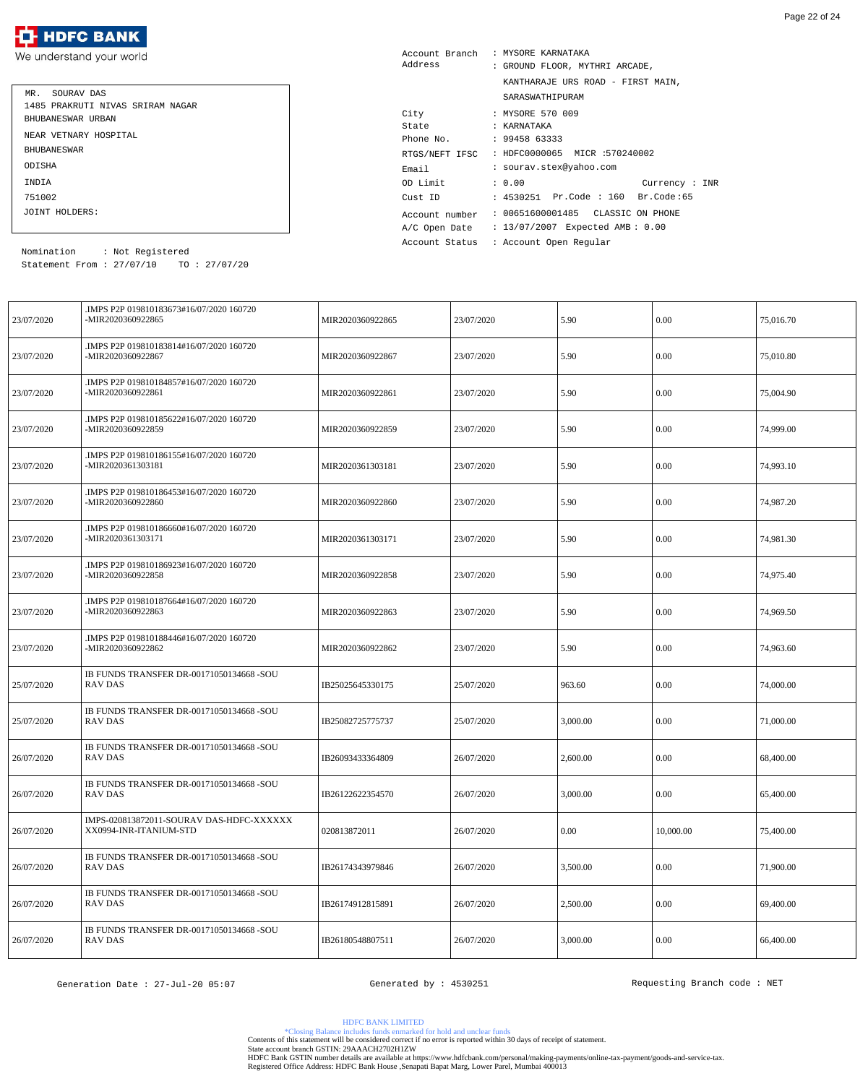| MR. SOURAV DAS                   |
|----------------------------------|
| 1485 PRAKRUTI NIVAS SRIRAM NAGAR |
| BHUBANESWAR URBAN                |
| NEAR VETNARY HOSPITAL            |
| <b>BHUBANE SWAR</b>              |
| ODISHA                           |
| <b>TNDTA</b>                     |
| 751002                           |
| JOINT HOLDERS:                   |

| Account Branch<br>Address | : MYSORE KARNATAKA<br>: GROUND FLOOR, MYTHRI ARCADE, |
|---------------------------|------------------------------------------------------|
|                           | KANTHARAJE URS ROAD - FIRST MAIN,                    |
|                           | SARASWATHIPURAM                                      |
| City                      | : MYSORE 570 009                                     |
| State                     | : KARNATAKA                                          |
| Phone No.                 | : 9945863333                                         |
| RTGS/NEFT IFSC            | : HDFC0000065 MICR :570240002                        |
| Email                     | : sourav.stex@yahoo.com                              |
| OD Limit                  | : 0.00<br>Current: INR                               |
| Cust ID                   | : 4530251 Pr.Code : 160 Br.Code:65                   |
| Account number            | : 00651600001485 CLASSIC ON PHONE                    |
| A/C Open Date             | : 13/07/2007 Expected AMB: 0.00                      |
| Account Status            | : Account Open Regular                               |

Statement From : 27/07/10 TO : 27/07/20 Nomination : Not Registered

| 23/07/2020 | IMPS P2P 019810183673#16/07/2020 160720.<br>-MIR2020360922865      | MIR2020360922865 | 23/07/2020 | 5.90     | 0.00      | 75,016.70 |
|------------|--------------------------------------------------------------------|------------------|------------|----------|-----------|-----------|
| 23/07/2020 | IMPS P2P 019810183814#16/07/2020 160720.<br>-MIR2020360922867      | MIR2020360922867 | 23/07/2020 | 5.90     | 0.00      | 75,010.80 |
| 23/07/2020 | IMPS P2P 019810184857#16/07/2020 160720.<br>-MIR2020360922861      | MIR2020360922861 | 23/07/2020 | 5.90     | 0.00      | 75,004.90 |
| 23/07/2020 | IMPS P2P 019810185622#16/07/2020 160720.<br>-MIR2020360922859      | MIR2020360922859 | 23/07/2020 | 5.90     | 0.00      | 74,999.00 |
| 23/07/2020 | IMPS P2P 019810186155#16/07/2020 160720<br>-MIR2020361303181       | MIR2020361303181 | 23/07/2020 | 5.90     | 0.00      | 74,993.10 |
| 23/07/2020 | .IMPS P2P 019810186453#16/07/2020 160720<br>-MIR2020360922860      | MIR2020360922860 | 23/07/2020 | 5.90     | 0.00      | 74,987.20 |
| 23/07/2020 | IMPS P2P 019810186660#16/07/2020 160720<br>-MIR2020361303171       | MIR2020361303171 | 23/07/2020 | 5.90     | 0.00      | 74,981.30 |
| 23/07/2020 | IMPS P2P 019810186923#16/07/2020 160720.<br>-MIR2020360922858      | MIR2020360922858 | 23/07/2020 | 5.90     | 0.00      | 74,975.40 |
| 23/07/2020 | IMPS P2P 019810187664#16/07/2020 160720.<br>-MIR2020360922863      | MIR2020360922863 | 23/07/2020 | 5.90     | 0.00      | 74,969.50 |
| 23/07/2020 | .IMPS P2P 019810188446#16/07/2020 160720<br>-MIR2020360922862      | MIR2020360922862 | 23/07/2020 | 5.90     | 0.00      | 74,963.60 |
| 25/07/2020 | IB FUNDS TRANSFER DR-00171050134668 -SOU<br><b>RAV DAS</b>         | IB25025645330175 | 25/07/2020 | 963.60   | 0.00      | 74,000.00 |
| 25/07/2020 | IB FUNDS TRANSFER DR-00171050134668 -SOU<br><b>RAV DAS</b>         | IB25082725775737 | 25/07/2020 | 3,000.00 | 0.00      | 71,000.00 |
| 26/07/2020 | IB FUNDS TRANSFER DR-00171050134668 -SOU<br>RAV DAS                | IB26093433364809 | 26/07/2020 | 2,600.00 | 0.00      | 68,400.00 |
| 26/07/2020 | IB FUNDS TRANSFER DR-00171050134668 -SOU<br>RAV DAS                | IB26122622354570 | 26/07/2020 | 3,000.00 | 0.00      | 65,400.00 |
| 26/07/2020 | IMPS-020813872011-SOURAV DAS-HDFC-XXXXXX<br>XX0994-INR-ITANIUM-STD | 020813872011     | 26/07/2020 | 0.00     | 10,000.00 | 75,400.00 |
| 26/07/2020 | IB FUNDS TRANSFER DR-00171050134668 -SOU<br><b>RAV DAS</b>         | IB26174343979846 | 26/07/2020 | 3,500.00 | 0.00      | 71,900.00 |
| 26/07/2020 | IB FUNDS TRANSFER DR-00171050134668 -SOU<br>RAV DAS                | IB26174912815891 | 26/07/2020 | 2,500.00 | 0.00      | 69,400.00 |
| 26/07/2020 | IB FUNDS TRANSFER DR-00171050134668 -SOU<br>RAV DAS                | IB26180548807511 | 26/07/2020 | 3,000.00 | 0.00      | 66,400.00 |

HDFC BANK LIMITED

\*Closing Balance includes funds enmarked for hold and unclear funds Contents of this statement will be considered correct if no error is reported within 30 days of receipt of statement.

State account branch GSTIN: 29AAACH2702H1ZW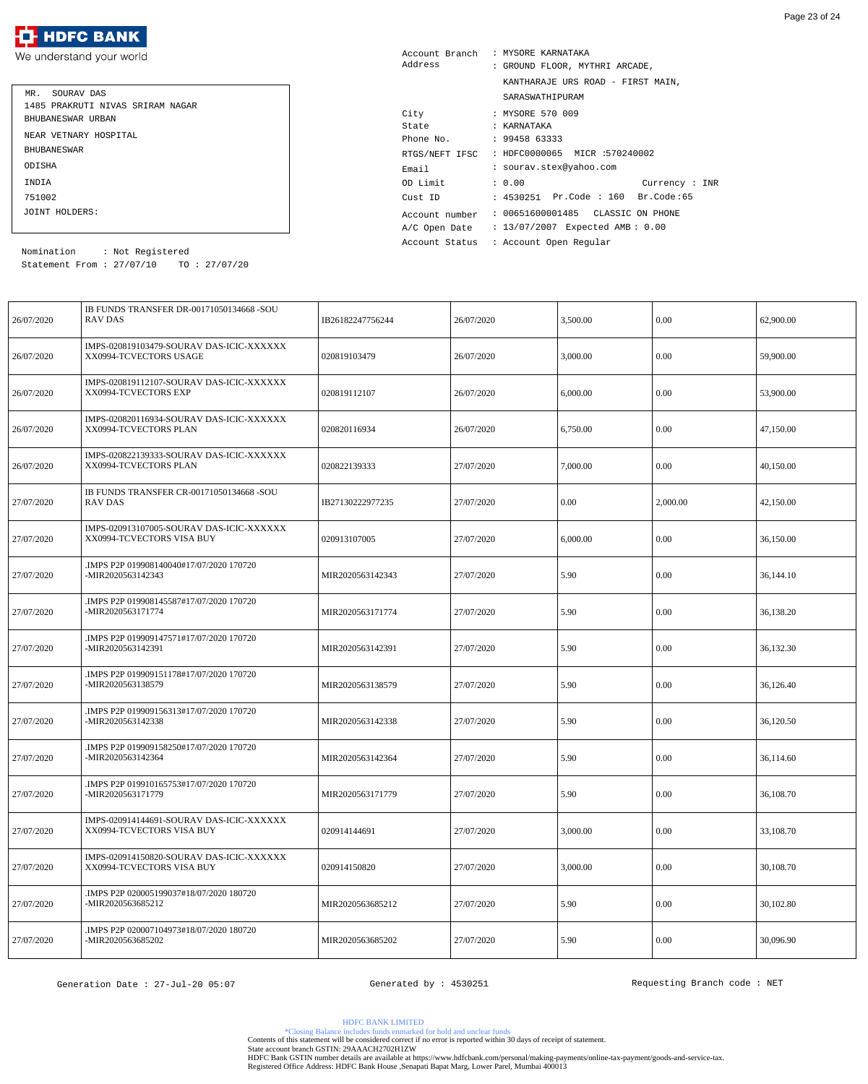

| SOURAV DAS<br>MR.                |
|----------------------------------|
| 1485 PRAKRUTI NIVAS SRIRAM NAGAR |
| BHUBANESWAR URBAN                |
| NEAR VETNARY HOSPITAL            |
| <b>BHUBANE SWAR</b>              |
| ODISHA                           |
| <b>TNDTA</b>                     |
| 751002                           |
| JOINT HOLDERS:                   |

| Account Branch | : MYSORE KARNATAKA                 |
|----------------|------------------------------------|
| Address        | : GROUND FLOOR, MYTHRI ARCADE,     |
|                | KANTHARAJE URS ROAD - FIRST MAIN,  |
|                | SARASWATHIPURAM                    |
| City           | : MYSORE 570 009                   |
| State          | : KARNATAKA                        |
| Phone No.      | : 9945863333                       |
| RTGS/NEFT IFSC | : HDFC0000065 MICR :570240002      |
| Email          | : sourav.stex@yahoo.com            |
| OD Limit       | : 0.00<br>Current : INR            |
| Cust ID        | : 4530251 Pr.Code : 160 Br.Code:65 |
| Account number | : 00651600001485 CLASSIC ON PHONE  |
| A/C Open Date  | : 13/07/2007 Expected AMB: 0.00    |
| Account Status | : Account Open Reqular             |
|                |                                    |

Statement From : 27/07/10 TO : 27/07/20 Nomination : Not Registered

| 26/07/2020 | IB FUNDS TRANSFER DR-00171050134668 -SOU<br><b>RAV DAS</b>            | IB26182247756244 | 26/07/2020 | 3,500.00 | 0.00     | 62,900.00 |
|------------|-----------------------------------------------------------------------|------------------|------------|----------|----------|-----------|
| 26/07/2020 | IMPS-020819103479-SOURAV DAS-ICIC-XXXXXX<br>XX0994-TCVECTORS USAGE    | 020819103479     | 26/07/2020 | 3,000.00 | 0.00     | 59,900.00 |
| 26/07/2020 | IMPS-020819112107-SOURAV DAS-ICIC-XXXXXX<br>XX0994-TCVECTORS EXP      | 020819112107     | 26/07/2020 | 6,000.00 | 0.00     | 53,900.00 |
| 26/07/2020 | IMPS-020820116934-SOURAV DAS-ICIC-XXXXXX<br>XX0994-TCVECTORS PLAN     | 020820116934     | 26/07/2020 | 6,750.00 | 0.00     | 47,150.00 |
| 26/07/2020 | IMPS-020822139333-SOURAV DAS-ICIC-XXXXXX<br>XX0994-TCVECTORS PLAN     | 020822139333     | 27/07/2020 | 7,000.00 | 0.00     | 40,150.00 |
| 27/07/2020 | IB FUNDS TRANSFER CR-00171050134668 -SOU<br>RAV DAS                   | IB27130222977235 | 27/07/2020 | 0.00     | 2,000.00 | 42,150.00 |
| 27/07/2020 | IMPS-020913107005-SOURAV DAS-ICIC-XXXXXX<br>XX0994-TCVECTORS VISA BUY | 020913107005     | 27/07/2020 | 6,000.00 | 0.00     | 36,150.00 |
| 27/07/2020 | IMPS P2P 019908140040#17/07/2020 170720<br>-MIR2020563142343          | MIR2020563142343 | 27/07/2020 | 5.90     | 0.00     | 36,144.10 |
| 27/07/2020 | IMPS P2P 019908145587#17/07/2020 170720.<br>-MIR2020563171774         | MIR2020563171774 | 27/07/2020 | 5.90     | 0.00     | 36,138.20 |
| 27/07/2020 | IMPS P2P 019909147571#17/07/2020 170720.<br>-MIR2020563142391         | MIR2020563142391 | 27/07/2020 | 5.90     | 0.00     | 36,132.30 |
| 27/07/2020 | IMPS P2P 019909151178#17/07/2020 170720.<br>-MIR2020563138579         | MIR2020563138579 | 27/07/2020 | 5.90     | $0.00\,$ | 36,126.40 |
| 27/07/2020 | IMPS P2P 019909156313#17/07/2020 170720.<br>-MIR2020563142338         | MIR2020563142338 | 27/07/2020 | 5.90     | 0.00     | 36,120.50 |
| 27/07/2020 | IMPS P2P 019909158250#17/07/2020 170720<br>-MIR2020563142364          | MIR2020563142364 | 27/07/2020 | 5.90     | 0.00     | 36.114.60 |
| 27/07/2020 | IMPS P2P 019910165753#17/07/2020 170720<br>-MIR2020563171779          | MIR2020563171779 | 27/07/2020 | 5.90     | 0.00     | 36,108.70 |
| 27/07/2020 | IMPS-020914144691-SOURAV DAS-ICIC-XXXXXX<br>XX0994-TCVECTORS VISA BUY | 020914144691     | 27/07/2020 | 3,000.00 | 0.00     | 33,108.70 |
| 27/07/2020 | IMPS-020914150820-SOURAV DAS-ICIC-XXXXXX<br>XX0994-TCVECTORS VISA BUY | 020914150820     | 27/07/2020 | 3,000.00 | 0.00     | 30,108.70 |
| 27/07/2020 | IMPS P2P 020005199037#18/07/2020 180720.<br>-MIR2020563685212         | MIR2020563685212 | 27/07/2020 | 5.90     | 0.00     | 30,102.80 |
| 27/07/2020 | IMPS P2P 020007104973#18/07/2020 180720<br>-MIR2020563685202          | MIR2020563685202 | 27/07/2020 | 5.90     | 0.00     | 30,096.90 |

HDFC BANK LIMITED

\*Closing Balance includes funds enmarked for hold and unclear funds Contents of this statement will be considered correct if no error is reported within 30 days of receipt of statement.

State account branch GSTIN: 29AAACH2702H1ZW